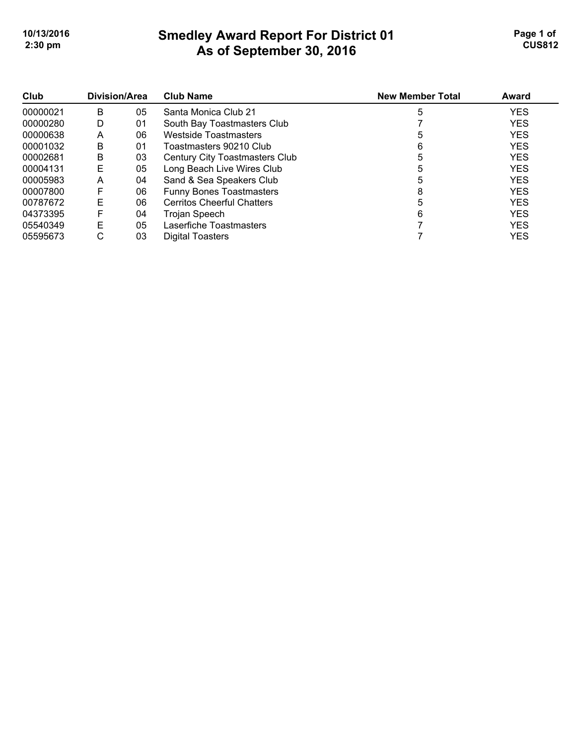# **Smedley Award Report For District 01 As of September 30, 2016 10/13/2016 Page 1 of Smedley Award Report For District 01 Page 1 of Page 1 of 2:30 pm CUS812**

| Club<br>00000021 | Division/Area |    | <b>Club Name</b>                  | <b>New Member Total</b> | Award      |
|------------------|---------------|----|-----------------------------------|-------------------------|------------|
|                  | B             | 05 | Santa Monica Club 21              | 5                       | <b>YES</b> |
| 00000280         | D             | 01 | South Bay Toastmasters Club       |                         | <b>YES</b> |
| 00000638         | A             | 06 | <b>Westside Toastmasters</b>      | 5                       | <b>YES</b> |
| 00001032         | B             | 01 | Toastmasters 90210 Club           | 6                       | <b>YES</b> |
| 00002681         | B             | 03 | Century City Toastmasters Club    | 5                       | <b>YES</b> |
| 00004131         | E             | 05 | Long Beach Live Wires Club        | 5                       | <b>YES</b> |
| 00005983         | A             | 04 | Sand & Sea Speakers Club          | 5                       | <b>YES</b> |
| 00007800         | F             | 06 | <b>Funny Bones Toastmasters</b>   | 8                       | <b>YES</b> |
| 00787672         | Е             | 06 | <b>Cerritos Cheerful Chatters</b> | 5                       | <b>YES</b> |
| 04373395         | F             | 04 | Trojan Speech                     | 6                       | <b>YES</b> |
| 05540349         | E             | 05 | Laserfiche Toastmasters           |                         | <b>YES</b> |
| 05595673         | С             | 03 | Digital Toasters                  |                         | <b>YES</b> |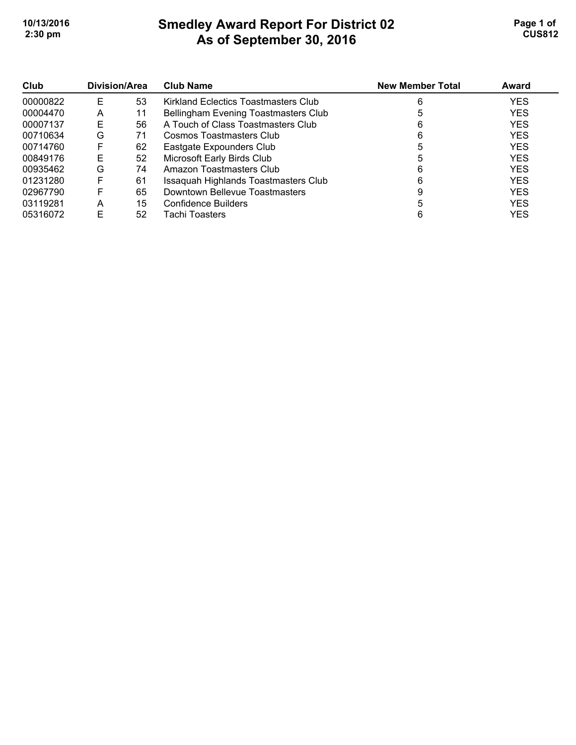# **Smedley Award Report For District 02 As of September 30, 2016 10/13/2016 Page 1 of Smedley Award Report For District 02 Page 1 of Page 1 of 2:30 pm CUS812**

| Club     | <b>Division/Area</b> |    | <b>Club Name</b>                     | <b>New Member Total</b> | Award      |
|----------|----------------------|----|--------------------------------------|-------------------------|------------|
| 00000822 | E                    | 53 | Kirkland Eclectics Toastmasters Club | 6                       | <b>YES</b> |
| 00004470 | А                    | 11 | Bellingham Evening Toastmasters Club |                         | <b>YES</b> |
| 00007137 | Е                    | 56 | A Touch of Class Toastmasters Club   |                         | <b>YES</b> |
| 00710634 | G                    | 71 | Cosmos Toastmasters Club             | 6                       | <b>YES</b> |
| 00714760 | F                    | 62 | Eastgate Expounders Club             |                         | <b>YES</b> |
| 00849176 | Е                    | 52 | Microsoft Early Birds Club           |                         | <b>YES</b> |
| 00935462 | G                    | 74 | Amazon Toastmasters Club             |                         | <b>YES</b> |
| 01231280 |                      | 61 | Issaquah Highlands Toastmasters Club |                         | <b>YES</b> |
| 02967790 |                      | 65 | Downtown Bellevue Toastmasters       |                         | <b>YES</b> |
| 03119281 | Α                    | 15 | Confidence Builders                  |                         | <b>YES</b> |
| 05316072 | F                    | 52 | Tachi Toasters                       |                         | <b>YES</b> |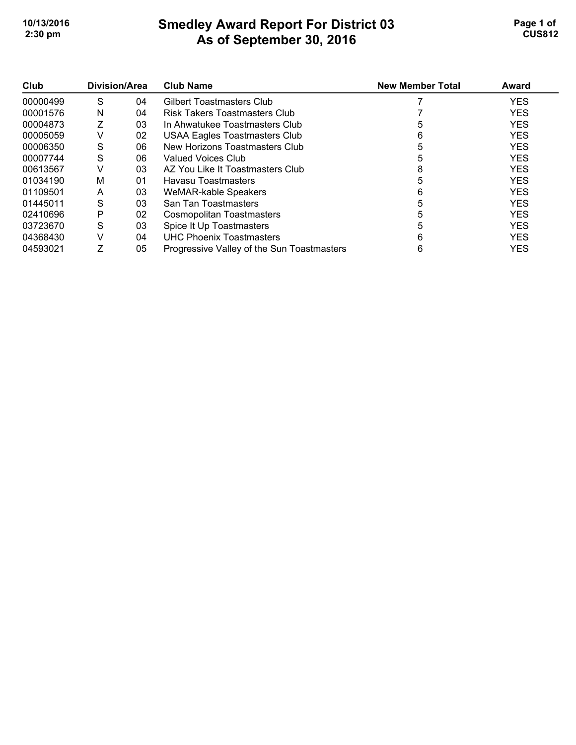# **Smedley Award Report For District 03 As of September 30, 2016 10/13/2016 Page 1 of Smedley Award Report For District 03 Page 1 of Page 1 of 2:30 pm CUS812**

| Club     | Division/Area |    | <b>Club Name</b>                           | <b>New Member Total</b> | Award      |
|----------|---------------|----|--------------------------------------------|-------------------------|------------|
| 00000499 | S             | 04 | Gilbert Toastmasters Club                  |                         | <b>YES</b> |
| 00001576 | N             | 04 | Risk Takers Toastmasters Club              |                         | <b>YES</b> |
| 00004873 |               | 03 | In Ahwatukee Toastmasters Club             | 5                       | <b>YES</b> |
| 00005059 | V             | 02 | <b>USAA Eagles Toastmasters Club</b>       | 6                       | <b>YES</b> |
| 00006350 | S             | 06 | New Horizons Toastmasters Club             | 5                       | <b>YES</b> |
| 00007744 | S             | 06 | Valued Voices Club                         | 5                       | <b>YES</b> |
| 00613567 | V             | 03 | AZ You Like It Toastmasters Club           | 8                       | <b>YES</b> |
| 01034190 | м             | 01 | Havasu Toastmasters                        | 5                       | <b>YES</b> |
| 01109501 | A             | 03 | WeMAR-kable Speakers                       | 6                       | <b>YES</b> |
| 01445011 | S             | 03 | San Tan Toastmasters                       | 5                       | <b>YES</b> |
| 02410696 | P             | 02 | Cosmopolitan Toastmasters                  | 5                       | <b>YES</b> |
| 03723670 | S             | 03 | Spice It Up Toastmasters                   | 5                       | <b>YES</b> |
| 04368430 | V             | 04 | UHC Phoenix Toastmasters                   | 6                       | <b>YES</b> |
| 04593021 |               | 05 | Progressive Valley of the Sun Toastmasters | 6                       | <b>YES</b> |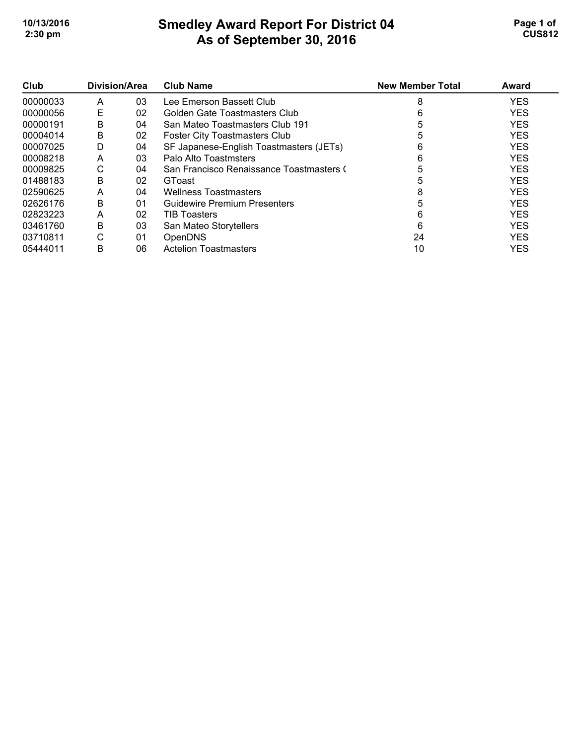## **Smedley Award Report For District 04 As of September 30, 2016 10/13/2016 Page 1 of Smedley Award Report For District 04 Page 1 of Page 1 of 2:30 pm CUS812**

| Club     | Division/Area |    | <b>Club Name</b>                         | <b>New Member Total</b> | Award      |
|----------|---------------|----|------------------------------------------|-------------------------|------------|
| 00000033 | A             | 03 | Lee Emerson Bassett Club                 | 8                       | <b>YES</b> |
| 00000056 | Е             | 02 | Golden Gate Toastmasters Club            | 6                       | <b>YES</b> |
| 00000191 | В             | 04 | San Mateo Toastmasters Club 191          | 5                       | <b>YES</b> |
| 00004014 | B             | 02 | <b>Foster City Toastmasters Club</b>     |                         | <b>YES</b> |
| 00007025 | D             | 04 | SF Japanese-English Toastmasters (JETs)  | 6                       | <b>YES</b> |
| 00008218 | A             | 03 | Palo Alto Toastmsters                    | 6                       | <b>YES</b> |
| 00009825 | C             | 04 | San Francisco Renaissance Toastmasters ( |                         | <b>YES</b> |
| 01488183 | B             | 02 | GToast                                   |                         | <b>YES</b> |
| 02590625 | A             | 04 | <b>Wellness Toastmasters</b>             |                         | <b>YES</b> |
| 02626176 | B             | 01 | <b>Guidewire Premium Presenters</b>      |                         | <b>YES</b> |
| 02823223 | A             | 02 | <b>TIB Toasters</b>                      | 6                       | <b>YES</b> |
| 03461760 | B             | 03 | San Mateo Storytellers                   | 6                       | <b>YES</b> |
| 03710811 | C             | 01 | <b>OpenDNS</b>                           | 24                      | <b>YES</b> |
| 05444011 | B             | 06 | <b>Actelion Toastmasters</b>             | 10                      | <b>YES</b> |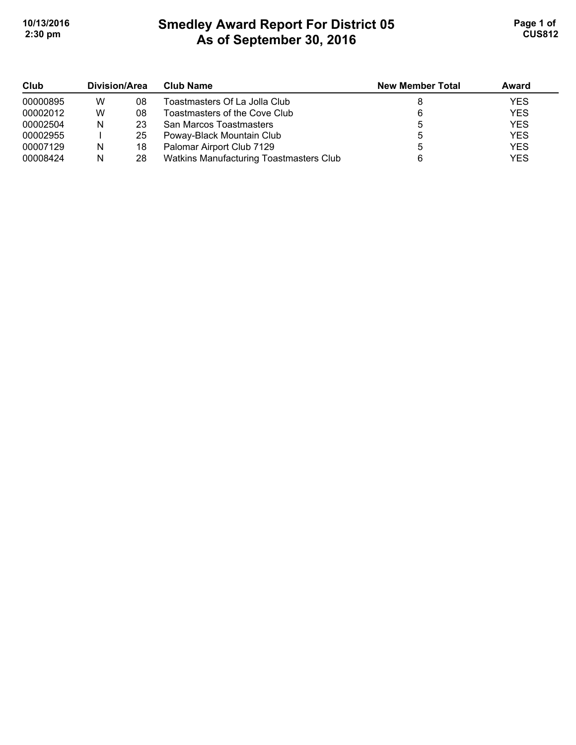# **Smedley Award Report For District 05 As of September 30, 2016 10/13/2016 Page 1 of Smedley Award Report For District 05 <b>Page 1 of** Page 1 of **2:30 pm CUS812**

| Club     | Division/Area |    | Club Name                               | <b>New Member Total</b> | Award      |
|----------|---------------|----|-----------------------------------------|-------------------------|------------|
| 00000895 | w             | 08 | Toastmasters Of La Jolla Club           |                         | <b>YES</b> |
| 00002012 | W             | 08 | Toastmasters of the Cove Club           |                         | <b>YES</b> |
| 00002504 | N             | 23 | San Marcos Toastmasters                 |                         | <b>YES</b> |
| 00002955 |               | 25 | Poway-Black Mountain Club               |                         | <b>YES</b> |
| 00007129 | N             | 18 | Palomar Airport Club 7129               |                         | <b>YES</b> |
| 00008424 | N             | 28 | Watkins Manufacturing Toastmasters Club |                         | <b>YES</b> |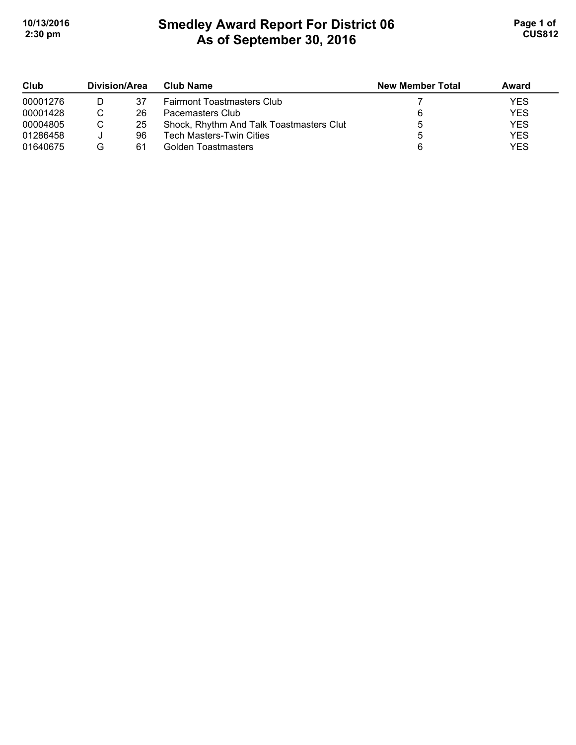# **Smedley Award Report For District 06 As of September 30, 2016 10/13/2016 Page 1 of Smedley Award Report For District 06 <b>Page 1 of** Page 1 of **2:30 pm CUS812**

| Club     | Division/Area |    | <b>Club Name</b>                         | <b>New Member Total</b> | Award      |
|----------|---------------|----|------------------------------------------|-------------------------|------------|
| 00001276 |               | 37 | <b>Fairmont Toastmasters Club</b>        |                         | <b>YES</b> |
| 00001428 |               | 26 | Pacemasters Club                         |                         | <b>YES</b> |
| 00004805 |               | 25 | Shock, Rhythm And Talk Toastmasters Clut |                         | <b>YES</b> |
| 01286458 |               | 96 | <b>Tech Masters-Twin Cities</b>          |                         | <b>YES</b> |
| 01640675 | G             | 61 | Golden Toastmasters                      |                         | <b>YES</b> |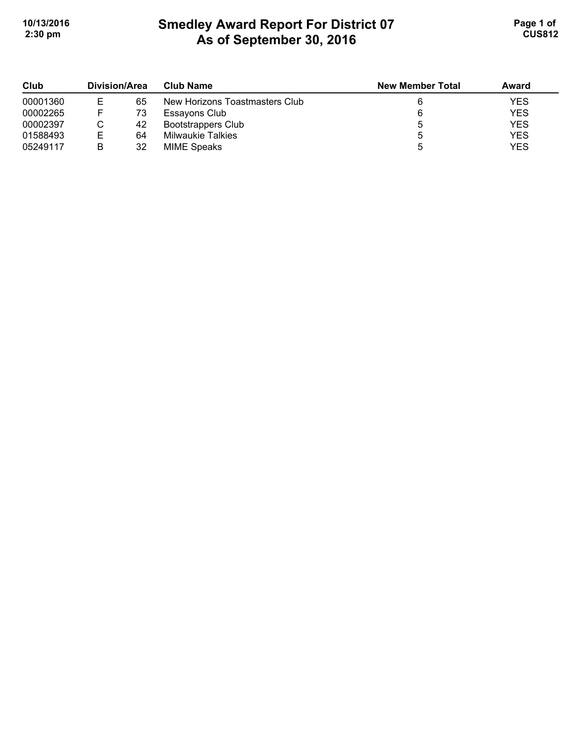# **Smedley Award Report For District 07 As of September 30, 2016 10/13/2016 Page 1 of Smedley Award Report For District 07 <b>Page 1 of** Page 1 of **2:30 pm CUS812**

| Club     | Division/Area |    | <b>Club Name</b>               | <b>New Member Total</b> | Award      |
|----------|---------------|----|--------------------------------|-------------------------|------------|
| 00001360 |               | 65 | New Horizons Toastmasters Club |                         | <b>YES</b> |
| 00002265 |               | 73 | Essayons Club                  |                         | <b>YES</b> |
| 00002397 |               | 42 | <b>Bootstrappers Club</b>      |                         | <b>YES</b> |
| 01588493 |               | 64 | <b>Milwaukie Talkies</b>       |                         | <b>YES</b> |
| 05249117 |               | 32 | <b>MIME Speaks</b>             |                         | <b>YES</b> |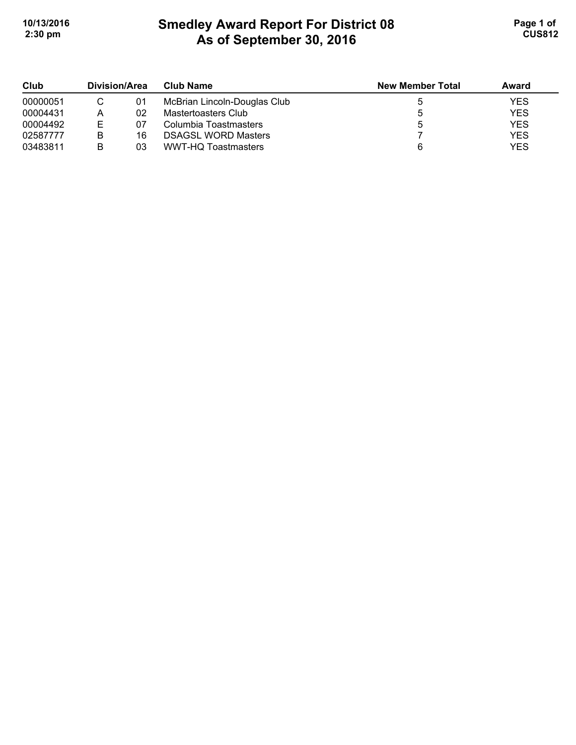# **Smedley Award Report For District 08 As of September 30, 2016 10/13/2016 Page 1 of Smedley Award Report For District 08 <b>Page 1 of** Page 1 of **2:30 pm CUS812**

| Club     | Division/Area |    | <b>Club Name</b>             |   |            | <b>New Member Total</b> | Award |
|----------|---------------|----|------------------------------|---|------------|-------------------------|-------|
| 00000051 |               | 01 | McBrian Lincoln-Douglas Club |   | <b>YES</b> |                         |       |
| 00004431 | A             | 02 | Mastertoasters Club          |   | <b>YES</b> |                         |       |
| 00004492 | E             | 07 | Columbia Toastmasters        |   | <b>YES</b> |                         |       |
| 02587777 |               | 16 | <b>DSAGSL WORD Masters</b>   |   | <b>YES</b> |                         |       |
| 03483811 |               | 03 | WWT-HQ Toastmasters          | 6 | <b>YES</b> |                         |       |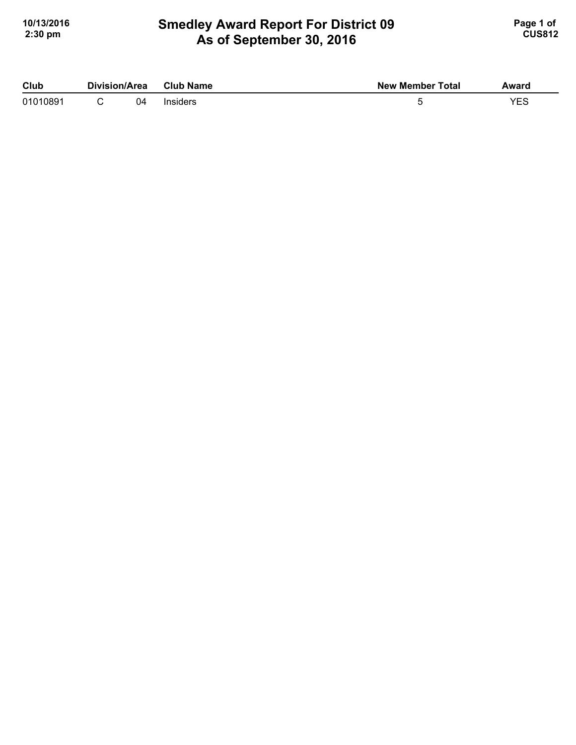## **Smedley Award Report For District 09 As of September 30, 2016 10/13/2016 Page 1 of Smedley Award Report For District 09 <b>Page 1 of** Page 1 of **2:30 pm CUS812**

| Club     | Division/Area |    | <b>Club Name</b> | <b>New Member Total</b> | Award |
|----------|---------------|----|------------------|-------------------------|-------|
| 01010891 |               | 04 | Insiders         |                         |       |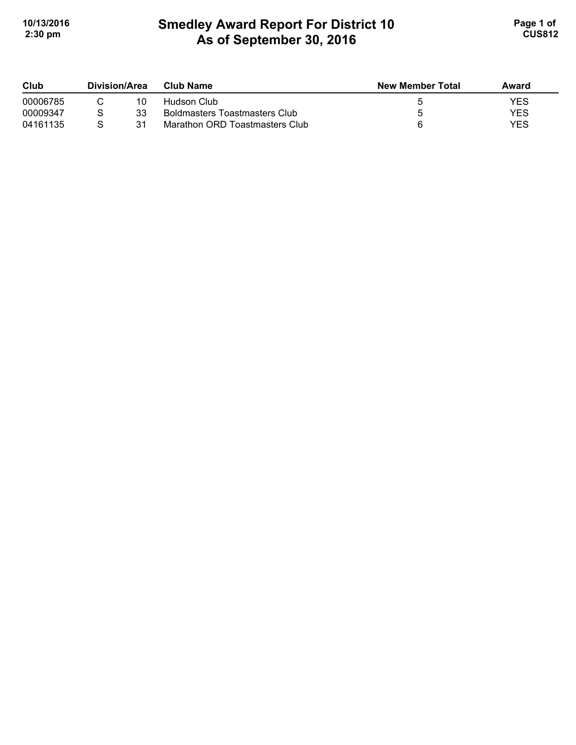# **Smedley Award Report For District 10 As of September 30, 2016**  10/13/2016 **Page 1 of Smedley Award Report For District 10 Page 1 of Page 1 of 2:30 pm CUS812**

| Club     | Division/Area |    | Club Name                            | <b>New Member Total</b> | Award      |
|----------|---------------|----|--------------------------------------|-------------------------|------------|
| 00006785 |               | 10 | Hudson Club                          |                         | YES        |
| 00009347 |               | 33 | <b>Boldmasters Toastmasters Club</b> |                         | <b>YES</b> |
| 04161135 |               | 31 | Marathon ORD Toastmasters Club       |                         | <b>YES</b> |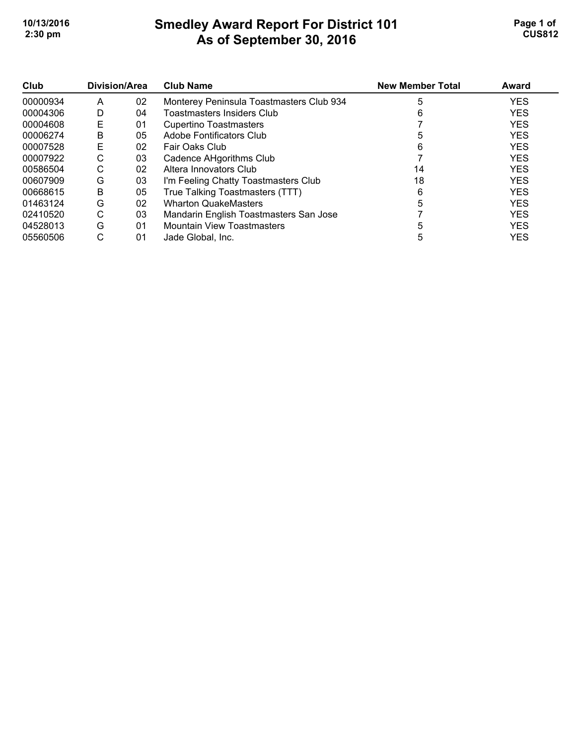# **Smedley Award Report For District 101 As of September 30, 2016**  10/13/2016 **Page 1 of Smedley Award Report For District 101 Page 1 of Page 1 of 2:30 pm CUS812**

| Club     | Division/Area |    | <b>Club Name</b>                         | <b>New Member Total</b> | Award      |
|----------|---------------|----|------------------------------------------|-------------------------|------------|
| 00000934 | A             | 02 | Monterey Peninsula Toastmasters Club 934 | 5                       | <b>YES</b> |
| 00004306 | D             | 04 | Toastmasters Insiders Club               | 6                       | <b>YES</b> |
| 00004608 | E             | 01 | Cupertino Toastmasters                   |                         | <b>YES</b> |
| 00006274 | B             | 05 | Adobe Fontificators Club                 |                         | <b>YES</b> |
| 00007528 | Е             | 02 | Fair Oaks Club                           | 6                       | <b>YES</b> |
| 00007922 | С             | 03 | Cadence AHgorithms Club                  |                         | <b>YES</b> |
| 00586504 | С             | 02 | Altera Innovators Club                   | 14                      | <b>YES</b> |
| 00607909 | G             | 03 | I'm Feeling Chatty Toastmasters Club     | 18                      | <b>YES</b> |
| 00668615 | B             | 05 | True Talking Toastmasters (TTT)          | 6                       | <b>YES</b> |
| 01463124 | G             | 02 | <b>Wharton QuakeMasters</b>              |                         | <b>YES</b> |
| 02410520 | С             | 03 | Mandarin English Toastmasters San Jose   |                         | <b>YES</b> |
| 04528013 | G             | 01 | <b>Mountain View Toastmasters</b>        |                         | <b>YES</b> |
| 05560506 | С             | 01 | Jade Global. Inc.                        |                         | <b>YES</b> |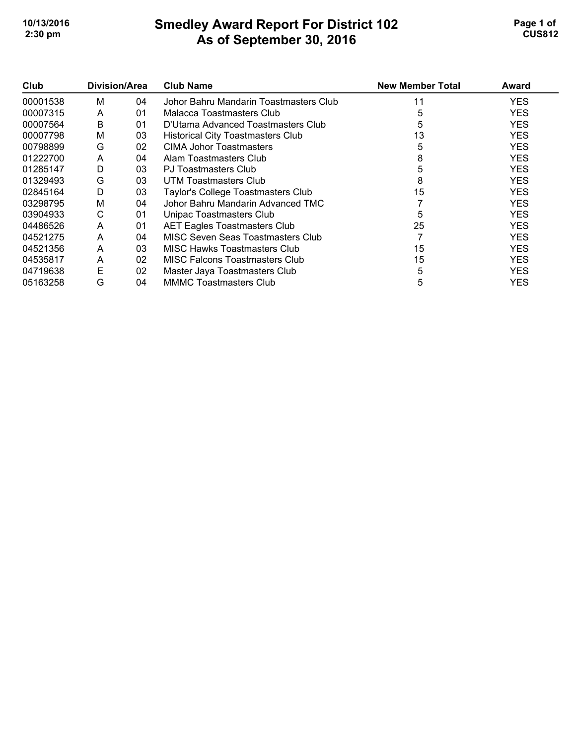# **Smedley Award Report For District 102 As of September 30, 2016**  10/13/2016 **Page 1 of Smedley Award Report For District 102 Page 1 of Page 1 of 2:30 pm CUS812**

| Club     | Division/Area |    | <b>Club Name</b>                         | <b>New Member Total</b> | Award      |
|----------|---------------|----|------------------------------------------|-------------------------|------------|
| 00001538 | м             | 04 | Johor Bahru Mandarin Toastmasters Club   | 11                      | YES        |
| 00007315 | A             | 01 | Malacca Toastmasters Club                | 5                       | <b>YES</b> |
| 00007564 | B             | 01 | D'Utama Advanced Toastmasters Club       | 5                       | <b>YES</b> |
| 00007798 | м             | 03 | <b>Historical City Toastmasters Club</b> | 13                      | <b>YES</b> |
| 00798899 | G             | 02 | CIMA Johor Toastmasters                  |                         | <b>YES</b> |
| 01222700 | A             | 04 | Alam Toastmasters Club                   | 8                       | <b>YES</b> |
| 01285147 | D             | 03 | <b>PJ Toastmasters Club</b>              |                         | <b>YES</b> |
| 01329493 | G             | 03 | UTM Toastmasters Club                    | 8                       | <b>YES</b> |
| 02845164 | D             | 03 | Taylor's College Toastmasters Club       | 15                      | <b>YES</b> |
| 03298795 | м             | 04 | Johor Bahru Mandarin Advanced TMC        |                         | <b>YES</b> |
| 03904933 | С             | 01 | Unipac Toastmasters Club                 | 5                       | <b>YES</b> |
| 04486526 | A             | 01 | <b>AET Eagles Toastmasters Club</b>      | 25                      | <b>YES</b> |
| 04521275 | A             | 04 | MISC Seven Seas Toastmasters Club        |                         | <b>YES</b> |
| 04521356 | A             | 03 | MISC Hawks Toastmasters Club             | 15                      | <b>YES</b> |
| 04535817 | A             | 02 | <b>MISC Falcons Toastmasters Club</b>    | 15                      | <b>YES</b> |
| 04719638 | Е             | 02 | Master Jaya Toastmasters Club            | 5                       | YES.       |
| 05163258 | G             | 04 | <b>MMMC Toastmasters Club</b>            | 5                       | YES        |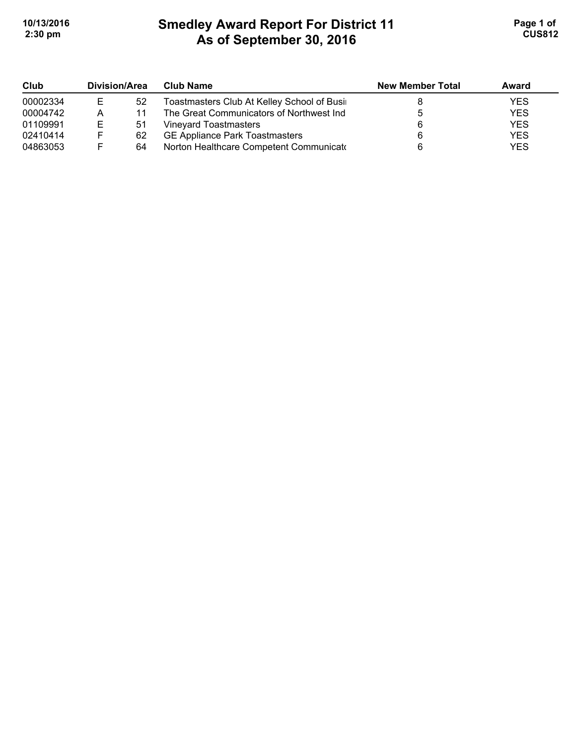# **Smedley Award Report For District 11 As of September 30, 2016**  10/13/2016 **Page 1 of Smedley Award Report For District 11 Page 1 of 1 2:30 pm CUS812**

| Club     | <b>Division/Area</b> |    | <b>Club Name</b>                           | <b>New Member Total</b> | Award      |
|----------|----------------------|----|--------------------------------------------|-------------------------|------------|
| 00002334 | E                    | 52 | Toastmasters Club At Kelley School of Busi |                         | <b>YES</b> |
| 00004742 | А                    | 11 | The Great Communicators of Northwest Ind   |                         | <b>YES</b> |
| 01109991 | Е                    | 51 | Vineyard Toastmasters                      |                         | <b>YES</b> |
| 02410414 | F                    | 62 | <b>GE Appliance Park Toastmasters</b>      |                         | <b>YES</b> |
| 04863053 | F.                   | 64 | Norton Healthcare Competent Communicate    |                         | <b>YES</b> |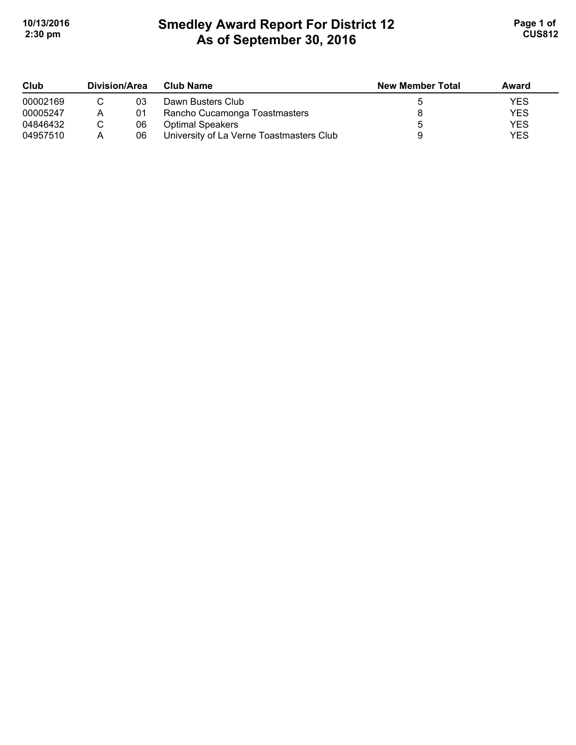# **Smedley Award Report For District 12 As of September 30, 2016**  10/13/2016 **Page 1 of Smedley Award Report For District 12 Page 1 of Page 1 of 2:30 pm CUS812**

| Club     | Division/Area |    | <b>Club Name</b>                         | <b>New Member Total</b> | Award      |
|----------|---------------|----|------------------------------------------|-------------------------|------------|
| 00002169 |               | 03 | Dawn Busters Club                        |                         | YES        |
| 00005247 | Α             | 01 | Rancho Cucamonga Toastmasters            |                         | <b>YES</b> |
| 04846432 |               | 06 | <b>Optimal Speakers</b>                  |                         | <b>YES</b> |
| 04957510 |               | 06 | University of La Verne Toastmasters Club |                         | <b>YES</b> |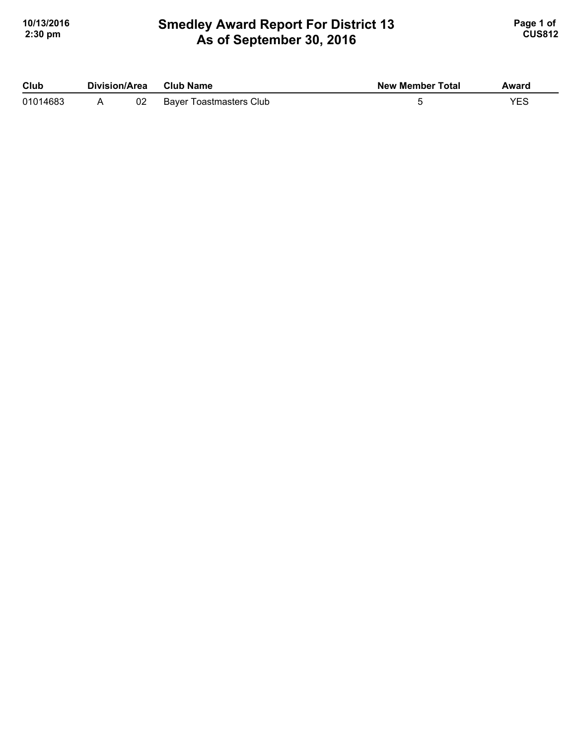## **Smedley Award Report For District 13 As of September 30, 2016**  10/13/2016 **Page 1 of Smedley Award Report For District 13 Page 1 of Page 1 of 2:30 pm CUS812**

| Club     | Division/Area |    | Club Name               | <b>New Member Total</b> | Award |
|----------|---------------|----|-------------------------|-------------------------|-------|
| 01014683 |               | 02 | Bayer Toastmasters Club |                         |       |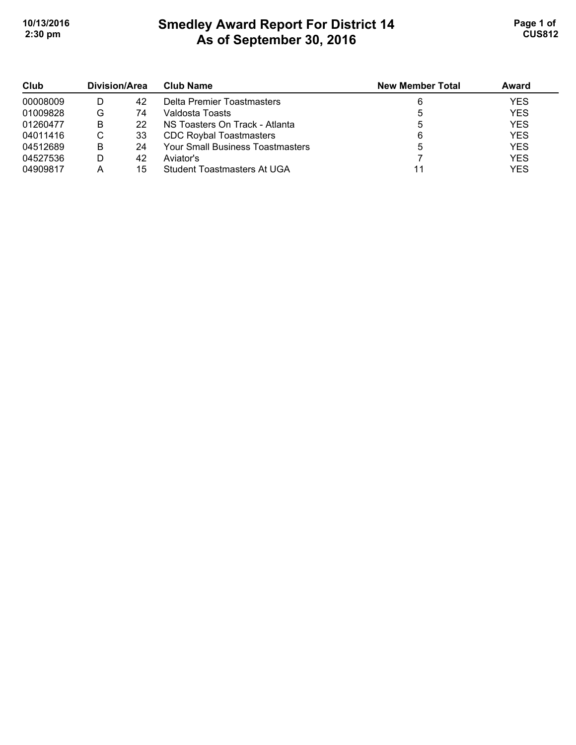# **Smedley Award Report For District 14 As of September 30, 2016 10/13/2016 Page 1 of Smedley Award Report For District 14 Page 1 of Page 1 of 2:30 pm CUS812**

| Club<br>00008009 | Division/Area |    | <b>Club Name</b>                        | <b>New Member Total</b> | Award      |
|------------------|---------------|----|-----------------------------------------|-------------------------|------------|
|                  |               | 42 | Delta Premier Toastmasters              |                         | <b>YES</b> |
| 01009828         | G             | 74 | Valdosta Toasts                         |                         | <b>YES</b> |
| 01260477         | В             | 22 | NS Toasters On Track - Atlanta          |                         | <b>YES</b> |
| 04011416         | C             | 33 | <b>CDC Roybal Toastmasters</b>          |                         | <b>YES</b> |
| 04512689         | В             | 24 | <b>Your Small Business Toastmasters</b> |                         | <b>YES</b> |
| 04527536         |               | 42 | Aviator's                               |                         | <b>YES</b> |
| 04909817         |               | 15 | Student Toastmasters At UGA             |                         | <b>YES</b> |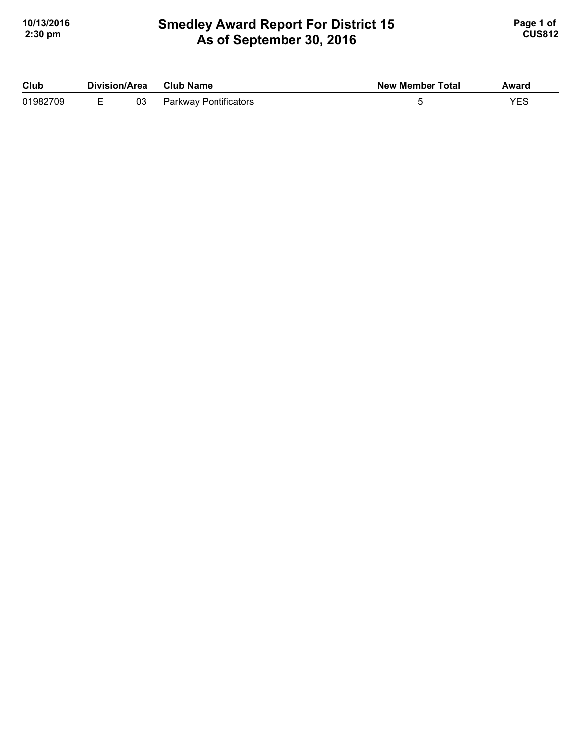## **Smedley Award Report For District 15 As of September 30, 2016 10/13/2016 Page 1 of Smedley Award Report For District 15 Page 1 of Page 1 of 2:30 pm CUS812**

| Club     | Division/Area |    | <b>Club Name</b>      | <b>New Member Total</b> | Award |
|----------|---------------|----|-----------------------|-------------------------|-------|
| 01982709 |               | 03 | Parkway Pontificators |                         | YES   |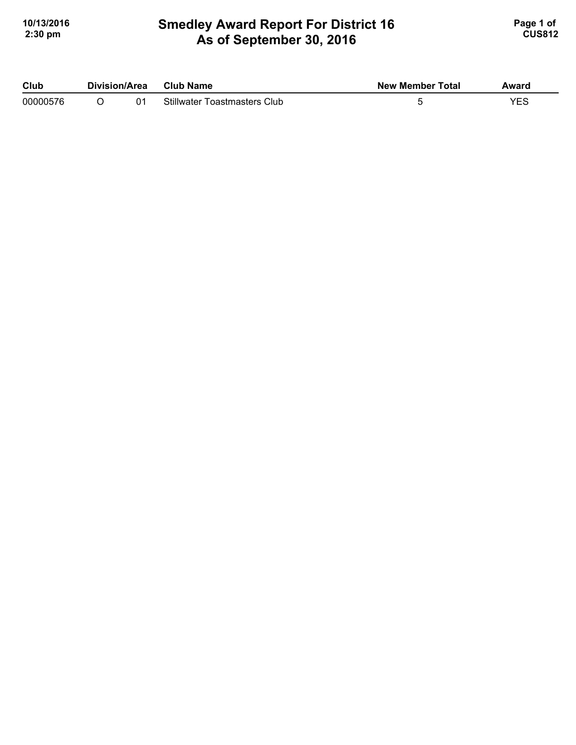## **Smedley Award Report For District 16 As of September 30, 2016 10/13/2016 Page 1 of Smedley Award Report For District 16 <b>Page 1 of** Page 1 of **2:30 pm CUS812**

| Club     | Division/Area | Club Name                           | <b>New Member Total</b> | Award |
|----------|---------------|-------------------------------------|-------------------------|-------|
| 00000576 |               | <b>Stillwater Toastmasters Club</b> |                         |       |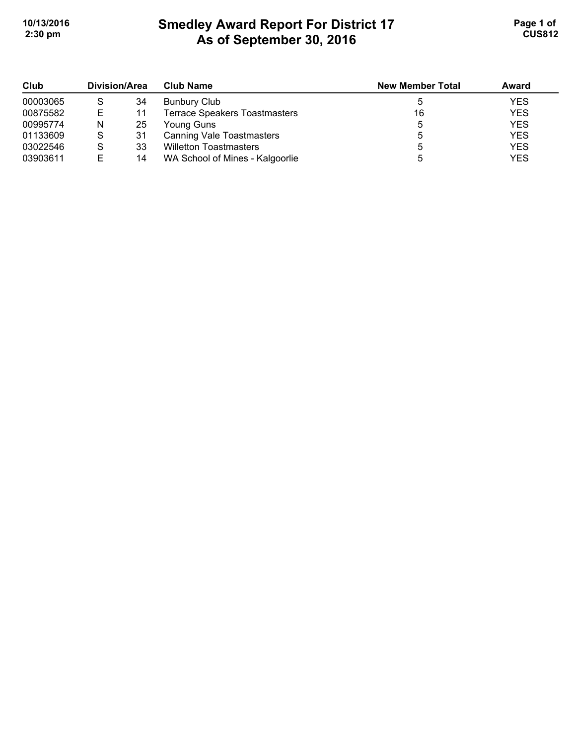# **Smedley Award Report For District 17 As of September 30, 2016 10/13/2016 Page 1 of Smedley Award Report For District 17 Page 1 of 1 2:30 pm CUS812**

| Club     | <b>Division/Area</b> |    | <b>Club Name</b>                     | <b>New Member Total</b> | Award      |
|----------|----------------------|----|--------------------------------------|-------------------------|------------|
| 00003065 |                      | 34 | <b>Bunbury Club</b>                  |                         | <b>YES</b> |
| 00875582 | Е                    | 11 | <b>Terrace Speakers Toastmasters</b> | 16                      | <b>YES</b> |
| 00995774 | N                    | 25 | Young Guns                           |                         | <b>YES</b> |
| 01133609 | S                    | 31 | <b>Canning Vale Toastmasters</b>     |                         | <b>YES</b> |
| 03022546 |                      | 33 | <b>Willetton Toastmasters</b>        |                         | <b>YES</b> |
| 03903611 |                      | 14 | WA School of Mines - Kalgoorlie      |                         | <b>YES</b> |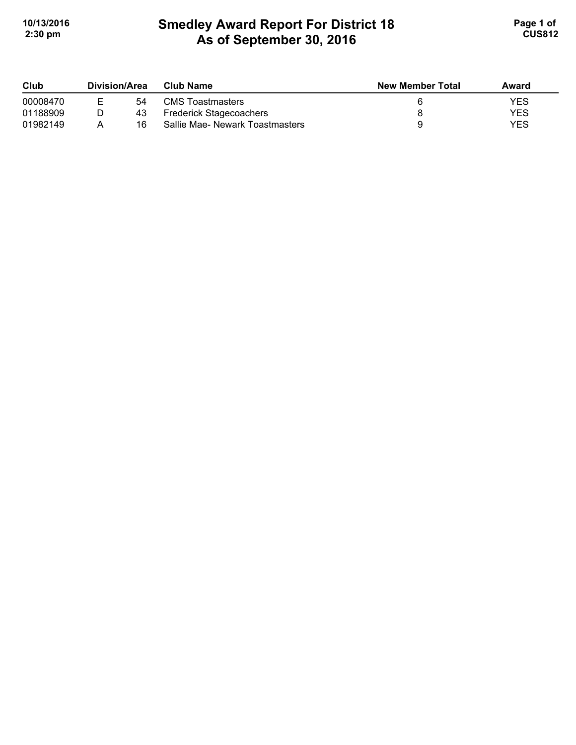# **Smedley Award Report For District 18 As of September 30, 2016**  10/13/2016 **Page 1 of Smedley Award Report For District 18 Page 1 of Page 1 of 2:30 pm CUS812**

| Club     | Division/Area |    | Club Name                       | <b>New Member Total</b> | Award      |
|----------|---------------|----|---------------------------------|-------------------------|------------|
| 00008470 | F.            | 54 | <b>CMS</b> Toastmasters         |                         | YES        |
| 01188909 |               | 43 | <b>Frederick Stagecoachers</b>  |                         | <b>YES</b> |
| 01982149 |               | 16 | Sallie Mae- Newark Toastmasters |                         | YES        |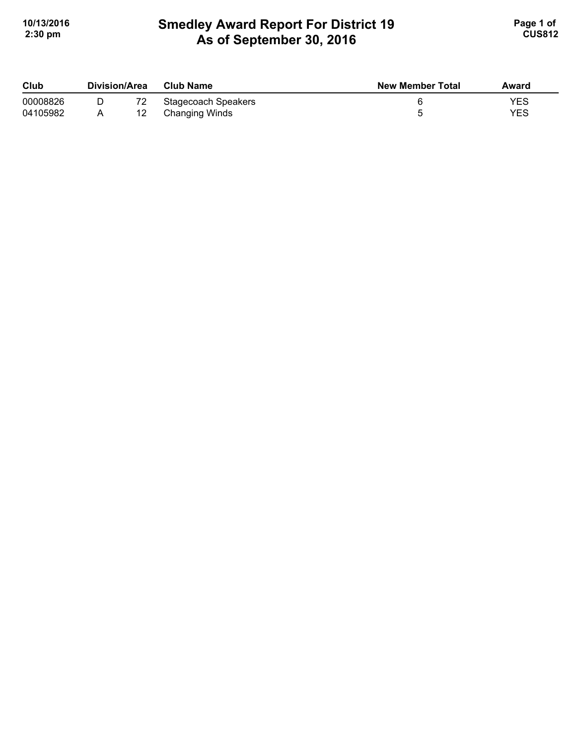# **Smedley Award Report For District 19 As of September 30, 2016**  10/13/2016 **Page 1 of Smedley Award Report For District 19 Page 1 of Page 1 of 2:30 pm CUS812**

| Club     | Division/Area | Club Name           | <b>New Member Total</b> | Award |
|----------|---------------|---------------------|-------------------------|-------|
| 00008826 |               | Stagecoach Speakers |                         | YES   |
| 04105982 |               | Changing Winds      |                         | YES   |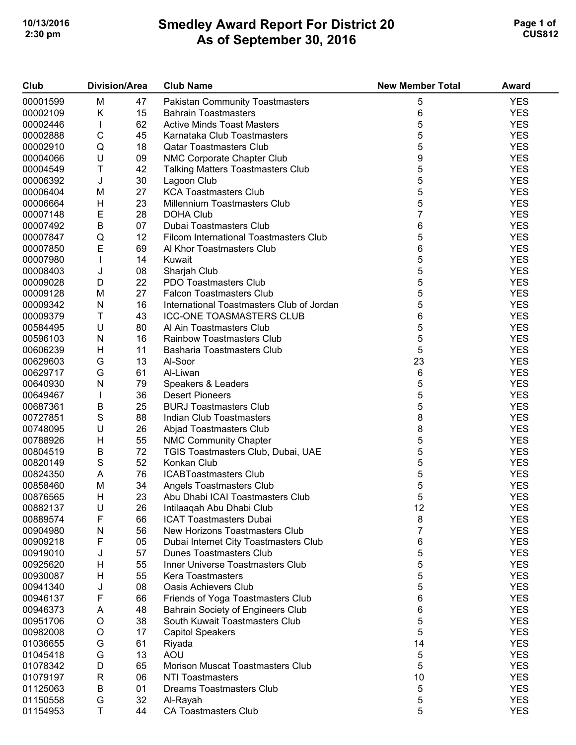# **Smedley Award Report For District 20 As of September 30, 2016**  10/13/2016 **Page 1 of Smedley Award Report For District 20 Page 1 of Page 1 of 2:30 pm CUS812**

| <b>YES</b><br>00001599<br>M<br><b>Pakistan Community Toastmasters</b><br>47<br>5<br>6<br>00002109<br>Κ<br><b>YES</b><br>15<br><b>Bahrain Toastmasters</b><br>5<br><b>YES</b><br>62<br><b>Active Minds Toast Masters</b><br>00002446<br>L<br>5<br>$\mathsf C$<br><b>YES</b><br>45<br>00002888<br>Karnataka Club Toastmasters<br>5<br>Q<br><b>YES</b><br>00002910<br>18<br><b>Qatar Toastmasters Club</b><br>9<br>U<br><b>YES</b><br>00004066<br>09<br>NMC Corporate Chapter Club<br>Τ<br>5<br><b>YES</b><br>00004549<br>42<br><b>Talking Matters Toastmasters Club</b><br>5<br>J<br><b>YES</b><br>30<br>00006392<br>Lagoon Club<br>5<br><b>YES</b><br>27<br><b>KCA Toastmasters Club</b><br>00006404<br>M<br>5<br><b>YES</b><br>H<br>23<br>00006664<br>Millennium Toastmasters Club<br>$\overline{7}$<br>E<br><b>YES</b><br>28<br>00007148<br><b>DOHA Club</b><br>B<br>6<br><b>YES</b><br>07<br>00007492<br>Dubai Toastmasters Club<br>5<br><b>YES</b><br>Q<br>12<br><b>Filcom International Toastmasters Club</b><br>00007847<br>E<br>6<br><b>YES</b><br>00007850<br>69<br>Al Khor Toastmasters Club<br>5<br><b>YES</b><br>00007980<br>I<br>14<br>Kuwait<br>5<br><b>YES</b><br>J<br>00008403<br>08<br>Sharjah Club<br>5<br>$\mathsf D$<br><b>YES</b><br>22<br>00009028<br>PDO Toastmasters Club<br>5<br>27<br><b>YES</b><br>00009128<br>M<br><b>Falcon Toastmasters Club</b><br>5<br><b>YES</b><br>16<br>00009342<br>N<br>International Toastmasters Club of Jordan<br>Τ<br>6<br><b>YES</b><br><b>ICC-ONE TOASMASTERS CLUB</b><br>00009379<br>43<br>5<br>U<br><b>YES</b><br>00584495<br>80<br>Al Ain Toastmasters Club<br>5<br><b>YES</b><br>${\sf N}$<br>00596103<br>16<br><b>Rainbow Toastmasters Club</b><br>5<br><b>YES</b><br>Н<br>00606239<br>11<br><b>Basharia Toastmasters Club</b><br>23<br><b>YES</b><br>G<br>13<br>00629603<br>Al-Soor<br>G<br>6<br><b>YES</b><br>00629717<br>61<br>Al-Liwan<br>5<br><b>YES</b><br>N<br>00640930<br>79<br>Speakers & Leaders<br>5<br><b>YES</b><br>36<br><b>Desert Pioneers</b><br>00649467<br>L<br>5<br><b>YES</b><br>00687361<br>В<br>25<br><b>BURJ Toastmasters Club</b><br>8<br>S<br><b>YES</b><br>00727851<br>88<br>Indian Club Toastmasters<br>8<br>U<br><b>YES</b><br>00748095<br>26<br>Abjad Toastmasters Club<br>5<br>$\boldsymbol{\mathsf{H}}$<br><b>YES</b><br>55<br>00788926<br><b>NMC Community Chapter</b><br>5<br><b>YES</b><br>В<br>72<br>00804519<br>TGIS Toastmasters Club, Dubai, UAE<br>S<br>5<br><b>YES</b><br>52<br>00820149<br>Konkan Club<br>5<br><b>YES</b><br>00824350<br>76<br>A<br><b>ICABToastmasters Club</b><br>5<br>00858460<br>M<br><b>YES</b><br>34<br>Angels Toastmasters Club<br>5<br><b>YES</b><br>00876565<br>Н<br>23<br>Abu Dhabi ICAI Toastmasters Club<br>U<br>12<br>00882137<br>26<br>Intilaaqah Abu Dhabi Club<br><b>YES</b><br>F<br>8<br><b>ICAT Toastmasters Dubai</b><br><b>YES</b><br>00889574<br>66<br>7<br><b>YES</b><br>56<br>00904980<br>N<br>New Horizons Toastmasters Club<br>6<br><b>YES</b><br>F<br>05<br>00909218<br>Dubai Internet City Toastmasters Club<br>5<br><b>YES</b><br>57<br>Dunes Toastmasters Club<br>00919010<br>J<br>5<br><b>YES</b><br>Η<br>55<br>00925620<br>Inner Universe Toastmasters Club<br>5<br><b>YES</b><br>55<br>00930087<br>Н<br><b>Kera Toastmasters</b><br>5<br><b>YES</b><br>00941340<br>J<br>08<br><b>Oasis Achievers Club</b><br>F<br>6<br><b>YES</b><br>00946137<br>66<br>Friends of Yoga Toastmasters Club<br>6<br><b>YES</b><br><b>Bahrain Society of Engineers Club</b><br>00946373<br>48<br>A<br>5<br><b>YES</b><br>$\circ$<br>00951706<br>38<br>South Kuwait Toastmasters Club<br>5<br><b>YES</b><br>$\circ$<br>17<br>00982008<br><b>Capitol Speakers</b><br><b>YES</b><br>G<br>61<br>14<br>01036655<br>Riyada<br>G<br>5<br><b>YES</b><br>13<br><b>AOU</b><br>01045418<br>5<br><b>YES</b><br>D<br>65<br>Morison Muscat Toastmasters Club<br>01078342<br>10<br><b>YES</b><br>$\mathsf R$<br>06<br><b>NTI Toastmasters</b><br>01079197<br><b>YES</b><br>01125063<br>B<br>5<br>01<br><b>Dreams Toastmasters Club</b><br>5<br><b>YES</b><br>G<br>01150558<br>32<br>Al-Rayah<br>T<br><b>YES</b><br>5<br>01154953<br><b>CA Toastmasters Club</b><br>44 | Club | <b>Division/Area</b> | <b>Club Name</b> | <b>New Member Total</b> | Award |
|------------------------------------------------------------------------------------------------------------------------------------------------------------------------------------------------------------------------------------------------------------------------------------------------------------------------------------------------------------------------------------------------------------------------------------------------------------------------------------------------------------------------------------------------------------------------------------------------------------------------------------------------------------------------------------------------------------------------------------------------------------------------------------------------------------------------------------------------------------------------------------------------------------------------------------------------------------------------------------------------------------------------------------------------------------------------------------------------------------------------------------------------------------------------------------------------------------------------------------------------------------------------------------------------------------------------------------------------------------------------------------------------------------------------------------------------------------------------------------------------------------------------------------------------------------------------------------------------------------------------------------------------------------------------------------------------------------------------------------------------------------------------------------------------------------------------------------------------------------------------------------------------------------------------------------------------------------------------------------------------------------------------------------------------------------------------------------------------------------------------------------------------------------------------------------------------------------------------------------------------------------------------------------------------------------------------------------------------------------------------------------------------------------------------------------------------------------------------------------------------------------------------------------------------------------------------------------------------------------------------------------------------------------------------------------------------------------------------------------------------------------------------------------------------------------------------------------------------------------------------------------------------------------------------------------------------------------------------------------------------------------------------------------------------------------------------------------------------------------------------------------------------------------------------------------------------------------------------------------------------------------------------------------------------------------------------------------------------------------------------------------------------------------------------------------------------------------------------------------------------------------------------------------------------------------------------------------------------------------------------------------------------------------------------------------------------------------------------------------------------------------------------------------------------------------------------------------------------------------------------------------------------------------------------------------------------------------------------------------------------------------------------------------------------------------------------------------------------------------------------------------------------------------------------------------------|------|----------------------|------------------|-------------------------|-------|
|                                                                                                                                                                                                                                                                                                                                                                                                                                                                                                                                                                                                                                                                                                                                                                                                                                                                                                                                                                                                                                                                                                                                                                                                                                                                                                                                                                                                                                                                                                                                                                                                                                                                                                                                                                                                                                                                                                                                                                                                                                                                                                                                                                                                                                                                                                                                                                                                                                                                                                                                                                                                                                                                                                                                                                                                                                                                                                                                                                                                                                                                                                                                                                                                                                                                                                                                                                                                                                                                                                                                                                                                                                                                                                                                                                                                                                                                                                                                                                                                                                                                                                                                                                                          |      |                      |                  |                         |       |
|                                                                                                                                                                                                                                                                                                                                                                                                                                                                                                                                                                                                                                                                                                                                                                                                                                                                                                                                                                                                                                                                                                                                                                                                                                                                                                                                                                                                                                                                                                                                                                                                                                                                                                                                                                                                                                                                                                                                                                                                                                                                                                                                                                                                                                                                                                                                                                                                                                                                                                                                                                                                                                                                                                                                                                                                                                                                                                                                                                                                                                                                                                                                                                                                                                                                                                                                                                                                                                                                                                                                                                                                                                                                                                                                                                                                                                                                                                                                                                                                                                                                                                                                                                                          |      |                      |                  |                         |       |
|                                                                                                                                                                                                                                                                                                                                                                                                                                                                                                                                                                                                                                                                                                                                                                                                                                                                                                                                                                                                                                                                                                                                                                                                                                                                                                                                                                                                                                                                                                                                                                                                                                                                                                                                                                                                                                                                                                                                                                                                                                                                                                                                                                                                                                                                                                                                                                                                                                                                                                                                                                                                                                                                                                                                                                                                                                                                                                                                                                                                                                                                                                                                                                                                                                                                                                                                                                                                                                                                                                                                                                                                                                                                                                                                                                                                                                                                                                                                                                                                                                                                                                                                                                                          |      |                      |                  |                         |       |
|                                                                                                                                                                                                                                                                                                                                                                                                                                                                                                                                                                                                                                                                                                                                                                                                                                                                                                                                                                                                                                                                                                                                                                                                                                                                                                                                                                                                                                                                                                                                                                                                                                                                                                                                                                                                                                                                                                                                                                                                                                                                                                                                                                                                                                                                                                                                                                                                                                                                                                                                                                                                                                                                                                                                                                                                                                                                                                                                                                                                                                                                                                                                                                                                                                                                                                                                                                                                                                                                                                                                                                                                                                                                                                                                                                                                                                                                                                                                                                                                                                                                                                                                                                                          |      |                      |                  |                         |       |
|                                                                                                                                                                                                                                                                                                                                                                                                                                                                                                                                                                                                                                                                                                                                                                                                                                                                                                                                                                                                                                                                                                                                                                                                                                                                                                                                                                                                                                                                                                                                                                                                                                                                                                                                                                                                                                                                                                                                                                                                                                                                                                                                                                                                                                                                                                                                                                                                                                                                                                                                                                                                                                                                                                                                                                                                                                                                                                                                                                                                                                                                                                                                                                                                                                                                                                                                                                                                                                                                                                                                                                                                                                                                                                                                                                                                                                                                                                                                                                                                                                                                                                                                                                                          |      |                      |                  |                         |       |
|                                                                                                                                                                                                                                                                                                                                                                                                                                                                                                                                                                                                                                                                                                                                                                                                                                                                                                                                                                                                                                                                                                                                                                                                                                                                                                                                                                                                                                                                                                                                                                                                                                                                                                                                                                                                                                                                                                                                                                                                                                                                                                                                                                                                                                                                                                                                                                                                                                                                                                                                                                                                                                                                                                                                                                                                                                                                                                                                                                                                                                                                                                                                                                                                                                                                                                                                                                                                                                                                                                                                                                                                                                                                                                                                                                                                                                                                                                                                                                                                                                                                                                                                                                                          |      |                      |                  |                         |       |
|                                                                                                                                                                                                                                                                                                                                                                                                                                                                                                                                                                                                                                                                                                                                                                                                                                                                                                                                                                                                                                                                                                                                                                                                                                                                                                                                                                                                                                                                                                                                                                                                                                                                                                                                                                                                                                                                                                                                                                                                                                                                                                                                                                                                                                                                                                                                                                                                                                                                                                                                                                                                                                                                                                                                                                                                                                                                                                                                                                                                                                                                                                                                                                                                                                                                                                                                                                                                                                                                                                                                                                                                                                                                                                                                                                                                                                                                                                                                                                                                                                                                                                                                                                                          |      |                      |                  |                         |       |
|                                                                                                                                                                                                                                                                                                                                                                                                                                                                                                                                                                                                                                                                                                                                                                                                                                                                                                                                                                                                                                                                                                                                                                                                                                                                                                                                                                                                                                                                                                                                                                                                                                                                                                                                                                                                                                                                                                                                                                                                                                                                                                                                                                                                                                                                                                                                                                                                                                                                                                                                                                                                                                                                                                                                                                                                                                                                                                                                                                                                                                                                                                                                                                                                                                                                                                                                                                                                                                                                                                                                                                                                                                                                                                                                                                                                                                                                                                                                                                                                                                                                                                                                                                                          |      |                      |                  |                         |       |
|                                                                                                                                                                                                                                                                                                                                                                                                                                                                                                                                                                                                                                                                                                                                                                                                                                                                                                                                                                                                                                                                                                                                                                                                                                                                                                                                                                                                                                                                                                                                                                                                                                                                                                                                                                                                                                                                                                                                                                                                                                                                                                                                                                                                                                                                                                                                                                                                                                                                                                                                                                                                                                                                                                                                                                                                                                                                                                                                                                                                                                                                                                                                                                                                                                                                                                                                                                                                                                                                                                                                                                                                                                                                                                                                                                                                                                                                                                                                                                                                                                                                                                                                                                                          |      |                      |                  |                         |       |
|                                                                                                                                                                                                                                                                                                                                                                                                                                                                                                                                                                                                                                                                                                                                                                                                                                                                                                                                                                                                                                                                                                                                                                                                                                                                                                                                                                                                                                                                                                                                                                                                                                                                                                                                                                                                                                                                                                                                                                                                                                                                                                                                                                                                                                                                                                                                                                                                                                                                                                                                                                                                                                                                                                                                                                                                                                                                                                                                                                                                                                                                                                                                                                                                                                                                                                                                                                                                                                                                                                                                                                                                                                                                                                                                                                                                                                                                                                                                                                                                                                                                                                                                                                                          |      |                      |                  |                         |       |
|                                                                                                                                                                                                                                                                                                                                                                                                                                                                                                                                                                                                                                                                                                                                                                                                                                                                                                                                                                                                                                                                                                                                                                                                                                                                                                                                                                                                                                                                                                                                                                                                                                                                                                                                                                                                                                                                                                                                                                                                                                                                                                                                                                                                                                                                                                                                                                                                                                                                                                                                                                                                                                                                                                                                                                                                                                                                                                                                                                                                                                                                                                                                                                                                                                                                                                                                                                                                                                                                                                                                                                                                                                                                                                                                                                                                                                                                                                                                                                                                                                                                                                                                                                                          |      |                      |                  |                         |       |
|                                                                                                                                                                                                                                                                                                                                                                                                                                                                                                                                                                                                                                                                                                                                                                                                                                                                                                                                                                                                                                                                                                                                                                                                                                                                                                                                                                                                                                                                                                                                                                                                                                                                                                                                                                                                                                                                                                                                                                                                                                                                                                                                                                                                                                                                                                                                                                                                                                                                                                                                                                                                                                                                                                                                                                                                                                                                                                                                                                                                                                                                                                                                                                                                                                                                                                                                                                                                                                                                                                                                                                                                                                                                                                                                                                                                                                                                                                                                                                                                                                                                                                                                                                                          |      |                      |                  |                         |       |
|                                                                                                                                                                                                                                                                                                                                                                                                                                                                                                                                                                                                                                                                                                                                                                                                                                                                                                                                                                                                                                                                                                                                                                                                                                                                                                                                                                                                                                                                                                                                                                                                                                                                                                                                                                                                                                                                                                                                                                                                                                                                                                                                                                                                                                                                                                                                                                                                                                                                                                                                                                                                                                                                                                                                                                                                                                                                                                                                                                                                                                                                                                                                                                                                                                                                                                                                                                                                                                                                                                                                                                                                                                                                                                                                                                                                                                                                                                                                                                                                                                                                                                                                                                                          |      |                      |                  |                         |       |
|                                                                                                                                                                                                                                                                                                                                                                                                                                                                                                                                                                                                                                                                                                                                                                                                                                                                                                                                                                                                                                                                                                                                                                                                                                                                                                                                                                                                                                                                                                                                                                                                                                                                                                                                                                                                                                                                                                                                                                                                                                                                                                                                                                                                                                                                                                                                                                                                                                                                                                                                                                                                                                                                                                                                                                                                                                                                                                                                                                                                                                                                                                                                                                                                                                                                                                                                                                                                                                                                                                                                                                                                                                                                                                                                                                                                                                                                                                                                                                                                                                                                                                                                                                                          |      |                      |                  |                         |       |
|                                                                                                                                                                                                                                                                                                                                                                                                                                                                                                                                                                                                                                                                                                                                                                                                                                                                                                                                                                                                                                                                                                                                                                                                                                                                                                                                                                                                                                                                                                                                                                                                                                                                                                                                                                                                                                                                                                                                                                                                                                                                                                                                                                                                                                                                                                                                                                                                                                                                                                                                                                                                                                                                                                                                                                                                                                                                                                                                                                                                                                                                                                                                                                                                                                                                                                                                                                                                                                                                                                                                                                                                                                                                                                                                                                                                                                                                                                                                                                                                                                                                                                                                                                                          |      |                      |                  |                         |       |
|                                                                                                                                                                                                                                                                                                                                                                                                                                                                                                                                                                                                                                                                                                                                                                                                                                                                                                                                                                                                                                                                                                                                                                                                                                                                                                                                                                                                                                                                                                                                                                                                                                                                                                                                                                                                                                                                                                                                                                                                                                                                                                                                                                                                                                                                                                                                                                                                                                                                                                                                                                                                                                                                                                                                                                                                                                                                                                                                                                                                                                                                                                                                                                                                                                                                                                                                                                                                                                                                                                                                                                                                                                                                                                                                                                                                                                                                                                                                                                                                                                                                                                                                                                                          |      |                      |                  |                         |       |
|                                                                                                                                                                                                                                                                                                                                                                                                                                                                                                                                                                                                                                                                                                                                                                                                                                                                                                                                                                                                                                                                                                                                                                                                                                                                                                                                                                                                                                                                                                                                                                                                                                                                                                                                                                                                                                                                                                                                                                                                                                                                                                                                                                                                                                                                                                                                                                                                                                                                                                                                                                                                                                                                                                                                                                                                                                                                                                                                                                                                                                                                                                                                                                                                                                                                                                                                                                                                                                                                                                                                                                                                                                                                                                                                                                                                                                                                                                                                                                                                                                                                                                                                                                                          |      |                      |                  |                         |       |
|                                                                                                                                                                                                                                                                                                                                                                                                                                                                                                                                                                                                                                                                                                                                                                                                                                                                                                                                                                                                                                                                                                                                                                                                                                                                                                                                                                                                                                                                                                                                                                                                                                                                                                                                                                                                                                                                                                                                                                                                                                                                                                                                                                                                                                                                                                                                                                                                                                                                                                                                                                                                                                                                                                                                                                                                                                                                                                                                                                                                                                                                                                                                                                                                                                                                                                                                                                                                                                                                                                                                                                                                                                                                                                                                                                                                                                                                                                                                                                                                                                                                                                                                                                                          |      |                      |                  |                         |       |
|                                                                                                                                                                                                                                                                                                                                                                                                                                                                                                                                                                                                                                                                                                                                                                                                                                                                                                                                                                                                                                                                                                                                                                                                                                                                                                                                                                                                                                                                                                                                                                                                                                                                                                                                                                                                                                                                                                                                                                                                                                                                                                                                                                                                                                                                                                                                                                                                                                                                                                                                                                                                                                                                                                                                                                                                                                                                                                                                                                                                                                                                                                                                                                                                                                                                                                                                                                                                                                                                                                                                                                                                                                                                                                                                                                                                                                                                                                                                                                                                                                                                                                                                                                                          |      |                      |                  |                         |       |
|                                                                                                                                                                                                                                                                                                                                                                                                                                                                                                                                                                                                                                                                                                                                                                                                                                                                                                                                                                                                                                                                                                                                                                                                                                                                                                                                                                                                                                                                                                                                                                                                                                                                                                                                                                                                                                                                                                                                                                                                                                                                                                                                                                                                                                                                                                                                                                                                                                                                                                                                                                                                                                                                                                                                                                                                                                                                                                                                                                                                                                                                                                                                                                                                                                                                                                                                                                                                                                                                                                                                                                                                                                                                                                                                                                                                                                                                                                                                                                                                                                                                                                                                                                                          |      |                      |                  |                         |       |
|                                                                                                                                                                                                                                                                                                                                                                                                                                                                                                                                                                                                                                                                                                                                                                                                                                                                                                                                                                                                                                                                                                                                                                                                                                                                                                                                                                                                                                                                                                                                                                                                                                                                                                                                                                                                                                                                                                                                                                                                                                                                                                                                                                                                                                                                                                                                                                                                                                                                                                                                                                                                                                                                                                                                                                                                                                                                                                                                                                                                                                                                                                                                                                                                                                                                                                                                                                                                                                                                                                                                                                                                                                                                                                                                                                                                                                                                                                                                                                                                                                                                                                                                                                                          |      |                      |                  |                         |       |
|                                                                                                                                                                                                                                                                                                                                                                                                                                                                                                                                                                                                                                                                                                                                                                                                                                                                                                                                                                                                                                                                                                                                                                                                                                                                                                                                                                                                                                                                                                                                                                                                                                                                                                                                                                                                                                                                                                                                                                                                                                                                                                                                                                                                                                                                                                                                                                                                                                                                                                                                                                                                                                                                                                                                                                                                                                                                                                                                                                                                                                                                                                                                                                                                                                                                                                                                                                                                                                                                                                                                                                                                                                                                                                                                                                                                                                                                                                                                                                                                                                                                                                                                                                                          |      |                      |                  |                         |       |
|                                                                                                                                                                                                                                                                                                                                                                                                                                                                                                                                                                                                                                                                                                                                                                                                                                                                                                                                                                                                                                                                                                                                                                                                                                                                                                                                                                                                                                                                                                                                                                                                                                                                                                                                                                                                                                                                                                                                                                                                                                                                                                                                                                                                                                                                                                                                                                                                                                                                                                                                                                                                                                                                                                                                                                                                                                                                                                                                                                                                                                                                                                                                                                                                                                                                                                                                                                                                                                                                                                                                                                                                                                                                                                                                                                                                                                                                                                                                                                                                                                                                                                                                                                                          |      |                      |                  |                         |       |
|                                                                                                                                                                                                                                                                                                                                                                                                                                                                                                                                                                                                                                                                                                                                                                                                                                                                                                                                                                                                                                                                                                                                                                                                                                                                                                                                                                                                                                                                                                                                                                                                                                                                                                                                                                                                                                                                                                                                                                                                                                                                                                                                                                                                                                                                                                                                                                                                                                                                                                                                                                                                                                                                                                                                                                                                                                                                                                                                                                                                                                                                                                                                                                                                                                                                                                                                                                                                                                                                                                                                                                                                                                                                                                                                                                                                                                                                                                                                                                                                                                                                                                                                                                                          |      |                      |                  |                         |       |
|                                                                                                                                                                                                                                                                                                                                                                                                                                                                                                                                                                                                                                                                                                                                                                                                                                                                                                                                                                                                                                                                                                                                                                                                                                                                                                                                                                                                                                                                                                                                                                                                                                                                                                                                                                                                                                                                                                                                                                                                                                                                                                                                                                                                                                                                                                                                                                                                                                                                                                                                                                                                                                                                                                                                                                                                                                                                                                                                                                                                                                                                                                                                                                                                                                                                                                                                                                                                                                                                                                                                                                                                                                                                                                                                                                                                                                                                                                                                                                                                                                                                                                                                                                                          |      |                      |                  |                         |       |
|                                                                                                                                                                                                                                                                                                                                                                                                                                                                                                                                                                                                                                                                                                                                                                                                                                                                                                                                                                                                                                                                                                                                                                                                                                                                                                                                                                                                                                                                                                                                                                                                                                                                                                                                                                                                                                                                                                                                                                                                                                                                                                                                                                                                                                                                                                                                                                                                                                                                                                                                                                                                                                                                                                                                                                                                                                                                                                                                                                                                                                                                                                                                                                                                                                                                                                                                                                                                                                                                                                                                                                                                                                                                                                                                                                                                                                                                                                                                                                                                                                                                                                                                                                                          |      |                      |                  |                         |       |
|                                                                                                                                                                                                                                                                                                                                                                                                                                                                                                                                                                                                                                                                                                                                                                                                                                                                                                                                                                                                                                                                                                                                                                                                                                                                                                                                                                                                                                                                                                                                                                                                                                                                                                                                                                                                                                                                                                                                                                                                                                                                                                                                                                                                                                                                                                                                                                                                                                                                                                                                                                                                                                                                                                                                                                                                                                                                                                                                                                                                                                                                                                                                                                                                                                                                                                                                                                                                                                                                                                                                                                                                                                                                                                                                                                                                                                                                                                                                                                                                                                                                                                                                                                                          |      |                      |                  |                         |       |
|                                                                                                                                                                                                                                                                                                                                                                                                                                                                                                                                                                                                                                                                                                                                                                                                                                                                                                                                                                                                                                                                                                                                                                                                                                                                                                                                                                                                                                                                                                                                                                                                                                                                                                                                                                                                                                                                                                                                                                                                                                                                                                                                                                                                                                                                                                                                                                                                                                                                                                                                                                                                                                                                                                                                                                                                                                                                                                                                                                                                                                                                                                                                                                                                                                                                                                                                                                                                                                                                                                                                                                                                                                                                                                                                                                                                                                                                                                                                                                                                                                                                                                                                                                                          |      |                      |                  |                         |       |
|                                                                                                                                                                                                                                                                                                                                                                                                                                                                                                                                                                                                                                                                                                                                                                                                                                                                                                                                                                                                                                                                                                                                                                                                                                                                                                                                                                                                                                                                                                                                                                                                                                                                                                                                                                                                                                                                                                                                                                                                                                                                                                                                                                                                                                                                                                                                                                                                                                                                                                                                                                                                                                                                                                                                                                                                                                                                                                                                                                                                                                                                                                                                                                                                                                                                                                                                                                                                                                                                                                                                                                                                                                                                                                                                                                                                                                                                                                                                                                                                                                                                                                                                                                                          |      |                      |                  |                         |       |
|                                                                                                                                                                                                                                                                                                                                                                                                                                                                                                                                                                                                                                                                                                                                                                                                                                                                                                                                                                                                                                                                                                                                                                                                                                                                                                                                                                                                                                                                                                                                                                                                                                                                                                                                                                                                                                                                                                                                                                                                                                                                                                                                                                                                                                                                                                                                                                                                                                                                                                                                                                                                                                                                                                                                                                                                                                                                                                                                                                                                                                                                                                                                                                                                                                                                                                                                                                                                                                                                                                                                                                                                                                                                                                                                                                                                                                                                                                                                                                                                                                                                                                                                                                                          |      |                      |                  |                         |       |
|                                                                                                                                                                                                                                                                                                                                                                                                                                                                                                                                                                                                                                                                                                                                                                                                                                                                                                                                                                                                                                                                                                                                                                                                                                                                                                                                                                                                                                                                                                                                                                                                                                                                                                                                                                                                                                                                                                                                                                                                                                                                                                                                                                                                                                                                                                                                                                                                                                                                                                                                                                                                                                                                                                                                                                                                                                                                                                                                                                                                                                                                                                                                                                                                                                                                                                                                                                                                                                                                                                                                                                                                                                                                                                                                                                                                                                                                                                                                                                                                                                                                                                                                                                                          |      |                      |                  |                         |       |
|                                                                                                                                                                                                                                                                                                                                                                                                                                                                                                                                                                                                                                                                                                                                                                                                                                                                                                                                                                                                                                                                                                                                                                                                                                                                                                                                                                                                                                                                                                                                                                                                                                                                                                                                                                                                                                                                                                                                                                                                                                                                                                                                                                                                                                                                                                                                                                                                                                                                                                                                                                                                                                                                                                                                                                                                                                                                                                                                                                                                                                                                                                                                                                                                                                                                                                                                                                                                                                                                                                                                                                                                                                                                                                                                                                                                                                                                                                                                                                                                                                                                                                                                                                                          |      |                      |                  |                         |       |
|                                                                                                                                                                                                                                                                                                                                                                                                                                                                                                                                                                                                                                                                                                                                                                                                                                                                                                                                                                                                                                                                                                                                                                                                                                                                                                                                                                                                                                                                                                                                                                                                                                                                                                                                                                                                                                                                                                                                                                                                                                                                                                                                                                                                                                                                                                                                                                                                                                                                                                                                                                                                                                                                                                                                                                                                                                                                                                                                                                                                                                                                                                                                                                                                                                                                                                                                                                                                                                                                                                                                                                                                                                                                                                                                                                                                                                                                                                                                                                                                                                                                                                                                                                                          |      |                      |                  |                         |       |
|                                                                                                                                                                                                                                                                                                                                                                                                                                                                                                                                                                                                                                                                                                                                                                                                                                                                                                                                                                                                                                                                                                                                                                                                                                                                                                                                                                                                                                                                                                                                                                                                                                                                                                                                                                                                                                                                                                                                                                                                                                                                                                                                                                                                                                                                                                                                                                                                                                                                                                                                                                                                                                                                                                                                                                                                                                                                                                                                                                                                                                                                                                                                                                                                                                                                                                                                                                                                                                                                                                                                                                                                                                                                                                                                                                                                                                                                                                                                                                                                                                                                                                                                                                                          |      |                      |                  |                         |       |
|                                                                                                                                                                                                                                                                                                                                                                                                                                                                                                                                                                                                                                                                                                                                                                                                                                                                                                                                                                                                                                                                                                                                                                                                                                                                                                                                                                                                                                                                                                                                                                                                                                                                                                                                                                                                                                                                                                                                                                                                                                                                                                                                                                                                                                                                                                                                                                                                                                                                                                                                                                                                                                                                                                                                                                                                                                                                                                                                                                                                                                                                                                                                                                                                                                                                                                                                                                                                                                                                                                                                                                                                                                                                                                                                                                                                                                                                                                                                                                                                                                                                                                                                                                                          |      |                      |                  |                         |       |
|                                                                                                                                                                                                                                                                                                                                                                                                                                                                                                                                                                                                                                                                                                                                                                                                                                                                                                                                                                                                                                                                                                                                                                                                                                                                                                                                                                                                                                                                                                                                                                                                                                                                                                                                                                                                                                                                                                                                                                                                                                                                                                                                                                                                                                                                                                                                                                                                                                                                                                                                                                                                                                                                                                                                                                                                                                                                                                                                                                                                                                                                                                                                                                                                                                                                                                                                                                                                                                                                                                                                                                                                                                                                                                                                                                                                                                                                                                                                                                                                                                                                                                                                                                                          |      |                      |                  |                         |       |
|                                                                                                                                                                                                                                                                                                                                                                                                                                                                                                                                                                                                                                                                                                                                                                                                                                                                                                                                                                                                                                                                                                                                                                                                                                                                                                                                                                                                                                                                                                                                                                                                                                                                                                                                                                                                                                                                                                                                                                                                                                                                                                                                                                                                                                                                                                                                                                                                                                                                                                                                                                                                                                                                                                                                                                                                                                                                                                                                                                                                                                                                                                                                                                                                                                                                                                                                                                                                                                                                                                                                                                                                                                                                                                                                                                                                                                                                                                                                                                                                                                                                                                                                                                                          |      |                      |                  |                         |       |
|                                                                                                                                                                                                                                                                                                                                                                                                                                                                                                                                                                                                                                                                                                                                                                                                                                                                                                                                                                                                                                                                                                                                                                                                                                                                                                                                                                                                                                                                                                                                                                                                                                                                                                                                                                                                                                                                                                                                                                                                                                                                                                                                                                                                                                                                                                                                                                                                                                                                                                                                                                                                                                                                                                                                                                                                                                                                                                                                                                                                                                                                                                                                                                                                                                                                                                                                                                                                                                                                                                                                                                                                                                                                                                                                                                                                                                                                                                                                                                                                                                                                                                                                                                                          |      |                      |                  |                         |       |
|                                                                                                                                                                                                                                                                                                                                                                                                                                                                                                                                                                                                                                                                                                                                                                                                                                                                                                                                                                                                                                                                                                                                                                                                                                                                                                                                                                                                                                                                                                                                                                                                                                                                                                                                                                                                                                                                                                                                                                                                                                                                                                                                                                                                                                                                                                                                                                                                                                                                                                                                                                                                                                                                                                                                                                                                                                                                                                                                                                                                                                                                                                                                                                                                                                                                                                                                                                                                                                                                                                                                                                                                                                                                                                                                                                                                                                                                                                                                                                                                                                                                                                                                                                                          |      |                      |                  |                         |       |
|                                                                                                                                                                                                                                                                                                                                                                                                                                                                                                                                                                                                                                                                                                                                                                                                                                                                                                                                                                                                                                                                                                                                                                                                                                                                                                                                                                                                                                                                                                                                                                                                                                                                                                                                                                                                                                                                                                                                                                                                                                                                                                                                                                                                                                                                                                                                                                                                                                                                                                                                                                                                                                                                                                                                                                                                                                                                                                                                                                                                                                                                                                                                                                                                                                                                                                                                                                                                                                                                                                                                                                                                                                                                                                                                                                                                                                                                                                                                                                                                                                                                                                                                                                                          |      |                      |                  |                         |       |
|                                                                                                                                                                                                                                                                                                                                                                                                                                                                                                                                                                                                                                                                                                                                                                                                                                                                                                                                                                                                                                                                                                                                                                                                                                                                                                                                                                                                                                                                                                                                                                                                                                                                                                                                                                                                                                                                                                                                                                                                                                                                                                                                                                                                                                                                                                                                                                                                                                                                                                                                                                                                                                                                                                                                                                                                                                                                                                                                                                                                                                                                                                                                                                                                                                                                                                                                                                                                                                                                                                                                                                                                                                                                                                                                                                                                                                                                                                                                                                                                                                                                                                                                                                                          |      |                      |                  |                         |       |
|                                                                                                                                                                                                                                                                                                                                                                                                                                                                                                                                                                                                                                                                                                                                                                                                                                                                                                                                                                                                                                                                                                                                                                                                                                                                                                                                                                                                                                                                                                                                                                                                                                                                                                                                                                                                                                                                                                                                                                                                                                                                                                                                                                                                                                                                                                                                                                                                                                                                                                                                                                                                                                                                                                                                                                                                                                                                                                                                                                                                                                                                                                                                                                                                                                                                                                                                                                                                                                                                                                                                                                                                                                                                                                                                                                                                                                                                                                                                                                                                                                                                                                                                                                                          |      |                      |                  |                         |       |
|                                                                                                                                                                                                                                                                                                                                                                                                                                                                                                                                                                                                                                                                                                                                                                                                                                                                                                                                                                                                                                                                                                                                                                                                                                                                                                                                                                                                                                                                                                                                                                                                                                                                                                                                                                                                                                                                                                                                                                                                                                                                                                                                                                                                                                                                                                                                                                                                                                                                                                                                                                                                                                                                                                                                                                                                                                                                                                                                                                                                                                                                                                                                                                                                                                                                                                                                                                                                                                                                                                                                                                                                                                                                                                                                                                                                                                                                                                                                                                                                                                                                                                                                                                                          |      |                      |                  |                         |       |
|                                                                                                                                                                                                                                                                                                                                                                                                                                                                                                                                                                                                                                                                                                                                                                                                                                                                                                                                                                                                                                                                                                                                                                                                                                                                                                                                                                                                                                                                                                                                                                                                                                                                                                                                                                                                                                                                                                                                                                                                                                                                                                                                                                                                                                                                                                                                                                                                                                                                                                                                                                                                                                                                                                                                                                                                                                                                                                                                                                                                                                                                                                                                                                                                                                                                                                                                                                                                                                                                                                                                                                                                                                                                                                                                                                                                                                                                                                                                                                                                                                                                                                                                                                                          |      |                      |                  |                         |       |
|                                                                                                                                                                                                                                                                                                                                                                                                                                                                                                                                                                                                                                                                                                                                                                                                                                                                                                                                                                                                                                                                                                                                                                                                                                                                                                                                                                                                                                                                                                                                                                                                                                                                                                                                                                                                                                                                                                                                                                                                                                                                                                                                                                                                                                                                                                                                                                                                                                                                                                                                                                                                                                                                                                                                                                                                                                                                                                                                                                                                                                                                                                                                                                                                                                                                                                                                                                                                                                                                                                                                                                                                                                                                                                                                                                                                                                                                                                                                                                                                                                                                                                                                                                                          |      |                      |                  |                         |       |
|                                                                                                                                                                                                                                                                                                                                                                                                                                                                                                                                                                                                                                                                                                                                                                                                                                                                                                                                                                                                                                                                                                                                                                                                                                                                                                                                                                                                                                                                                                                                                                                                                                                                                                                                                                                                                                                                                                                                                                                                                                                                                                                                                                                                                                                                                                                                                                                                                                                                                                                                                                                                                                                                                                                                                                                                                                                                                                                                                                                                                                                                                                                                                                                                                                                                                                                                                                                                                                                                                                                                                                                                                                                                                                                                                                                                                                                                                                                                                                                                                                                                                                                                                                                          |      |                      |                  |                         |       |
|                                                                                                                                                                                                                                                                                                                                                                                                                                                                                                                                                                                                                                                                                                                                                                                                                                                                                                                                                                                                                                                                                                                                                                                                                                                                                                                                                                                                                                                                                                                                                                                                                                                                                                                                                                                                                                                                                                                                                                                                                                                                                                                                                                                                                                                                                                                                                                                                                                                                                                                                                                                                                                                                                                                                                                                                                                                                                                                                                                                                                                                                                                                                                                                                                                                                                                                                                                                                                                                                                                                                                                                                                                                                                                                                                                                                                                                                                                                                                                                                                                                                                                                                                                                          |      |                      |                  |                         |       |
|                                                                                                                                                                                                                                                                                                                                                                                                                                                                                                                                                                                                                                                                                                                                                                                                                                                                                                                                                                                                                                                                                                                                                                                                                                                                                                                                                                                                                                                                                                                                                                                                                                                                                                                                                                                                                                                                                                                                                                                                                                                                                                                                                                                                                                                                                                                                                                                                                                                                                                                                                                                                                                                                                                                                                                                                                                                                                                                                                                                                                                                                                                                                                                                                                                                                                                                                                                                                                                                                                                                                                                                                                                                                                                                                                                                                                                                                                                                                                                                                                                                                                                                                                                                          |      |                      |                  |                         |       |
|                                                                                                                                                                                                                                                                                                                                                                                                                                                                                                                                                                                                                                                                                                                                                                                                                                                                                                                                                                                                                                                                                                                                                                                                                                                                                                                                                                                                                                                                                                                                                                                                                                                                                                                                                                                                                                                                                                                                                                                                                                                                                                                                                                                                                                                                                                                                                                                                                                                                                                                                                                                                                                                                                                                                                                                                                                                                                                                                                                                                                                                                                                                                                                                                                                                                                                                                                                                                                                                                                                                                                                                                                                                                                                                                                                                                                                                                                                                                                                                                                                                                                                                                                                                          |      |                      |                  |                         |       |
|                                                                                                                                                                                                                                                                                                                                                                                                                                                                                                                                                                                                                                                                                                                                                                                                                                                                                                                                                                                                                                                                                                                                                                                                                                                                                                                                                                                                                                                                                                                                                                                                                                                                                                                                                                                                                                                                                                                                                                                                                                                                                                                                                                                                                                                                                                                                                                                                                                                                                                                                                                                                                                                                                                                                                                                                                                                                                                                                                                                                                                                                                                                                                                                                                                                                                                                                                                                                                                                                                                                                                                                                                                                                                                                                                                                                                                                                                                                                                                                                                                                                                                                                                                                          |      |                      |                  |                         |       |
|                                                                                                                                                                                                                                                                                                                                                                                                                                                                                                                                                                                                                                                                                                                                                                                                                                                                                                                                                                                                                                                                                                                                                                                                                                                                                                                                                                                                                                                                                                                                                                                                                                                                                                                                                                                                                                                                                                                                                                                                                                                                                                                                                                                                                                                                                                                                                                                                                                                                                                                                                                                                                                                                                                                                                                                                                                                                                                                                                                                                                                                                                                                                                                                                                                                                                                                                                                                                                                                                                                                                                                                                                                                                                                                                                                                                                                                                                                                                                                                                                                                                                                                                                                                          |      |                      |                  |                         |       |
|                                                                                                                                                                                                                                                                                                                                                                                                                                                                                                                                                                                                                                                                                                                                                                                                                                                                                                                                                                                                                                                                                                                                                                                                                                                                                                                                                                                                                                                                                                                                                                                                                                                                                                                                                                                                                                                                                                                                                                                                                                                                                                                                                                                                                                                                                                                                                                                                                                                                                                                                                                                                                                                                                                                                                                                                                                                                                                                                                                                                                                                                                                                                                                                                                                                                                                                                                                                                                                                                                                                                                                                                                                                                                                                                                                                                                                                                                                                                                                                                                                                                                                                                                                                          |      |                      |                  |                         |       |
|                                                                                                                                                                                                                                                                                                                                                                                                                                                                                                                                                                                                                                                                                                                                                                                                                                                                                                                                                                                                                                                                                                                                                                                                                                                                                                                                                                                                                                                                                                                                                                                                                                                                                                                                                                                                                                                                                                                                                                                                                                                                                                                                                                                                                                                                                                                                                                                                                                                                                                                                                                                                                                                                                                                                                                                                                                                                                                                                                                                                                                                                                                                                                                                                                                                                                                                                                                                                                                                                                                                                                                                                                                                                                                                                                                                                                                                                                                                                                                                                                                                                                                                                                                                          |      |                      |                  |                         |       |
|                                                                                                                                                                                                                                                                                                                                                                                                                                                                                                                                                                                                                                                                                                                                                                                                                                                                                                                                                                                                                                                                                                                                                                                                                                                                                                                                                                                                                                                                                                                                                                                                                                                                                                                                                                                                                                                                                                                                                                                                                                                                                                                                                                                                                                                                                                                                                                                                                                                                                                                                                                                                                                                                                                                                                                                                                                                                                                                                                                                                                                                                                                                                                                                                                                                                                                                                                                                                                                                                                                                                                                                                                                                                                                                                                                                                                                                                                                                                                                                                                                                                                                                                                                                          |      |                      |                  |                         |       |
|                                                                                                                                                                                                                                                                                                                                                                                                                                                                                                                                                                                                                                                                                                                                                                                                                                                                                                                                                                                                                                                                                                                                                                                                                                                                                                                                                                                                                                                                                                                                                                                                                                                                                                                                                                                                                                                                                                                                                                                                                                                                                                                                                                                                                                                                                                                                                                                                                                                                                                                                                                                                                                                                                                                                                                                                                                                                                                                                                                                                                                                                                                                                                                                                                                                                                                                                                                                                                                                                                                                                                                                                                                                                                                                                                                                                                                                                                                                                                                                                                                                                                                                                                                                          |      |                      |                  |                         |       |
|                                                                                                                                                                                                                                                                                                                                                                                                                                                                                                                                                                                                                                                                                                                                                                                                                                                                                                                                                                                                                                                                                                                                                                                                                                                                                                                                                                                                                                                                                                                                                                                                                                                                                                                                                                                                                                                                                                                                                                                                                                                                                                                                                                                                                                                                                                                                                                                                                                                                                                                                                                                                                                                                                                                                                                                                                                                                                                                                                                                                                                                                                                                                                                                                                                                                                                                                                                                                                                                                                                                                                                                                                                                                                                                                                                                                                                                                                                                                                                                                                                                                                                                                                                                          |      |                      |                  |                         |       |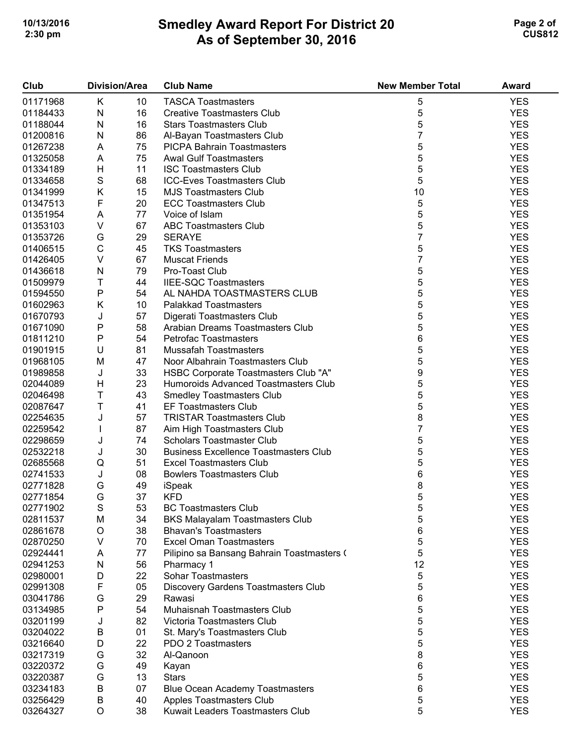# **Smedley Award Report For District 20 As of September 30, 2016 10/13/2016 Page 2 of 3 2:30 pm CUS812**

| Club     |             | <b>Division/Area</b> | <b>Club Name</b>                             | <b>New Member Total</b> | <b>Award</b> |
|----------|-------------|----------------------|----------------------------------------------|-------------------------|--------------|
| 01171968 | K           | 10                   | <b>TASCA Toastmasters</b>                    | 5                       | <b>YES</b>   |
| 01184433 | ${\sf N}$   | 16                   | <b>Creative Toastmasters Club</b>            | 5                       | <b>YES</b>   |
| 01188044 | ${\sf N}$   | 16                   | <b>Stars Toastmasters Club</b>               | 5                       | <b>YES</b>   |
| 01200816 | N           | 86                   | Al-Bayan Toastmasters Club                   | 7                       | <b>YES</b>   |
| 01267238 | Α           | 75                   | <b>PICPA Bahrain Toastmasters</b>            | 5                       | <b>YES</b>   |
| 01325058 | A           | 75                   | <b>Awal Gulf Toastmasters</b>                | 5                       | <b>YES</b>   |
| 01334189 | H           | 11                   | <b>ISC Toastmasters Club</b>                 | 5                       | <b>YES</b>   |
| 01334658 | $\mathbf S$ | 68                   | <b>ICC-Eves Toastmasters Club</b>            | 5                       | <b>YES</b>   |
| 01341999 | Κ           | 15                   | <b>MJS Toastmasters Club</b>                 | 10                      | <b>YES</b>   |
|          |             |                      |                                              |                         |              |
| 01347513 | F           | 20                   | <b>ECC Toastmasters Club</b>                 | 5                       | <b>YES</b>   |
| 01351954 | A           | 77                   | Voice of Islam                               | 5                       | <b>YES</b>   |
| 01353103 | $\vee$      | 67                   | <b>ABC Toastmasters Club</b>                 | 5                       | <b>YES</b>   |
| 01353726 | G           | 29                   | <b>SERAYE</b>                                | 7                       | <b>YES</b>   |
| 01406515 | $\mathsf C$ | 45                   | <b>TKS Toastmasters</b>                      | 5                       | <b>YES</b>   |
| 01426405 | $\vee$      | 67                   | <b>Muscat Friends</b>                        | 7                       | <b>YES</b>   |
| 01436618 | N           | 79                   | Pro-Toast Club                               | 5                       | <b>YES</b>   |
| 01509979 | Т           | 44                   | <b>IIEE-SQC Toastmasters</b>                 | 5                       | <b>YES</b>   |
| 01594550 | ${\sf P}$   | 54                   | AL NAHDA TOASTMASTERS CLUB                   | 5                       | <b>YES</b>   |
| 01602963 | Κ           | 10                   | <b>Palakkad Toastmasters</b>                 | 5                       | <b>YES</b>   |
| 01670793 | J           | 57                   | Digerati Toastmasters Club                   | 5                       | <b>YES</b>   |
| 01671090 | P           | 58                   | Arabian Dreams Toastmasters Club             | 5                       | <b>YES</b>   |
| 01811210 | ${\sf P}$   | 54                   | <b>Petrofac Toastmasters</b>                 | 6                       | <b>YES</b>   |
| 01901915 | U           | 81                   | <b>Mussafah Toastmasters</b>                 | 5                       | <b>YES</b>   |
| 01968105 | M           | 47                   | Noor Albahrain Toastmasters Club             | 5                       | <b>YES</b>   |
| 01989858 | J           | 33                   | HSBC Corporate Toastmasters Club "A"         | 9                       | <b>YES</b>   |
| 02044089 | H           | 23                   | Humoroids Advanced Toastmasters Club         | 5                       | <b>YES</b>   |
| 02046498 | Τ           | 43                   | <b>Smedley Toastmasters Club</b>             | 5                       | <b>YES</b>   |
| 02087647 | T           | 41                   | <b>EF Toastmasters Club</b>                  | 5                       | <b>YES</b>   |
| 02254635 | J           | 57                   | <b>TRISTAR Toastmasters Club</b>             | 8                       | <b>YES</b>   |
| 02259542 | L           | 87                   | Aim High Toastmasters Club                   | 7                       | <b>YES</b>   |
| 02298659 | J           | 74                   | <b>Scholars Toastmaster Club</b>             | 5                       | <b>YES</b>   |
| 02532218 | J           | 30                   | <b>Business Excellence Toastmasters Club</b> | 5                       | <b>YES</b>   |
| 02685568 | Q           | 51                   | <b>Excel Toastmasters Club</b>               | 5                       | <b>YES</b>   |
| 02741533 | J           | 08                   | <b>Bowlers Toastmasters Club</b>             | 6                       | <b>YES</b>   |
| 02771828 | G           | 49                   | iSpeak                                       | 8                       | <b>YES</b>   |
| 02771854 | G           | 37                   | <b>KFD</b>                                   | 5                       | <b>YES</b>   |
| 02771902 | S           | 53                   | <b>BC Toastmasters Club</b>                  |                         | <b>YES</b>   |
| 02811537 | M           | 34                   | <b>BKS Malayalam Toastmasters Club</b>       | 5<br>5                  | <b>YES</b>   |
|          |             |                      | <b>Bhavan's Toastmasters</b>                 |                         | <b>YES</b>   |
| 02861678 | O           | 38                   |                                              | 6                       |              |
| 02870250 | V           | 70                   | <b>Excel Oman Toastmasters</b>               | 5                       | <b>YES</b>   |
| 02924441 | A           | 77                   | Pilipino sa Bansang Bahrain Toastmasters (   | 5                       | <b>YES</b>   |
| 02941253 | N           | 56                   | Pharmacy 1                                   | 12                      | <b>YES</b>   |
| 02980001 | D           | 22                   | <b>Sohar Toastmasters</b>                    | 5                       | <b>YES</b>   |
| 02991308 | F           | 05                   | Discovery Gardens Toastmasters Club          | 5                       | <b>YES</b>   |
| 03041786 | G           | 29                   | Rawasi                                       | 6                       | <b>YES</b>   |
| 03134985 | Ρ           | 54                   | Muhaisnah Toastmasters Club                  | 5                       | <b>YES</b>   |
| 03201199 | J           | 82                   | Victoria Toastmasters Club                   | 5                       | <b>YES</b>   |
| 03204022 | B           | 01                   | St. Mary's Toastmasters Club                 | 5                       | <b>YES</b>   |
| 03216640 | D           | 22                   | PDO 2 Toastmasters                           | 5                       | <b>YES</b>   |
| 03217319 | G           | 32                   | Al-Qanoon                                    | 8                       | <b>YES</b>   |
| 03220372 | G           | 49                   | Kayan                                        | 6                       | <b>YES</b>   |
| 03220387 | G           | 13                   | <b>Stars</b>                                 | 5                       | <b>YES</b>   |
| 03234183 | B           | 07                   | <b>Blue Ocean Academy Toastmasters</b>       | 6                       | <b>YES</b>   |
| 03256429 | B           | 40                   | Apples Toastmasters Club                     | 5                       | <b>YES</b>   |
| 03264327 | O           | 38                   | Kuwait Leaders Toastmasters Club             | 5                       | <b>YES</b>   |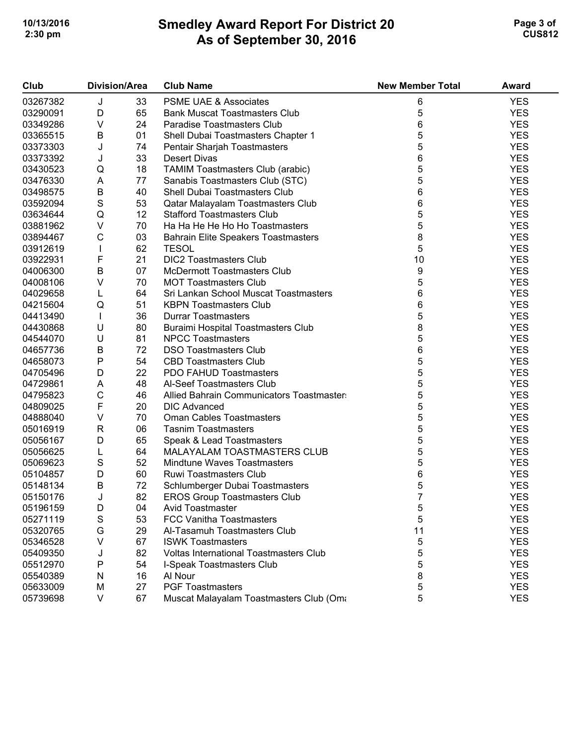# **Smedley Award Report For District 20 As of September 30, 2016 10/13/2016 Page 3 of 3 2:30 pm CUS812**

| Club     | <b>Division/Area</b> |    | <b>Club Name</b>                              | <b>New Member Total</b> | Award      |
|----------|----------------------|----|-----------------------------------------------|-------------------------|------------|
| 03267382 | J                    | 33 | PSME UAE & Associates                         | 6                       | <b>YES</b> |
| 03290091 | D                    | 65 | <b>Bank Muscat Toastmasters Club</b>          | 5                       | <b>YES</b> |
| 03349286 | V                    | 24 | Paradise Toastmasters Club                    | 6                       | <b>YES</b> |
| 03365515 | $\sf B$              | 01 | Shell Dubai Toastmasters Chapter 1            | 5                       | <b>YES</b> |
| 03373303 | J                    | 74 | Pentair Sharjah Toastmasters                  | 5                       | <b>YES</b> |
| 03373392 | J                    | 33 | <b>Desert Divas</b>                           | 6                       | <b>YES</b> |
| 03430523 | ${\sf Q}$            | 18 | TAMIM Toastmasters Club (arabic)              | 5                       | <b>YES</b> |
| 03476330 | A                    | 77 | Sanabis Toastmasters Club (STC)               | 5                       | <b>YES</b> |
| 03498575 | $\sf B$              | 40 | Shell Dubai Toastmasters Club                 | 6                       | <b>YES</b> |
| 03592094 | $\mathbf S$          | 53 | Qatar Malayalam Toastmasters Club             | 6                       | <b>YES</b> |
| 03634644 | $\mathsf Q$          | 12 | <b>Stafford Toastmasters Club</b>             | 5                       | <b>YES</b> |
| 03881962 | $\sf V$              | 70 | Ha Ha He He Ho Ho Toastmasters                | 5                       | <b>YES</b> |
| 03894467 | $\mathsf C$          | 03 | <b>Bahrain Elite Speakers Toastmasters</b>    | 8                       | <b>YES</b> |
| 03912619 | T                    | 62 | <b>TESOL</b>                                  | 5                       | <b>YES</b> |
| 03922931 | F                    | 21 | <b>DIC2 Toastmasters Club</b>                 | 10                      | <b>YES</b> |
| 04006300 | $\sf B$              | 07 | <b>McDermott Toastmasters Club</b>            | 9                       | <b>YES</b> |
| 04008106 | V                    | 70 | <b>MOT Toastmasters Club</b>                  | 5                       | <b>YES</b> |
| 04029658 | L                    | 64 | Sri Lankan School Muscat Toastmasters         | 6                       | <b>YES</b> |
| 04215604 | Q                    | 51 | <b>KBPN Toastmasters Club</b>                 | 6                       | <b>YES</b> |
| 04413490 | $\mathbf{I}$         | 36 | <b>Durrar Toastmasters</b>                    | 5                       | <b>YES</b> |
| 04430868 | U                    | 80 | Buraimi Hospital Toastmasters Club            | 8                       | <b>YES</b> |
| 04544070 | U                    | 81 | <b>NPCC Toastmasters</b>                      | 5                       | <b>YES</b> |
| 04657736 | $\sf B$              | 72 | <b>DSO Toastmasters Club</b>                  | 6                       | <b>YES</b> |
| 04658073 | Ρ                    | 54 | <b>CBD Toastmasters Club</b>                  | 5                       | <b>YES</b> |
| 04705496 | D                    | 22 | PDO FAHUD Toastmasters                        | 5                       | <b>YES</b> |
| 04729861 | A                    | 48 | Al-Seef Toastmasters Club                     | 5                       | <b>YES</b> |
| 04795823 | $\mathsf C$          | 46 | Allied Bahrain Communicators Toastmaster      | 5                       | <b>YES</b> |
| 04809025 | F                    | 20 | <b>DIC Advanced</b>                           | 5                       | <b>YES</b> |
| 04888040 | V                    | 70 | <b>Oman Cables Toastmasters</b>               | 5                       | <b>YES</b> |
| 05016919 | $\mathsf{R}$         | 06 | <b>Tasnim Toastmasters</b>                    | 5                       | <b>YES</b> |
| 05056167 | D                    | 65 | Speak & Lead Toastmasters                     | 5                       | <b>YES</b> |
| 05056625 | L                    | 64 | MALAYALAM TOASTMASTERS CLUB                   | 5                       | <b>YES</b> |
| 05069623 | S                    | 52 | <b>Mindtune Waves Toastmasters</b>            | 5                       | <b>YES</b> |
| 05104857 | D                    | 60 | Ruwi Toastmasters Club                        | 6                       | <b>YES</b> |
| 05148134 | B                    | 72 | Schlumberger Dubai Toastmasters               | 5                       | <b>YES</b> |
| 05150176 | J                    | 82 | <b>EROS Group Toastmasters Club</b>           | $\overline{7}$          | <b>YES</b> |
| 05196159 | D                    | 04 | Avid Toastmaster                              | 5                       | <b>YES</b> |
| 05271119 | S                    | 53 | FCC Vanitha Toastmasters                      | 5                       | <b>YES</b> |
| 05320765 | G                    | 29 | Al-Tasamuh Toastmasters Club                  | 11                      | <b>YES</b> |
| 05346528 | V                    | 67 | <b>ISWK Toastmasters</b>                      | 5                       | <b>YES</b> |
| 05409350 | J                    | 82 | <b>Voltas International Toastmasters Club</b> | 5                       | <b>YES</b> |
| 05512970 | Ρ                    | 54 | I-Speak Toastmasters Club                     | 5                       | <b>YES</b> |
| 05540389 | N                    | 16 | Al Nour                                       | 8                       | <b>YES</b> |
| 05633009 | M                    | 27 | <b>PGF Toastmasters</b>                       | 5                       | <b>YES</b> |
| 05739698 | V                    | 67 | Muscat Malayalam Toastmasters Club (Om        | 5                       | <b>YES</b> |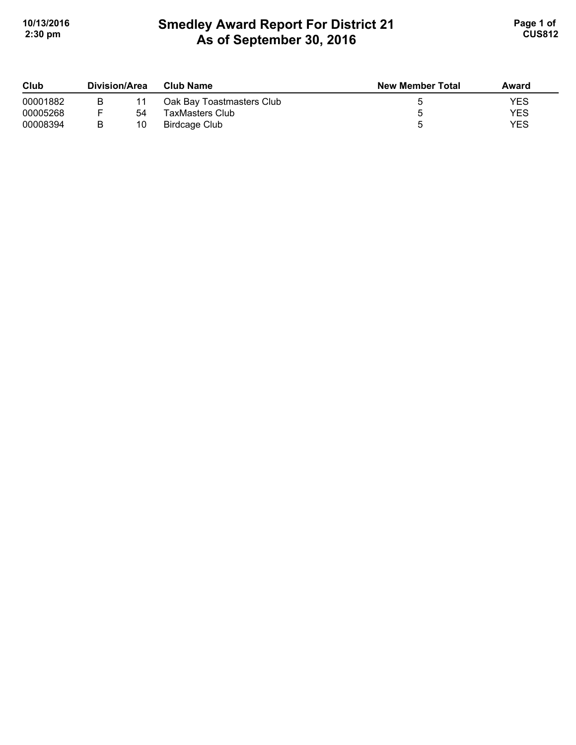# **Smedley Award Report For District 21 As of September 30, 2016**  10/13/2016 **Page 1 of Smedley Award Report For District 21 Page 1 of Page 1 of 2:30 pm CUS812**

| Club     | Division/Area |    | <b>Club Name</b>          | <b>New Member Total</b> | Award      |
|----------|---------------|----|---------------------------|-------------------------|------------|
| 00001882 |               |    | Oak Bay Toastmasters Club |                         | YES        |
| 00005268 |               | 54 | <b>TaxMasters Club</b>    |                         | YES        |
| 00008394 |               | 10 | Birdcage Club             |                         | <b>YES</b> |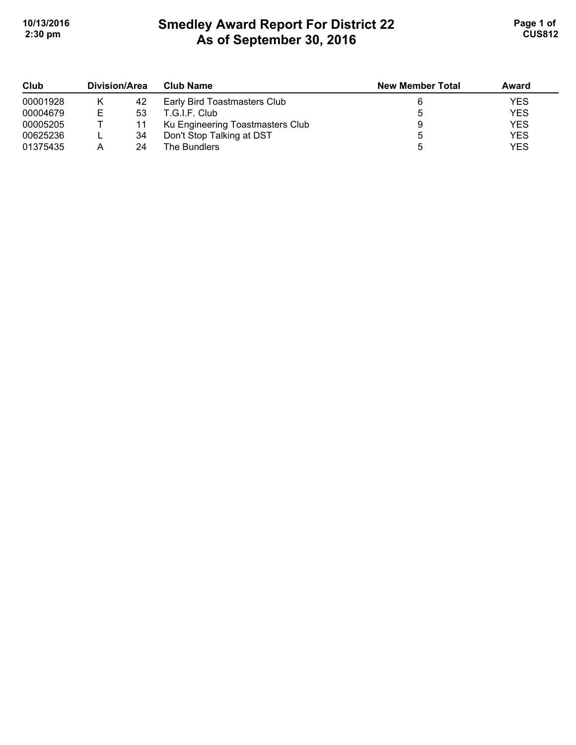# **Smedley Award Report For District 22 As of September 30, 2016**  10/13/2016 **Page 1 of Smedley Award Report For District 22 Page 1 of Page 1 of 2:30 pm CUS812**

| Club     | Division/Area |    | <b>Club Name</b>                 | <b>New Member Total</b> | Award      |
|----------|---------------|----|----------------------------------|-------------------------|------------|
| 00001928 |               | 42 | Early Bird Toastmasters Club     |                         | <b>YES</b> |
| 00004679 | Е             | 53 | T.G.I.F. Club                    |                         | <b>YES</b> |
| 00005205 |               | 11 | Ku Engineering Toastmasters Club |                         | <b>YES</b> |
| 00625236 |               | 34 | Don't Stop Talking at DST        |                         | <b>YES</b> |
| 01375435 | А             | 24 | The Bundlers                     |                         | <b>YES</b> |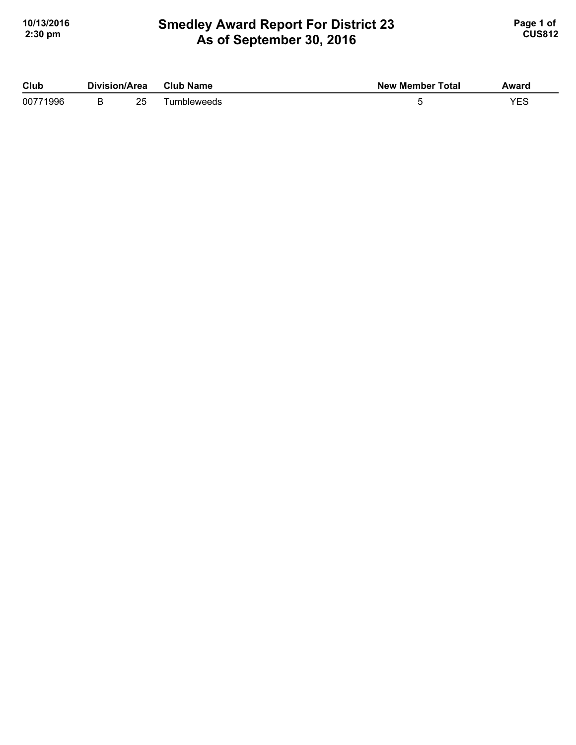## **Smedley Award Report For District 23 As of September 30, 2016**  10/13/2016 **Page 1 of Smedley Award Report For District 23 Page 1 of Page 1 of 2:30 pm CUS812**

| Club     | Division/Area |    | <b>Club Name</b> | <b>New Member Total</b> | Award |
|----------|---------------|----|------------------|-------------------------|-------|
| 00771996 |               | 25 | umbleweeds       |                         | VEC   |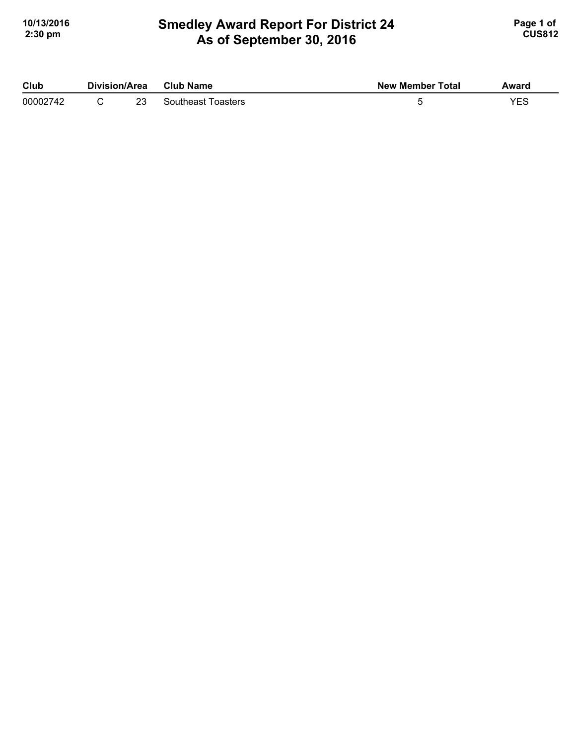## **Smedley Award Report For District 24 As of September 30, 2016 10/13/2016 Page 1 of Smedley Award Report For District 24 Page 1 of Page 1 of 2:30 pm CUS812**

| Club     | Division/Area<br>Club Name |                    | <b>New Member Total</b> | Award |
|----------|----------------------------|--------------------|-------------------------|-------|
| 00002742 | 23                         | Southeast Toasters |                         | YES   |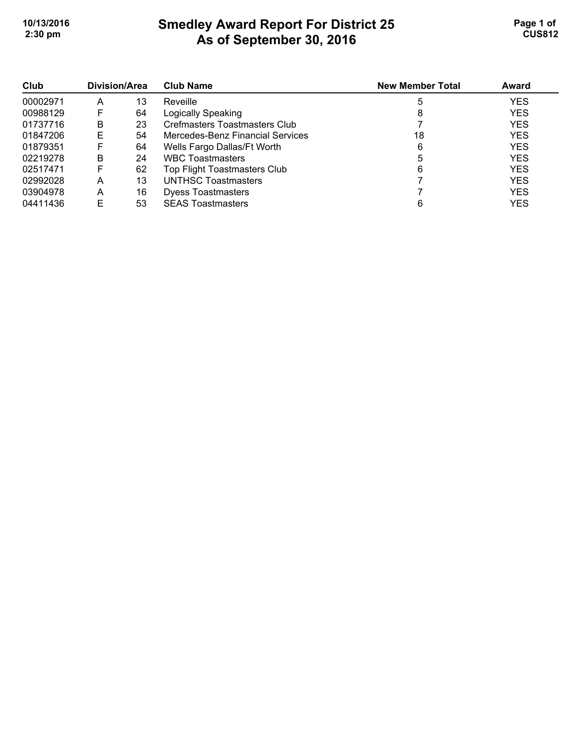# **Smedley Award Report For District 25 As of September 30, 2016 10/13/2016 Page 1 of Smedley Award Report For District 25 <b>Page 1 of** Page 1 of **2:30 pm CUS812**

| Club<br>00002971 | Division/Area |    | <b>Club Name</b>                    | <b>New Member Total</b> | Award      |
|------------------|---------------|----|-------------------------------------|-------------------------|------------|
|                  | A             | 13 | Reveille                            |                         | <b>YES</b> |
| 00988129         | F             | 64 | Logically Speaking                  | 8                       | <b>YES</b> |
| 01737716         | B             | 23 | Crefmasters Toastmasters Club       |                         | <b>YES</b> |
| 01847206         | Е             | 54 | Mercedes-Benz Financial Services    | 18                      | <b>YES</b> |
| 01879351         | F             | 64 | Wells Fargo Dallas/Ft Worth         | 6                       | <b>YES</b> |
| 02219278         | B             | 24 | <b>WBC Toastmasters</b>             |                         | <b>YES</b> |
| 02517471         | F             | 62 | <b>Top Flight Toastmasters Club</b> | 6                       | <b>YES</b> |
| 02992028         | A             | 13 | UNTHSC Toastmasters                 |                         | <b>YES</b> |
| 03904978         | A             | 16 | <b>Dyess Toastmasters</b>           |                         | <b>YES</b> |
| 04411436         | Е             | 53 | <b>SEAS Toastmasters</b>            |                         | <b>YES</b> |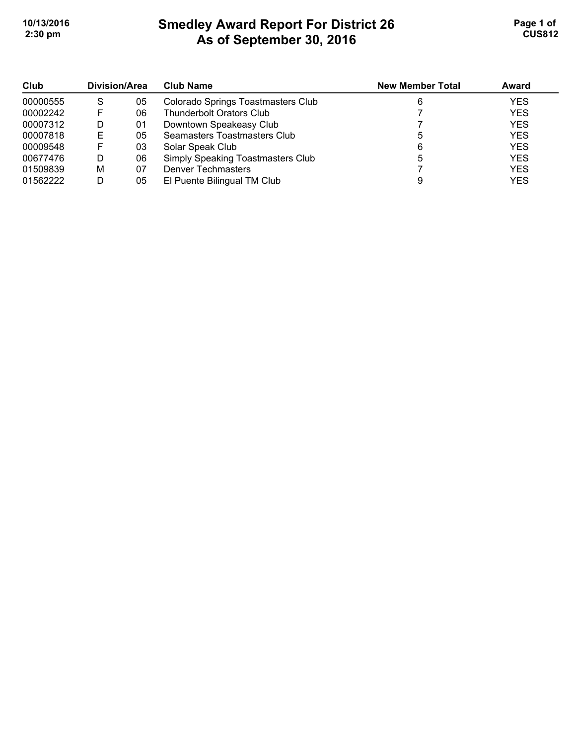# **Smedley Award Report For District 26 As of September 30, 2016 10/13/2016 Page 1 of 1 2:30 pm CUS812**

| Club     | Division/Area |    | <b>Club Name</b>                   | <b>New Member Total</b> | <b>Award</b> |
|----------|---------------|----|------------------------------------|-------------------------|--------------|
| 00000555 | S             | 05 | Colorado Springs Toastmasters Club | 6                       | <b>YES</b>   |
| 00002242 |               | 06 | <b>Thunderbolt Orators Club</b>    |                         | <b>YES</b>   |
| 00007312 | D             | 01 | Downtown Speakeasy Club            |                         | <b>YES</b>   |
| 00007818 | Е             | 05 | Seamasters Toastmasters Club       |                         | <b>YES</b>   |
| 00009548 |               | 03 | Solar Speak Club                   | 6                       | <b>YES</b>   |
| 00677476 | D             | 06 | Simply Speaking Toastmasters Club  | 5                       | <b>YES</b>   |
| 01509839 | м             | 07 | <b>Denver Techmasters</b>          |                         | <b>YES</b>   |
| 01562222 | D             | 05 | El Puente Bilingual TM Club        |                         | <b>YES</b>   |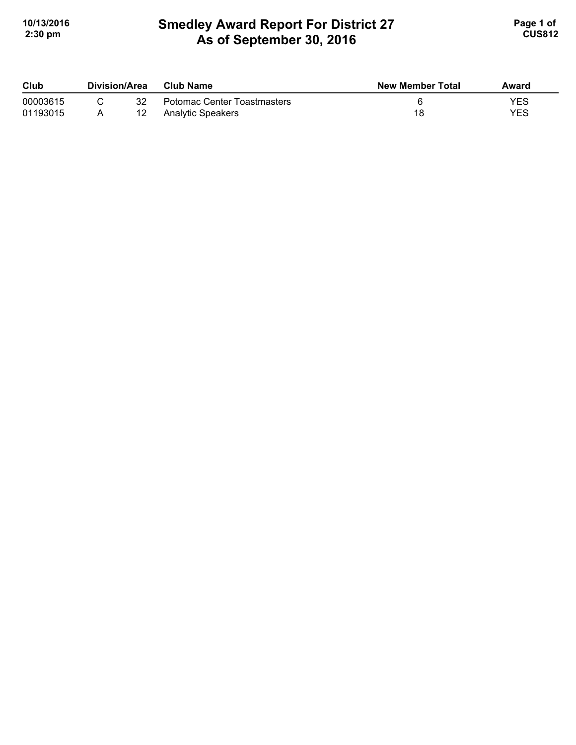# **Smedley Award Report For District 27 As of September 30, 2016**  10/13/2016 **Page 1 of Smedley Award Report For District 27 Page 1 of Page 1 of 2:30 pm CUS812**

| Club     | Division/Area<br><b>Club Name</b> |                             | <b>New Member Total</b> | Award |  |
|----------|-----------------------------------|-----------------------------|-------------------------|-------|--|
| 00003615 | 32                                | Potomac Center Toastmasters |                         | YES   |  |
| 01193015 |                                   | <b>Analytic Speakers</b>    | 18                      | YES   |  |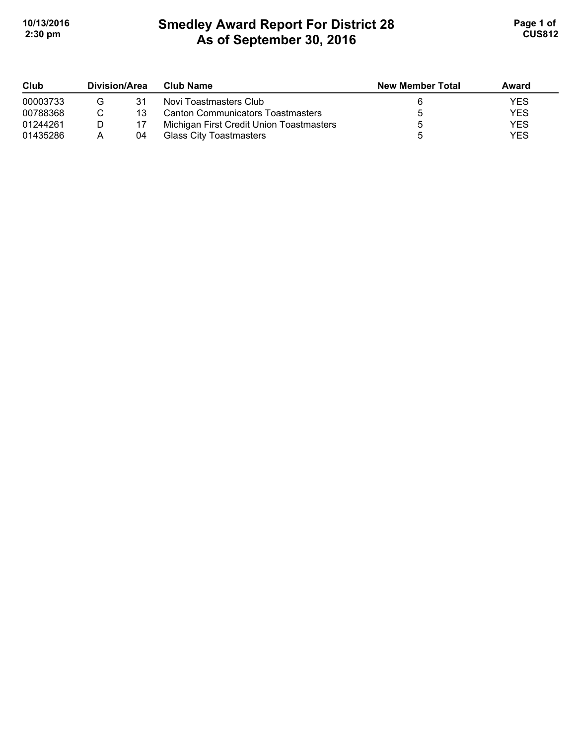# **Smedley Award Report For District 28 As of September 30, 2016**  10/13/2016 **Page 1 of Smedley Award Report For District 28 Page 1 of Page 1 of 2:30 pm CUS812**

| Club     | <b>Division/Area</b> |    | <b>Club Name</b>                         | <b>New Member Total</b> | Award      |
|----------|----------------------|----|------------------------------------------|-------------------------|------------|
| 00003733 |                      | 31 | Novi Toastmasters Club                   |                         | YES        |
| 00788368 |                      | 13 | <b>Canton Communicators Toastmasters</b> |                         | <b>YES</b> |
| 01244261 |                      |    | Michigan First Credit Union Toastmasters |                         | <b>YES</b> |
| 01435286 | А                    | 04 | Glass City Toastmasters                  |                         | <b>YES</b> |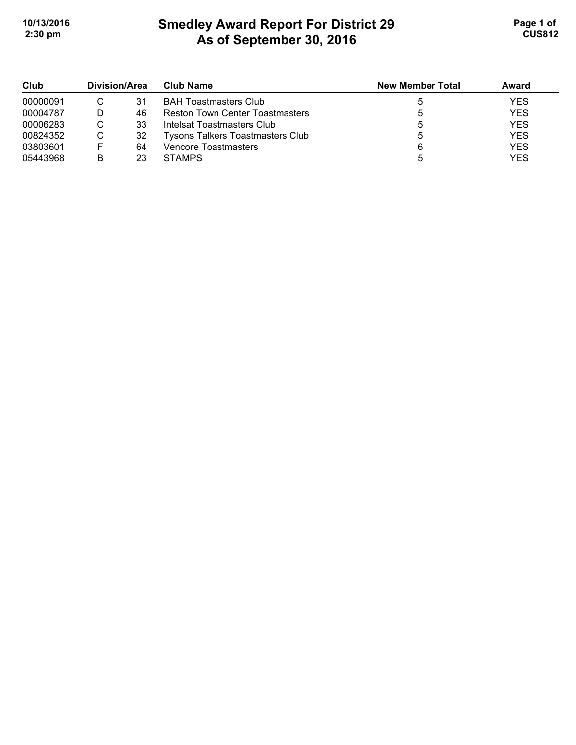# **Smedley Award Report For District 29 As of September 30, 2016 10/13/2016 Page 1 of Smedley Award Report For District 29 <b>Page 1 of** Page 1 of **2:30 pm CUS812**

| Club     | Division/Area |    | Club Name                               | <b>New Member Total</b> | Award      |
|----------|---------------|----|-----------------------------------------|-------------------------|------------|
| 00000091 |               | 31 | <b>BAH Toastmasters Club</b>            |                         | <b>YES</b> |
| 00004787 |               | 46 | <b>Reston Town Center Toastmasters</b>  |                         | <b>YES</b> |
| 00006283 | C             | 33 | Intelsat Toastmasters Club              |                         | <b>YES</b> |
| 00824352 | С             | 32 | <b>Tysons Talkers Toastmasters Club</b> |                         | <b>YES</b> |
| 03803601 |               | 64 | Vencore Toastmasters                    | 6                       | <b>YES</b> |
| 05443968 | B             | 23 | <b>STAMPS</b>                           |                         | <b>YES</b> |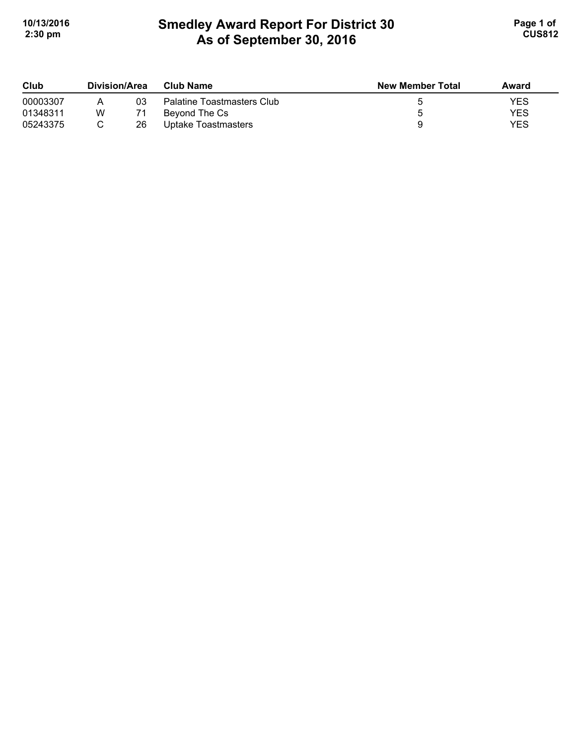# **Smedley Award Report For District 30 As of September 30, 2016 10/13/2016 Page 1 of Smedley Award Report For District 30 Page 1 of Page 1 of 2:30 pm CUS812**

| Club     | Division/Area |    | Club Name                  | <b>New Member Total</b> | Award      |
|----------|---------------|----|----------------------------|-------------------------|------------|
| 00003307 |               | 03 | Palatine Toastmasters Club |                         | YES        |
| 01348311 | W             |    | Beyond The Cs              |                         | <b>YES</b> |
| 05243375 |               | 26 | Uptake Toastmasters        |                         | <b>YES</b> |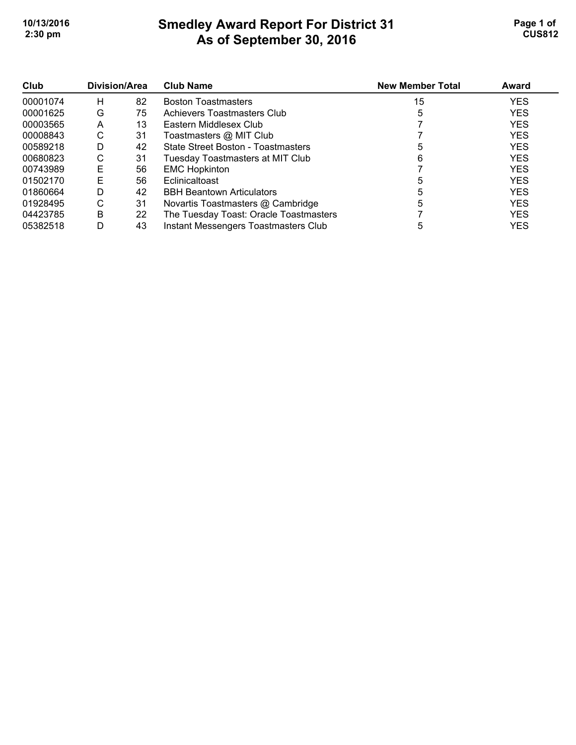# **Smedley Award Report For District 31 As of September 30, 2016**  10/13/2016 **Page 1 of Smedley Award Report For District 31 Page 1 of Page 1 of 2:30 pm CUS812**

| Club     | Division/Area |    | <b>Club Name</b>                        | <b>New Member Total</b> | Award      |
|----------|---------------|----|-----------------------------------------|-------------------------|------------|
| 00001074 | н             | 82 | <b>Boston Toastmasters</b>              | 15                      | <b>YES</b> |
| 00001625 | G             | 75 | Achievers Toastmasters Club             | 5                       | <b>YES</b> |
| 00003565 | Α             | 13 | Eastern Middlesex Club                  |                         | <b>YES</b> |
| 00008843 | С             | 31 | Toastmasters @ MIT Club                 |                         | <b>YES</b> |
| 00589218 | D             | 42 | State Street Boston - Toastmasters      |                         | <b>YES</b> |
| 00680823 | С             | 31 | <b>Tuesday Toastmasters at MIT Club</b> | 6                       | <b>YES</b> |
| 00743989 | Е             | 56 | <b>EMC Hopkinton</b>                    |                         | <b>YES</b> |
| 01502170 | Е             | 56 | Eclinicaltoast                          |                         | <b>YES</b> |
| 01860664 | D             | 42 | <b>BBH Beantown Articulators</b>        |                         | <b>YES</b> |
| 01928495 | С             | 31 | Novartis Toastmasters @ Cambridge       |                         | <b>YES</b> |
| 04423785 | B             | 22 | The Tuesday Toast: Oracle Toastmasters  |                         | <b>YES</b> |
| 05382518 | D             | 43 | Instant Messengers Toastmasters Club    | 5                       | <b>YES</b> |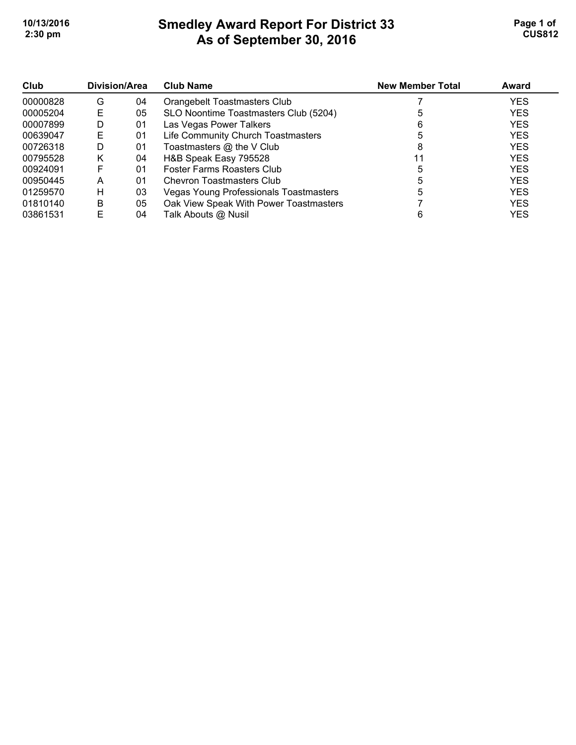# **Smedley Award Report For District 33 As of September 30, 2016 10/13/2016 Page 1 of Smedley Award Report For District 33 Page 1 of Page 1 of 2:30 pm CUS812**

| Club     | <b>Division/Area</b> |    | <b>Club Name</b>                       | <b>New Member Total</b> | Award      |
|----------|----------------------|----|----------------------------------------|-------------------------|------------|
| 00000828 | G                    | 04 | Orangebelt Toastmasters Club           |                         | <b>YES</b> |
| 00005204 | Е                    | 05 | SLO Noontime Toastmasters Club (5204)  |                         | <b>YES</b> |
| 00007899 | D                    | 01 | Las Vegas Power Talkers                | 6                       | <b>YES</b> |
| 00639047 | Е                    | 01 | Life Community Church Toastmasters     |                         | <b>YES</b> |
| 00726318 | D                    | 01 | Toastmasters @ the V Club              |                         | <b>YES</b> |
| 00795528 | Κ                    | 04 | H&B Speak Easy 795528                  | 11                      | <b>YES</b> |
| 00924091 | F                    | 01 | Foster Farms Roasters Club             |                         | <b>YES</b> |
| 00950445 | А                    | 01 | <b>Chevron Toastmasters Club</b>       |                         | <b>YES</b> |
| 01259570 | н                    | 03 | Vegas Young Professionals Toastmasters |                         | <b>YES</b> |
| 01810140 | B                    | 05 | Oak View Speak With Power Toastmasters |                         | <b>YES</b> |
| 03861531 | F                    | 04 | Talk Abouts @ Nusil                    |                         | <b>YES</b> |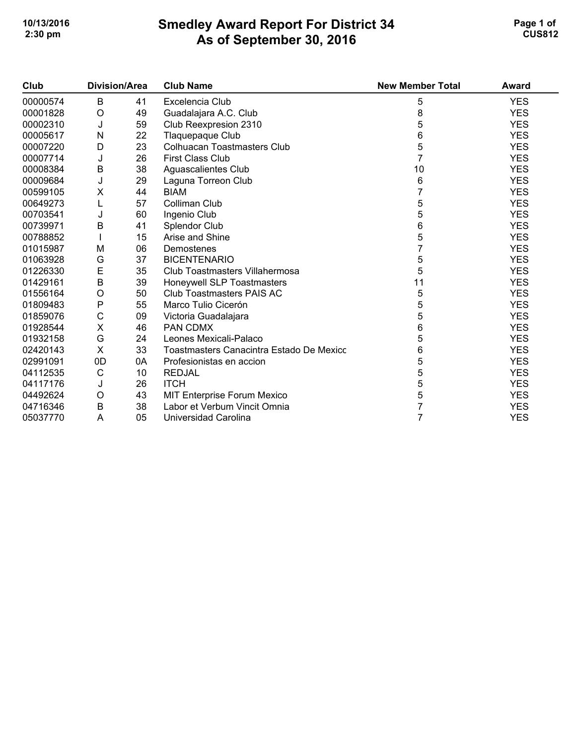### **Smedley Award Report For District 34 As of September 30, 2016 10/13/2016 Page 1 of Smedley Award Report For District 34 Page 1 of Page 1 of 2:30 pm CUS812**

| Club     | <b>Division/Area</b> |    | <b>Club Name</b>                         | <b>New Member Total</b> | Award      |
|----------|----------------------|----|------------------------------------------|-------------------------|------------|
| 00000574 | B                    | 41 | Excelencia Club                          | 5                       | <b>YES</b> |
| 00001828 | O                    | 49 | Guadalajara A.C. Club                    | 8                       | <b>YES</b> |
| 00002310 | J                    | 59 | Club Reexpresion 2310                    | 5                       | <b>YES</b> |
| 00005617 | N                    | 22 | Tlaquepaque Club                         | 6                       | <b>YES</b> |
| 00007220 | D                    | 23 | <b>Colhuacan Toastmasters Club</b>       | 5                       | <b>YES</b> |
| 00007714 | J                    | 26 | <b>First Class Club</b>                  |                         | <b>YES</b> |
| 00008384 | B                    | 38 | Aguascalientes Club                      | 10                      | <b>YES</b> |
| 00009684 | J                    | 29 | Laguna Torreon Club                      | 6                       | <b>YES</b> |
| 00599105 | Χ                    | 44 | <b>BIAM</b>                              |                         | <b>YES</b> |
| 00649273 | L                    | 57 | Colliman Club                            | 5                       | <b>YES</b> |
| 00703541 | J                    | 60 | Ingenio Club                             | 5                       | <b>YES</b> |
| 00739971 | B                    | 41 | Splendor Club                            | 6                       | <b>YES</b> |
| 00788852 |                      | 15 | Arise and Shine                          | 5                       | <b>YES</b> |
| 01015987 | M                    | 06 | Demostenes                               |                         | <b>YES</b> |
| 01063928 | G                    | 37 | <b>BICENTENARIO</b>                      | 5                       | <b>YES</b> |
| 01226330 | E                    | 35 | Club Toastmasters Villahermosa           | 5                       | <b>YES</b> |
| 01429161 | $\sf B$              | 39 | Honeywell SLP Toastmasters               | 11                      | <b>YES</b> |
| 01556164 | O                    | 50 | Club Toastmasters PAIS AC                | 5                       | <b>YES</b> |
| 01809483 | $\mathsf{P}$         | 55 | Marco Tulio Cicerón                      | 5                       | <b>YES</b> |
| 01859076 | $\mathsf C$          | 09 | Victoria Guadalajara                     | 5                       | <b>YES</b> |
| 01928544 | X                    | 46 | PAN CDMX                                 | 6                       | <b>YES</b> |
| 01932158 | G                    | 24 | Leones Mexicali-Palaco                   | 5                       | <b>YES</b> |
| 02420143 | X                    | 33 | Toastmasters Canacintra Estado De Mexico | 6                       | <b>YES</b> |
| 02991091 | 0D                   | 0A | Profesionistas en accion                 | 5                       | <b>YES</b> |
| 04112535 | $\mathsf C$          | 10 | <b>REDJAL</b>                            | 5                       | <b>YES</b> |
| 04117176 | J                    | 26 | <b>ITCH</b>                              | 5                       | <b>YES</b> |
| 04492624 | O                    | 43 | MIT Enterprise Forum Mexico              | 5                       | <b>YES</b> |
| 04716346 | B                    | 38 | Labor et Verbum Vincit Omnia             |                         | <b>YES</b> |
| 05037770 | A                    | 05 | Universidad Carolina                     | 7                       | <b>YES</b> |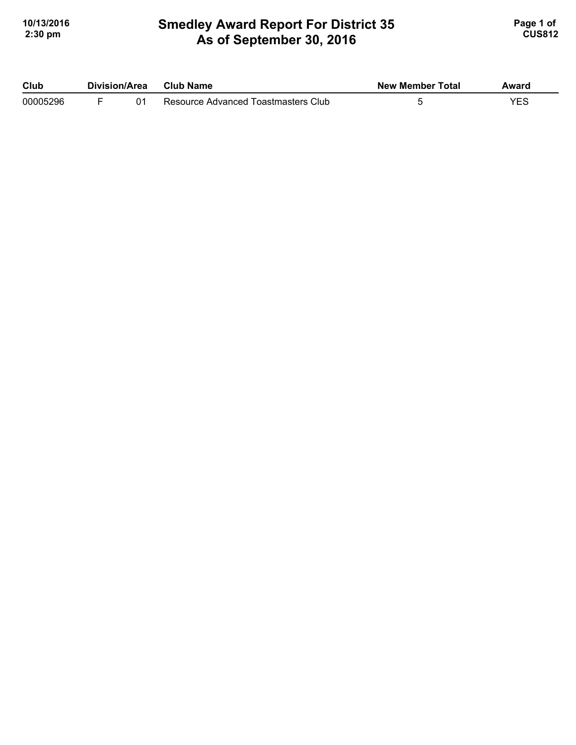#### **Smedley Award Report For District 35 As of September 30, 2016 10/13/2016 Page 1 of Smedley Award Report For District 35 <b>Page 1 of** Page 1 of **2:30 pm CUS812**

| Club     | Division/Area |  | Club Name                           | <b>New Member Total</b> | Award |
|----------|---------------|--|-------------------------------------|-------------------------|-------|
| 00005296 |               |  | Resource Advanced Toastmasters Club |                         | VES   |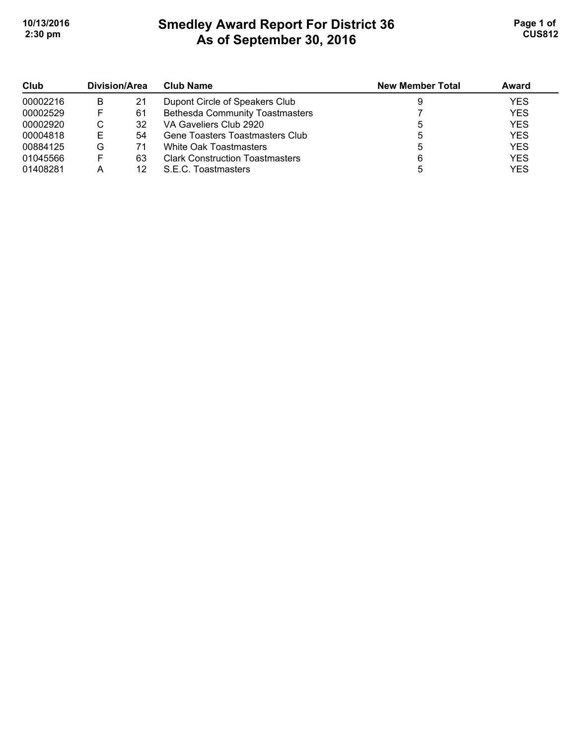# **Smedley Award Report For District 36 As of September 30, 2016 10/13/2016 Page 1 of 1 2:30 pm CUS812**

| Club<br>00002216 | Division/Area |    | <b>Club Name</b>                       | <b>New Member Total</b> | Award      |
|------------------|---------------|----|----------------------------------------|-------------------------|------------|
|                  | B             | 21 | Dupont Circle of Speakers Club         |                         | <b>YES</b> |
| 00002529         | ь.            | 61 | <b>Bethesda Community Toastmasters</b> |                         | <b>YES</b> |
| 00002920         | ◡             | 32 | VA Gaveliers Club 2920                 |                         | <b>YES</b> |
| 00004818         | Е             | 54 | Gene Toasters Toastmasters Club        |                         | <b>YES</b> |
| 00884125         | G             | 71 | White Oak Toastmasters                 |                         | <b>YES</b> |
| 01045566         | F             | 63 | <b>Clark Construction Toastmasters</b> | 6                       | <b>YES</b> |
| 01408281         |               | 12 | S.E.C. Toastmasters                    |                         | <b>YES</b> |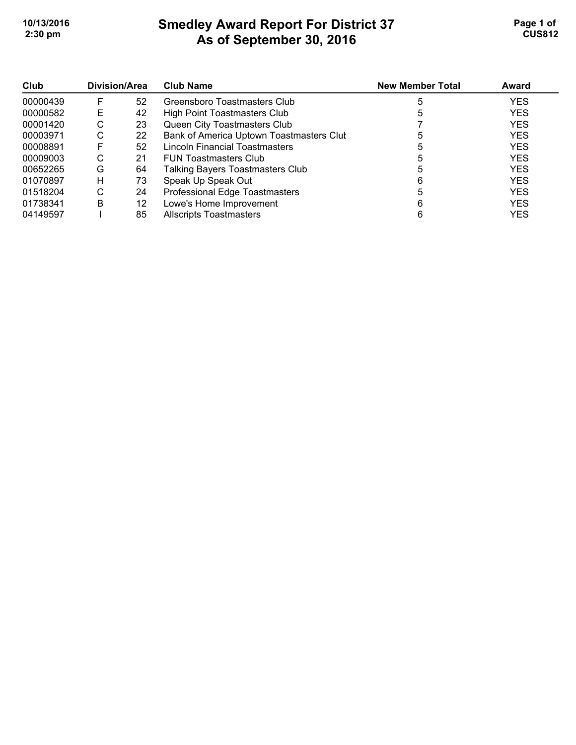# **Smedley Award Report For District 37 As of September 30, 2016**  10/13/2016 **Page 1 of Smedley Award Report For District 37 Page 1 of Page 1 of 2:30 pm CUS812**

| Club     | <b>Division/Area</b> |    | <b>Club Name</b>                         | <b>New Member Total</b> | Award      |
|----------|----------------------|----|------------------------------------------|-------------------------|------------|
| 00000439 | F                    | 52 | Greensboro Toastmasters Club             |                         | <b>YES</b> |
| 00000582 | E                    | 42 | High Point Toastmasters Club             |                         | <b>YES</b> |
| 00001420 | С                    | 23 | Queen City Toastmasters Club             |                         | <b>YES</b> |
| 00003971 | С                    | 22 | Bank of America Uptown Toastmasters Clut |                         | <b>YES</b> |
| 00008891 | F                    | 52 | Lincoln Financial Toastmasters           |                         | <b>YES</b> |
| 00009003 | С                    | 21 | <b>FUN Toastmasters Club</b>             |                         | <b>YES</b> |
| 00652265 | G                    | 64 | Talking Bayers Toastmasters Club         |                         | <b>YES</b> |
| 01070897 | H                    | 73 | Speak Up Speak Out                       | 6                       | <b>YES</b> |
| 01518204 | С                    | 24 | Professional Edge Toastmasters           |                         | <b>YES</b> |
| 01738341 | В                    | 12 | Lowe's Home Improvement                  | 6                       | <b>YES</b> |
| 04149597 |                      | 85 | <b>Allscripts Toastmasters</b>           |                         | <b>YES</b> |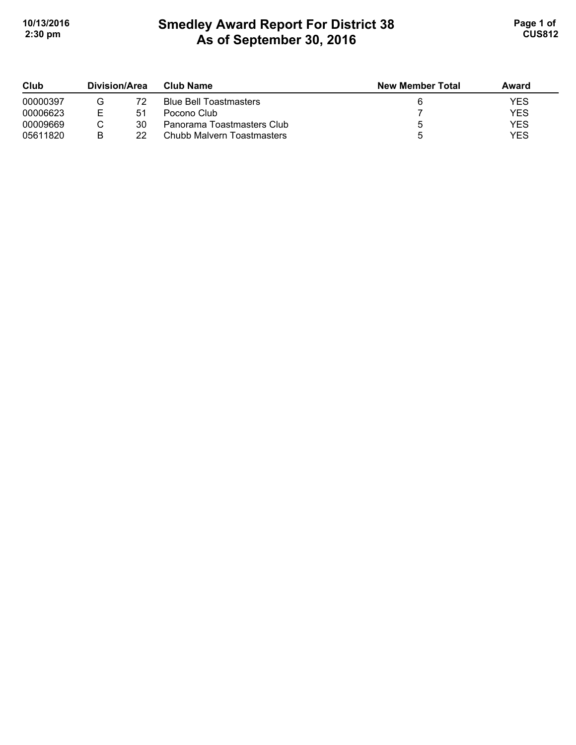# **Smedley Award Report For District 38 As of September 30, 2016**  10/13/2016 **Page 1 of Smedley Award Report For District 38 Page 1 of Page 1 of 2:30 pm CUS812**

| Club     | Division/Area |    | Club Name                     | <b>New Member Total</b> | Award |
|----------|---------------|----|-------------------------------|-------------------------|-------|
| 00000397 |               | 72 | <b>Blue Bell Toastmasters</b> |                         | YES   |
| 00006623 |               | 51 | Pocono Club                   |                         | YES   |
| 00009669 |               | 30 | Panorama Toastmasters Club    |                         | YES   |
| 05611820 | R             | 22 | Chubb Malvern Toastmasters    |                         | YES   |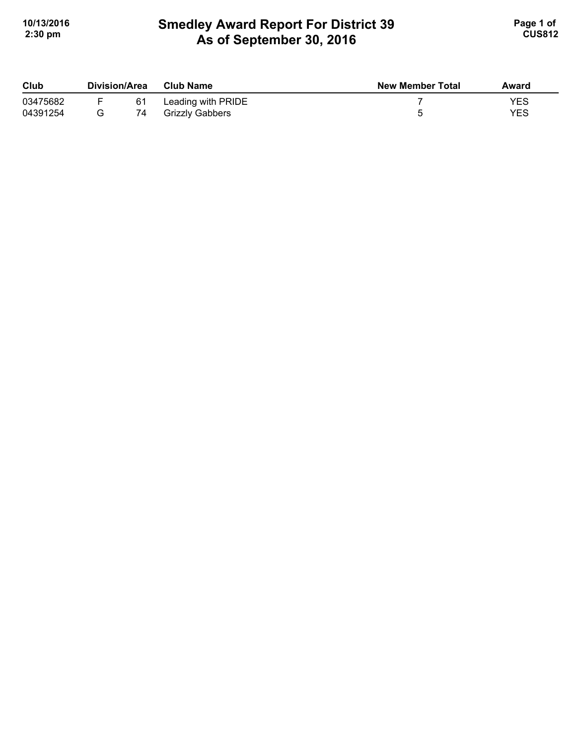### **Smedley Award Report For District 39 As of September 30, 2016**  10/13/2016 **Page 1 of Smedley Award Report For District 39 Page 1 of Page 1 of 2:30 pm CUS812**

| Club     | Division/Area |    | <b>Club Name</b>   | <b>New Member Total</b> | Award |
|----------|---------------|----|--------------------|-------------------------|-------|
| 03475682 |               | 61 | Leading with PRIDE |                         | YES   |
| 04391254 |               | 74 | Grizzly Gabbers    |                         | YES   |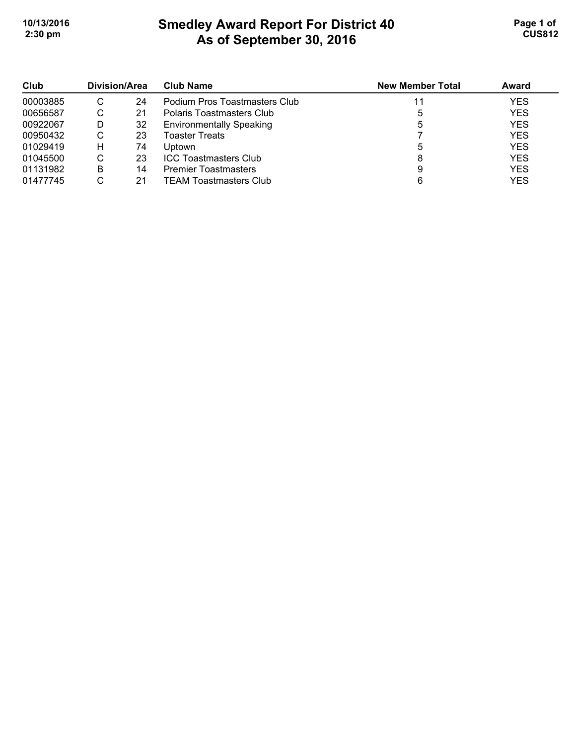# **Smedley Award Report For District 40 As of September 30, 2016**  10/13/2016 **Page 1 of Smedley Award Report For District 40 Page 1 of Page 1 of 2:30 pm CUS812**

| Club     | Division/Area |    | <b>Club Name</b>                | <b>New Member Total</b> | Award      |
|----------|---------------|----|---------------------------------|-------------------------|------------|
| 00003885 | С             | 24 | Podium Pros Toastmasters Club   |                         | <b>YES</b> |
| 00656587 | U             | 21 | Polaris Toastmasters Club       |                         | <b>YES</b> |
| 00922067 | D             | 32 | <b>Environmentally Speaking</b> |                         | <b>YES</b> |
| 00950432 | С             | 23 | Toaster Treats                  |                         | <b>YES</b> |
| 01029419 | н             | 74 | Uptown                          |                         | <b>YES</b> |
| 01045500 | С             | 23 | <b>ICC Toastmasters Club</b>    |                         | <b>YES</b> |
| 01131982 | В             | 14 | <b>Premier Toastmasters</b>     | 9                       | <b>YES</b> |
| 01477745 |               | 21 | <b>TEAM Toastmasters Club</b>   |                         | <b>YES</b> |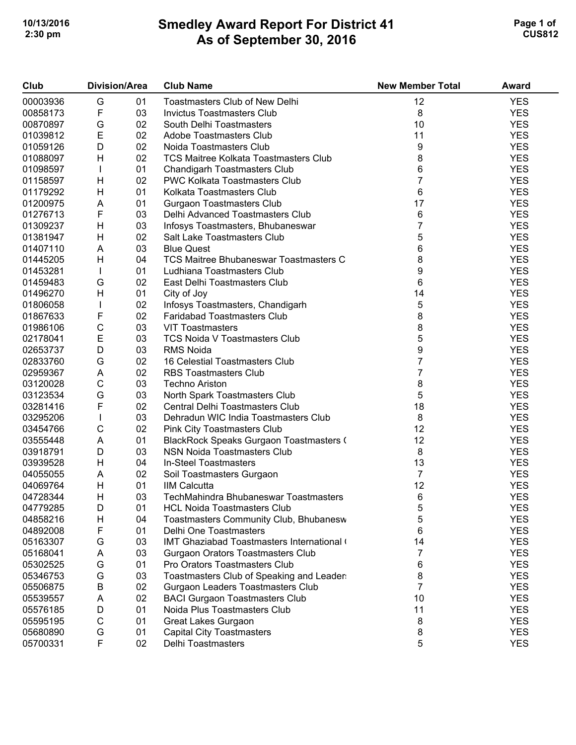# **Smedley Award Report For District 41 As of September 30, 2016 10/13/2016 Page 1 of Smedley Award Report For District 41 Page 1 of Page 1 of 2:30 pm CUS812**

| Club     | <b>Division/Area</b> |    | <b>Club Name</b>                             | <b>New Member Total</b> | Award      |
|----------|----------------------|----|----------------------------------------------|-------------------------|------------|
| 00003936 | G                    | 01 | Toastmasters Club of New Delhi               | 12                      | <b>YES</b> |
| 00858173 | F                    | 03 | <b>Invictus Toastmasters Club</b>            | 8                       | <b>YES</b> |
| 00870897 | G                    | 02 | South Delhi Toastmasters                     | 10                      | <b>YES</b> |
| 01039812 | E                    | 02 | Adobe Toastmasters Club                      | 11                      | <b>YES</b> |
| 01059126 | D                    | 02 | Noida Toastmasters Club                      | 9                       | <b>YES</b> |
| 01088097 | Н                    | 02 | <b>TCS Maitree Kolkata Toastmasters Club</b> | 8                       | <b>YES</b> |
| 01098597 |                      | 01 | <b>Chandigarh Toastmasters Club</b>          | 6                       | <b>YES</b> |
| 01158597 | Н                    | 02 | <b>PWC Kolkata Toastmasters Club</b>         | 7                       | <b>YES</b> |
| 01179292 | Н                    | 01 | Kolkata Toastmasters Club                    | 6                       | <b>YES</b> |
| 01200975 | A                    | 01 | <b>Gurgaon Toastmasters Club</b>             | 17                      | <b>YES</b> |
| 01276713 | F                    | 03 | Delhi Advanced Toastmasters Club             | 6                       | <b>YES</b> |
| 01309237 | Н                    | 03 | Infosys Toastmasters, Bhubaneswar            | $\overline{7}$          | <b>YES</b> |
| 01381947 | Н                    | 02 | Salt Lake Toastmasters Club                  | 5                       | <b>YES</b> |
| 01407110 | A                    | 03 | <b>Blue Quest</b>                            | 6                       | <b>YES</b> |
| 01445205 | H                    | 04 | TCS Maitree Bhubaneswar Toastmasters C       | 8                       | <b>YES</b> |
| 01453281 |                      | 01 | Ludhiana Toastmasters Club                   | 9                       | <b>YES</b> |
| 01459483 | G                    | 02 | East Delhi Toastmasters Club                 | 6                       | <b>YES</b> |
| 01496270 | Н                    | 01 | City of Joy                                  | 14                      | <b>YES</b> |
| 01806058 |                      | 02 | Infosys Toastmasters, Chandigarh             | 5                       | <b>YES</b> |
| 01867633 | F                    | 02 | <b>Faridabad Toastmasters Club</b>           | 8                       | <b>YES</b> |
| 01986106 | $\mathsf C$          | 03 | <b>VIT Toastmasters</b>                      | 8                       | <b>YES</b> |
| 02178041 | E                    | 03 | <b>TCS Noida V Toastmasters Club</b>         | 5                       | <b>YES</b> |
| 02653737 | D                    | 03 | <b>RMS Noida</b>                             | 9                       | <b>YES</b> |
| 02833760 | G                    | 02 | 16 Celestial Toastmasters Club               | 7                       | <b>YES</b> |
| 02959367 | Α                    | 02 | <b>RBS Toastmasters Club</b>                 | $\overline{7}$          | <b>YES</b> |
| 03120028 | $\mathsf C$          | 03 | <b>Techno Ariston</b>                        | 8                       | <b>YES</b> |
| 03123534 | G                    | 03 | North Spark Toastmasters Club                | 5                       | <b>YES</b> |
| 03281416 | F                    | 02 | Central Delhi Toastmasters Club              | 18                      | <b>YES</b> |
| 03295206 |                      | 03 | Dehradun WIC India Toastmasters Club         | 8                       | <b>YES</b> |
| 03454766 | C                    | 02 | Pink City Toastmasters Club                  | 12                      | <b>YES</b> |
| 03555448 | A                    | 01 | BlackRock Speaks Gurgaon Toastmasters (      | 12                      | <b>YES</b> |
| 03918791 | D                    | 03 | <b>NSN Noida Toastmasters Club</b>           | 8                       | <b>YES</b> |
| 03939528 | H                    | 04 | <b>In-Steel Toastmasters</b>                 | 13                      | <b>YES</b> |
| 04055055 | A                    | 02 | Soil Toastmasters Gurgaon                    | $\overline{7}$          | <b>YES</b> |
| 04069764 | H                    | 01 | <b>IIM Calcutta</b>                          | 12                      | <b>YES</b> |
| 04728344 | Н                    | 03 | TechMahindra Bhubaneswar Toastmasters        | 6                       | <b>YES</b> |
| 04779285 | D                    | 01 | <b>HCL Noida Toastmasters Club</b>           | 5                       | <b>YES</b> |
| 04858216 | H                    | 04 | Toastmasters Community Club, Bhubanesw       | 5                       | <b>YES</b> |
| 04892008 | F                    | 01 | Delhi One Toastmasters                       | 6                       | <b>YES</b> |
| 05163307 | G                    | 03 | IMT Ghaziabad Toastmasters International     | 14                      | <b>YES</b> |
| 05168041 | Α                    | 03 | <b>Gurgaon Orators Toastmasters Club</b>     | 7                       | <b>YES</b> |
| 05302525 | G                    | 01 | Pro Orators Toastmasters Club                | 6                       | <b>YES</b> |
| 05346753 | G                    | 03 | Toastmasters Club of Speaking and Leader     | 8                       | <b>YES</b> |
| 05506875 | B                    | 02 | Gurgaon Leaders Toastmasters Club            | $\overline{7}$          | <b>YES</b> |
| 05539557 | Α                    | 02 | <b>BACI Gurgaon Toastmasters Club</b>        | 10                      | <b>YES</b> |
| 05576185 | D                    | 01 | Noida Plus Toastmasters Club                 | 11                      | <b>YES</b> |
| 05595195 | C                    | 01 | Great Lakes Gurgaon                          | 8                       | <b>YES</b> |
| 05680890 | G                    | 01 | <b>Capital City Toastmasters</b>             | 8                       | <b>YES</b> |
| 05700331 | F                    | 02 | Delhi Toastmasters                           | 5                       | <b>YES</b> |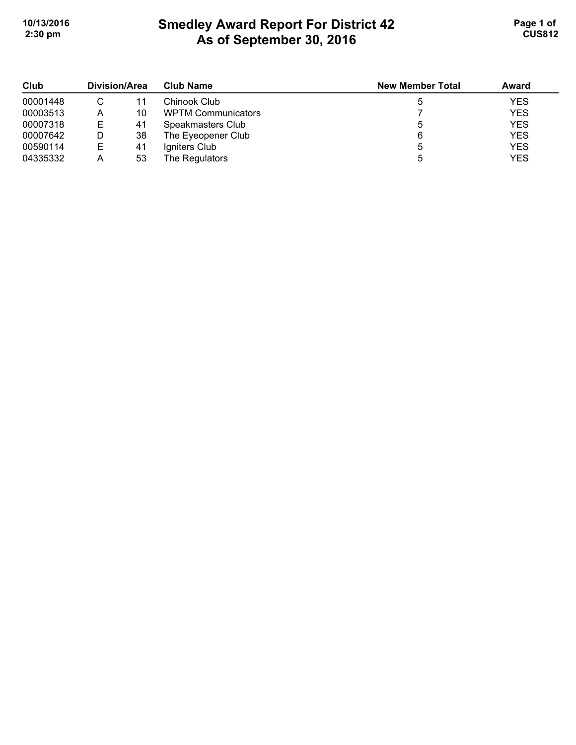# **Smedley Award Report For District 42 As of September 30, 2016 10/13/2016 Page 1 of Smedley Award Report For District 42 Page 1 of Page 1 of 2:30 pm CUS812**

| Club<br>00001448 | Division/Area |    | <b>Club Name</b>          | <b>New Member Total</b> | Award      |
|------------------|---------------|----|---------------------------|-------------------------|------------|
|                  |               | 11 | Chinook Club              |                         | <b>YES</b> |
| 00003513         | Α             | 10 | <b>WPTM Communicators</b> |                         | <b>YES</b> |
| 00007318         | Е             | 41 | Speakmasters Club         |                         | <b>YES</b> |
| 00007642         |               | 38 | The Eyeopener Club        | 6                       | <b>YES</b> |
| 00590114         | Е             | 41 | Igniters Club             |                         | <b>YES</b> |
| 04335332         | Α             | 53 | The Regulators            |                         | <b>YES</b> |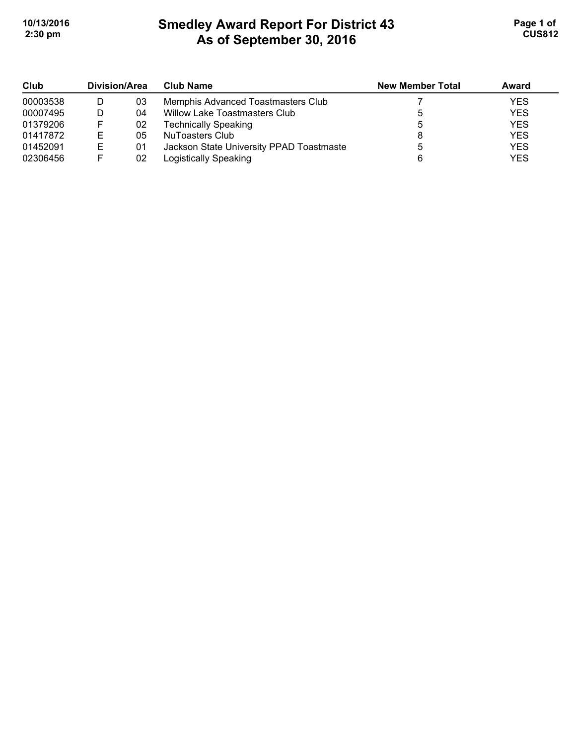# **Smedley Award Report For District 43 As of September 30, 2016 10/13/2016 Page 1 of Smedley Award Report For District 43 Page 1 of Page 1 of 2:30 pm CUS812**

| Club     | Division/Area |    | <b>Club Name</b>                         | <b>New Member Total</b> | <b>Award</b> |
|----------|---------------|----|------------------------------------------|-------------------------|--------------|
| 00003538 |               | 03 | Memphis Advanced Toastmasters Club       |                         | <b>YES</b>   |
| 00007495 |               | 04 | Willow Lake Toastmasters Club            |                         | <b>YES</b>   |
| 01379206 |               | 02 | <b>Technically Speaking</b>              |                         | <b>YES</b>   |
| 01417872 | E             | 05 | NuToasters Club                          |                         | <b>YES</b>   |
| 01452091 | Е             | 01 | Jackson State University PPAD Toastmaste |                         | <b>YES</b>   |
| 02306456 |               | 02 | Logistically Speaking                    |                         | <b>YES</b>   |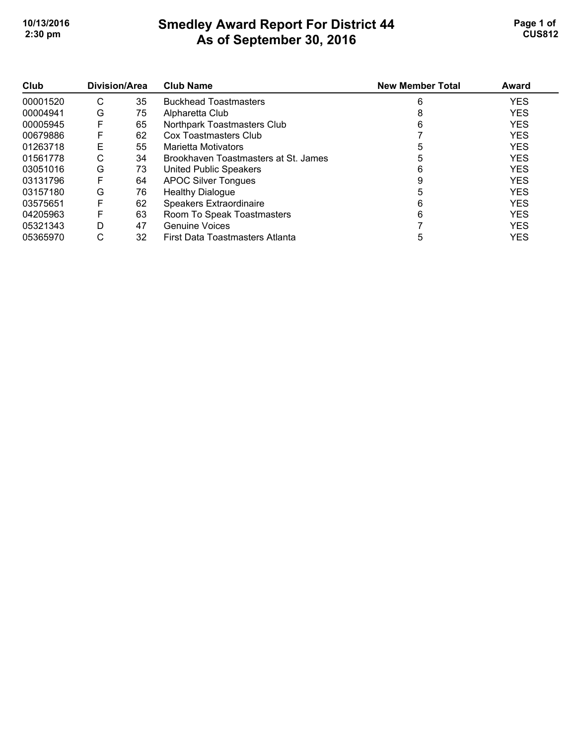### **Smedley Award Report For District 44 As of September 30, 2016 10/13/2016 Page 1 of Smedley Award Report For District 44 Page 1 of Page 1 of 2:30 pm CUS812**

| Club     | Division/Area |    | <b>Club Name</b>                     | <b>New Member Total</b> | Award      |
|----------|---------------|----|--------------------------------------|-------------------------|------------|
| 00001520 | С             | 35 | <b>Buckhead Toastmasters</b>         | 6                       | <b>YES</b> |
| 00004941 | G             | 75 | Alpharetta Club                      | 8                       | <b>YES</b> |
| 00005945 | F             | 65 | Northpark Toastmasters Club          | 6                       | <b>YES</b> |
| 00679886 | F             | 62 | Cox Toastmasters Club                |                         | <b>YES</b> |
| 01263718 | Е             | 55 | Marietta Motivators                  |                         | <b>YES</b> |
| 01561778 | С             | 34 | Brookhaven Toastmasters at St. James |                         | <b>YES</b> |
| 03051016 | G             | 73 | United Public Speakers               | 6                       | <b>YES</b> |
| 03131796 | F             | 64 | <b>APOC Silver Tongues</b>           |                         | <b>YES</b> |
| 03157180 | G             | 76 | <b>Healthy Dialogue</b>              |                         | <b>YES</b> |
| 03575651 | F             | 62 | <b>Speakers Extraordinaire</b>       | 6                       | <b>YES</b> |
| 04205963 | F             | 63 | Room To Speak Toastmasters           | 6                       | <b>YES</b> |
| 05321343 | D             | 47 | <b>Genuine Voices</b>                |                         | <b>YES</b> |
| 05365970 | С             | 32 | First Data Toastmasters Atlanta      | 5                       | <b>YES</b> |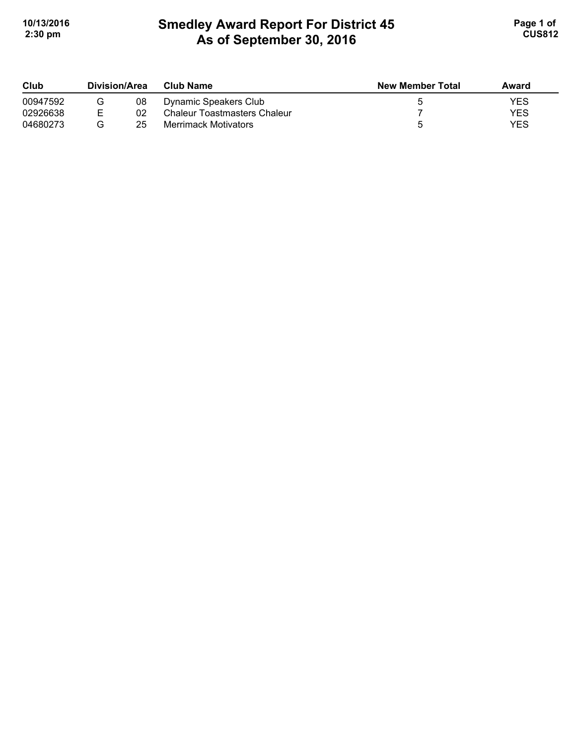# **Smedley Award Report For District 45 As of September 30, 2016 10/13/2016 Page 1 of Smedley Award Report For District 45 Page 1 of Page 1 of 2:30 pm CUS812**

| Club     | Division/Area |    | <b>Club Name</b>             | <b>New Member Total</b> | Award |
|----------|---------------|----|------------------------------|-------------------------|-------|
| 00947592 |               | 08 | Dynamic Speakers Club        |                         | YES   |
| 02926638 | F.            | 02 | Chaleur Toastmasters Chaleur |                         | YES   |
| 04680273 |               | 25 | <b>Merrimack Motivators</b>  |                         | YES   |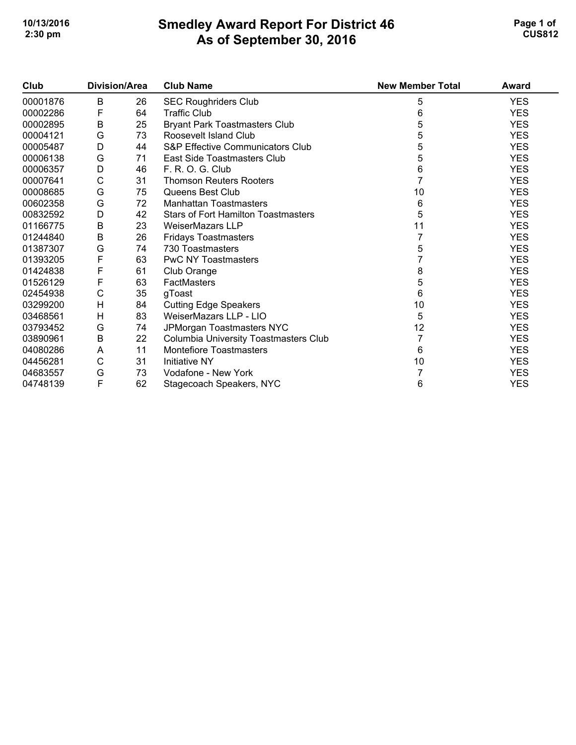#### **Smedley Award Report For District 46 As of September 30, 2016 10/13/2016 Page 1 of Smedley Award Report For District 46 Page 1 of Page 1 of 2:30 pm CUS812**

| Club     | <b>Division/Area</b> |    | <b>Club Name</b>                           | <b>New Member Total</b> | <b>Award</b> |
|----------|----------------------|----|--------------------------------------------|-------------------------|--------------|
| 00001876 | B                    | 26 | <b>SEC Roughriders Club</b>                | 5                       | <b>YES</b>   |
| 00002286 | F                    | 64 | <b>Traffic Club</b>                        | 6                       | <b>YES</b>   |
| 00002895 | B                    | 25 | <b>Bryant Park Toastmasters Club</b>       | 5                       | <b>YES</b>   |
| 00004121 | G                    | 73 | Roosevelt Island Club                      | 5                       | <b>YES</b>   |
| 00005487 | D                    | 44 | S&P Effective Communicators Club           | 5                       | <b>YES</b>   |
| 00006138 | G                    | 71 | East Side Toastmasters Club                | 5                       | <b>YES</b>   |
| 00006357 | D                    | 46 | F. R. O. G. Club                           | 6                       | <b>YES</b>   |
| 00007641 | C                    | 31 | <b>Thomson Reuters Rooters</b>             |                         | <b>YES</b>   |
| 00008685 | G                    | 75 | Queens Best Club                           | 10                      | <b>YES</b>   |
| 00602358 | G                    | 72 | <b>Manhattan Toastmasters</b>              | 6                       | <b>YES</b>   |
| 00832592 | D                    | 42 | <b>Stars of Fort Hamilton Toastmasters</b> | 5                       | <b>YES</b>   |
| 01166775 | $\sf B$              | 23 | <b>WeiserMazars LLP</b>                    | 11                      | <b>YES</b>   |
| 01244840 | $\sf B$              | 26 | <b>Fridays Toastmasters</b>                |                         | <b>YES</b>   |
| 01387307 | G                    | 74 | 730 Toastmasters                           | 5                       | <b>YES</b>   |
| 01393205 | F                    | 63 | <b>PwC NY Toastmasters</b>                 |                         | <b>YES</b>   |
| 01424838 | F                    | 61 | Club Orange                                | 8                       | <b>YES</b>   |
| 01526129 | F                    | 63 | FactMasters                                | 5                       | <b>YES</b>   |
| 02454938 | C                    | 35 | gToast                                     | 6                       | <b>YES</b>   |
| 03299200 | H                    | 84 | <b>Cutting Edge Speakers</b>               | 10                      | <b>YES</b>   |
| 03468561 | H                    | 83 | WeiserMazars LLP - LIO                     | 5                       | <b>YES</b>   |
| 03793452 | G                    | 74 | JPMorgan Toastmasters NYC                  | 12                      | <b>YES</b>   |
| 03890961 | B                    | 22 | Columbia University Toastmasters Club      |                         | <b>YES</b>   |
| 04080286 | A                    | 11 | Montefiore Toastmasters                    | 6                       | <b>YES</b>   |
| 04456281 | C                    | 31 | <b>Initiative NY</b>                       | 10                      | <b>YES</b>   |
| 04683557 | G                    | 73 | Vodafone - New York                        |                         | <b>YES</b>   |
| 04748139 | F                    | 62 | Stagecoach Speakers, NYC                   | 6                       | <b>YES</b>   |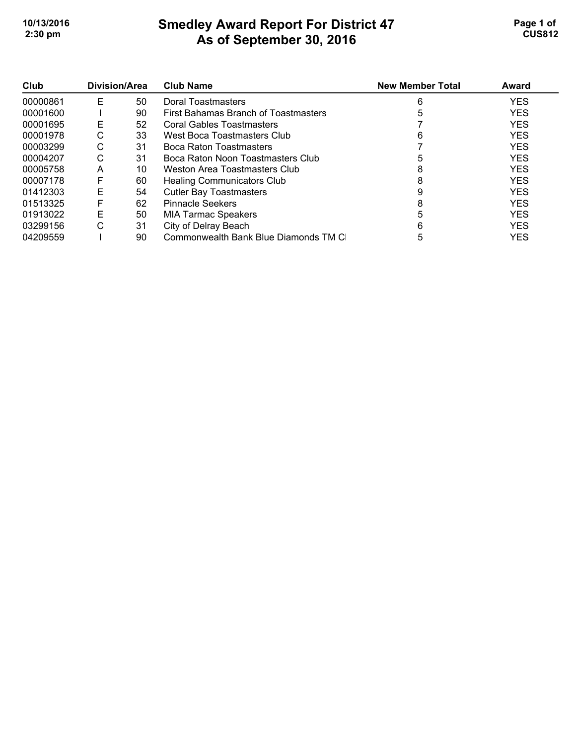# **Smedley Award Report For District 47 As of September 30, 2016 10/13/2016 Page 1 of Smedley Award Report For District 47 Page 1 of Page 1 of 2:30 pm CUS812**

| Club     | Division/Area |    | <b>Club Name</b>                     | <b>New Member Total</b> | Award      |
|----------|---------------|----|--------------------------------------|-------------------------|------------|
| 00000861 | Е             | 50 | Doral Toastmasters                   |                         | <b>YES</b> |
| 00001600 |               | 90 | First Bahamas Branch of Toastmasters |                         | <b>YES</b> |
| 00001695 | Е             | 52 | Coral Gables Toastmasters            |                         | <b>YES</b> |
| 00001978 | С             | 33 | West Boca Toastmasters Club          | 6                       | <b>YES</b> |
| 00003299 | С             | 31 | Boca Raton Toastmasters              |                         | <b>YES</b> |
| 00004207 | С             | 31 | Boca Raton Noon Toastmasters Club    |                         | <b>YES</b> |
| 00005758 | A             | 10 | Weston Area Toastmasters Club        | 8                       | <b>YES</b> |
| 00007178 | F             | 60 | <b>Healing Communicators Club</b>    | 8                       | <b>YES</b> |
| 01412303 | Е             | 54 | <b>Cutler Bay Toastmasters</b>       |                         | <b>YES</b> |
| 01513325 | F             | 62 | <b>Pinnacle Seekers</b>              |                         | <b>YES</b> |
| 01913022 | Е             | 50 | <b>MIA Tarmac Speakers</b>           |                         | <b>YES</b> |
| 03299156 | С             | 31 | City of Delray Beach                 |                         | <b>YES</b> |
| 04209559 |               | 90 | Commonwealth Bank Blue Diamonds TM C | 5                       | <b>YES</b> |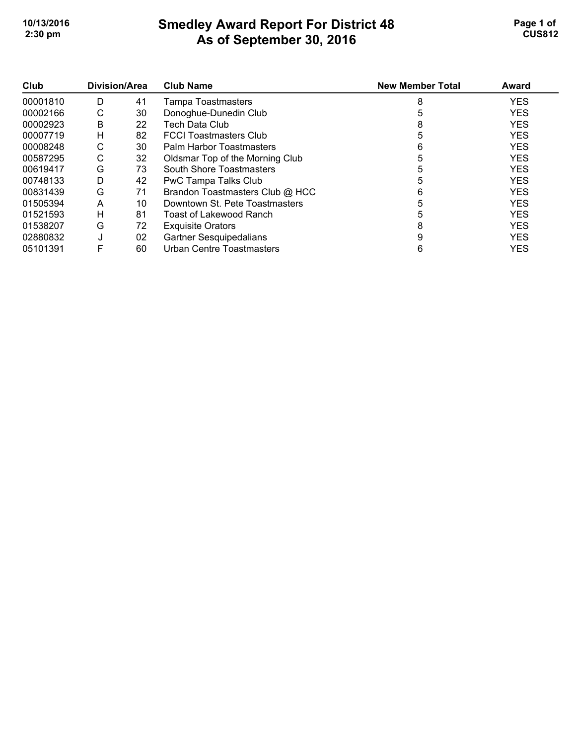## **Smedley Award Report For District 48 As of September 30, 2016 10/13/2016 Page 1 of Smedley Award Report For District 48 Page 1 of Page 1 of 2:30 pm CUS812**

| Club<br>00001810 | Division/Area |    | <b>Club Name</b>                 | <b>New Member Total</b> | Award      |
|------------------|---------------|----|----------------------------------|-------------------------|------------|
|                  | D             | 41 | <b>Tampa Toastmasters</b>        | 8                       | <b>YES</b> |
| 00002166         | С             | 30 | Donoghue-Dunedin Club            |                         | <b>YES</b> |
| 00002923         | B             | 22 | Tech Data Club                   | 8                       | <b>YES</b> |
| 00007719         | H             | 82 | <b>FCCI Toastmasters Club</b>    |                         | <b>YES</b> |
| 00008248         | С             | 30 | Palm Harbor Toastmasters         | 6                       | <b>YES</b> |
| 00587295         | C             | 32 | Oldsmar Top of the Morning Club  |                         | <b>YES</b> |
| 00619417         | G             | 73 | South Shore Toastmasters         |                         | <b>YES</b> |
| 00748133         | D             | 42 | PwC Tampa Talks Club             | 5                       | <b>YES</b> |
| 00831439         | G             | 71 | Brandon Toastmasters Club @ HCC  | 6                       | <b>YES</b> |
| 01505394         | A             | 10 | Downtown St. Pete Toastmasters   | 5                       | <b>YES</b> |
| 01521593         | H             | 81 | Toast of Lakewood Ranch          | 5                       | <b>YES</b> |
| 01538207         | G             | 72 | <b>Exquisite Orators</b>         | 8                       | <b>YES</b> |
| 02880832         | J             | 02 | <b>Gartner Sesquipedalians</b>   | 9                       | <b>YES</b> |
| 05101391         | F             | 60 | <b>Urban Centre Toastmasters</b> | 6                       | <b>YES</b> |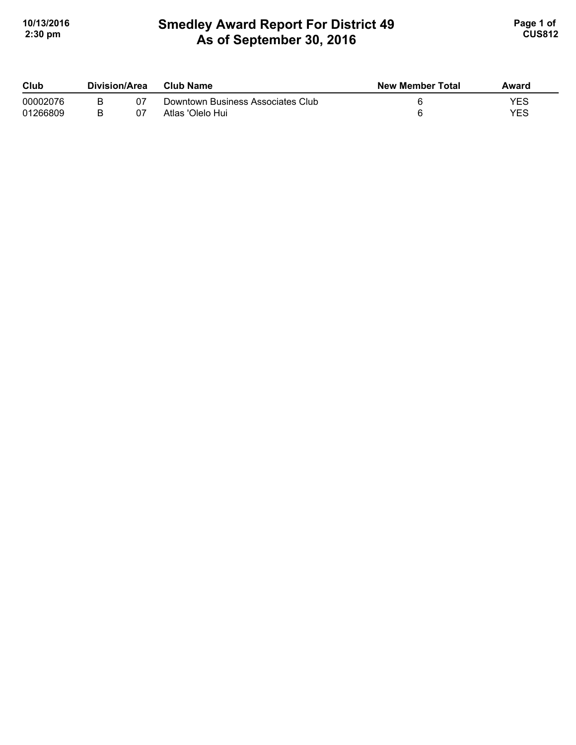# **Smedley Award Report For District 49 As of September 30, 2016 10/13/2016 Page 1 of Smedley Award Report For District 49 <b>Page 1 of** Page 1 of **2:30 pm CUS812**

| Club     | Division/Area |    | Club Name                         | <b>New Member Total</b> | Award |
|----------|---------------|----|-----------------------------------|-------------------------|-------|
| 00002076 |               | 07 | Downtown Business Associates Club |                         | YES   |
| 01266809 |               | 07 | Atlas 'Olelo Hui                  |                         | YES   |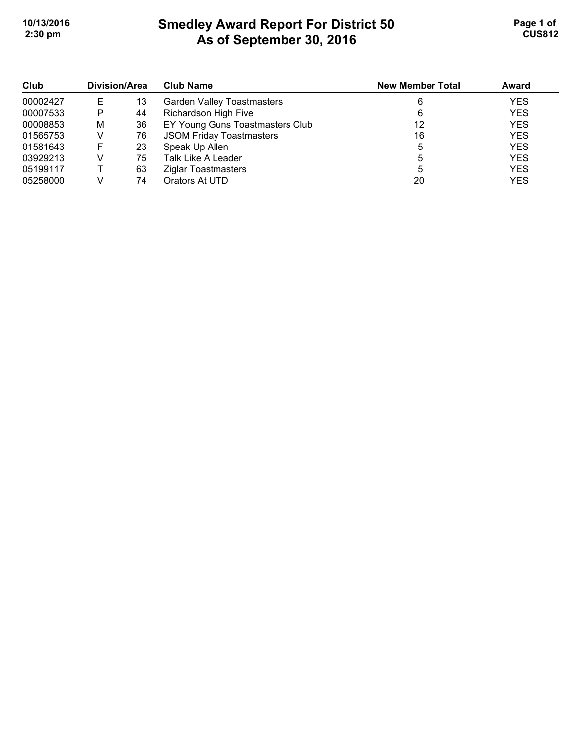# **Smedley Award Report For District 50 As of September 30, 2016 10/13/2016 Page 1 of Smedley Award Report For District 50 <b>Page 1 of** Page 1 of **2:30 pm CUS812**

| Club<br>00002427 | <b>Division/Area</b> |    | <b>Club Name</b>                  | <b>New Member Total</b> | <b>Award</b> |
|------------------|----------------------|----|-----------------------------------|-------------------------|--------------|
|                  |                      | 13 | <b>Garden Valley Toastmasters</b> | 6                       | <b>YES</b>   |
| 00007533         | Р                    | 44 | Richardson High Five              | 6                       | <b>YES</b>   |
| 00008853         | м                    | 36 | EY Young Guns Toastmasters Club   | 12                      | <b>YES</b>   |
| 01565753         |                      | 76 | <b>JSOM Friday Toastmasters</b>   | 16                      | <b>YES</b>   |
| 01581643         | F                    | 23 | Speak Up Allen                    | 5                       | <b>YES</b>   |
| 03929213         |                      | 75 | Talk Like A Leader                | 5                       | <b>YES</b>   |
| 05199117         |                      | 63 | Ziglar Toastmasters               | 5                       | <b>YES</b>   |
| 05258000         |                      | 74 | Orators At UTD                    | 20                      | <b>YES</b>   |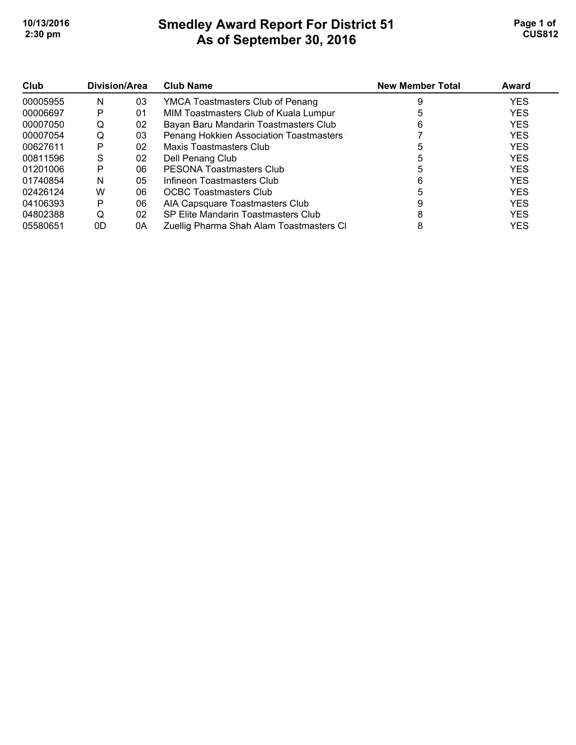# **Smedley Award Report For District 51 As of September 30, 2016 10/13/2016 Page 1 of Smedley Award Report For District 51 Page 1 of Page 1 of 2:30 pm CUS812**

| Club     | Division/Area |    | <b>Club Name</b>                         | <b>New Member Total</b> | Award      |
|----------|---------------|----|------------------------------------------|-------------------------|------------|
| 00005955 | N             | 03 | YMCA Toastmasters Club of Penang         |                         | <b>YES</b> |
| 00006697 | Р             | 01 | MIM Toastmasters Club of Kuala Lumpur    |                         | <b>YES</b> |
| 00007050 | Q             | 02 | Bayan Baru Mandarin Toastmasters Club    | 6                       | <b>YES</b> |
| 00007054 | Q             | 03 | Penang Hokkien Association Toastmasters  |                         | <b>YES</b> |
| 00627611 | Р             | 02 | Maxis Toastmasters Club                  |                         | <b>YES</b> |
| 00811596 | S             | 02 | Dell Penang Club                         |                         | <b>YES</b> |
| 01201006 | Р             | 06 | PESONA Toastmasters Club                 |                         | <b>YES</b> |
| 01740854 | N             | 05 | Infineon Toastmasters Club               | 6                       | <b>YES</b> |
| 02426124 | W             | 06 | <b>OCBC Toastmasters Club</b>            |                         | <b>YES</b> |
| 04106393 | Р             | 06 | AIA Capsquare Toastmasters Club          |                         | <b>YES</b> |
| 04802388 | O             | 02 | SP Elite Mandarin Toastmasters Club      |                         | <b>YES</b> |
| 05580651 | 0D            | 0A | Zuellig Pharma Shah Alam Toastmasters Cl | 8                       | <b>YES</b> |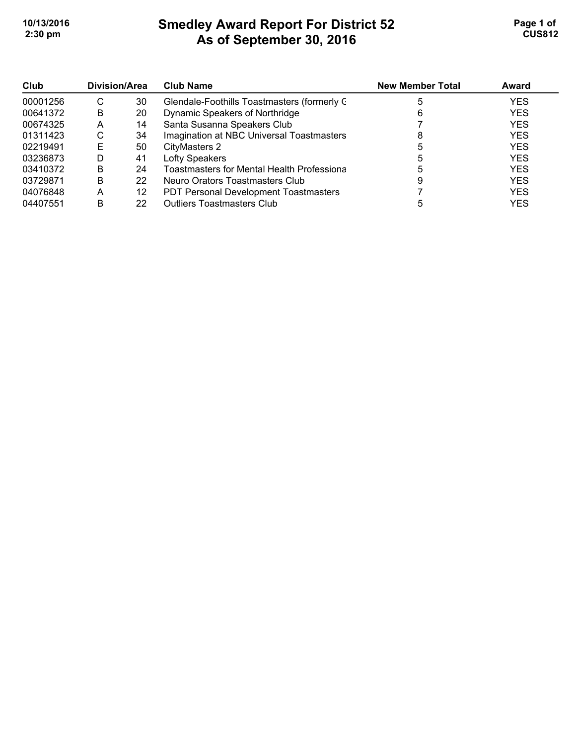# **Smedley Award Report For District 52 As of September 30, 2016 10/13/2016 Page 1 of Smedley Award Report For District 52 Page 1 of Page 1 of 2:30 pm CUS812**

| Club<br>00001256 | Division/Area |    | <b>Club Name</b>                             | <b>New Member Total</b> | Award      |
|------------------|---------------|----|----------------------------------------------|-------------------------|------------|
|                  | С             | 30 | Glendale-Foothills Toastmasters (formerly C  |                         | <b>YES</b> |
| 00641372         | B             | 20 | Dynamic Speakers of Northridge               |                         | <b>YES</b> |
| 00674325         | Α             | 14 | Santa Susanna Speakers Club                  |                         | <b>YES</b> |
| 01311423         | С             | 34 | Imagination at NBC Universal Toastmasters    |                         | <b>YES</b> |
| 02219491         | E             | 50 | CityMasters 2                                |                         | <b>YES</b> |
| 03236873         | D             | 41 | Lofty Speakers                               |                         | <b>YES</b> |
| 03410372         | В             | 24 | Toastmasters for Mental Health Professiona   |                         | <b>YES</b> |
| 03729871         | в             | 22 | Neuro Orators Toastmasters Club              |                         | <b>YES</b> |
| 04076848         | Α             | 12 | <b>PDT Personal Development Toastmasters</b> |                         | <b>YES</b> |
| 04407551         | в             | 22 | <b>Outliers Toastmasters Club</b>            |                         | YES        |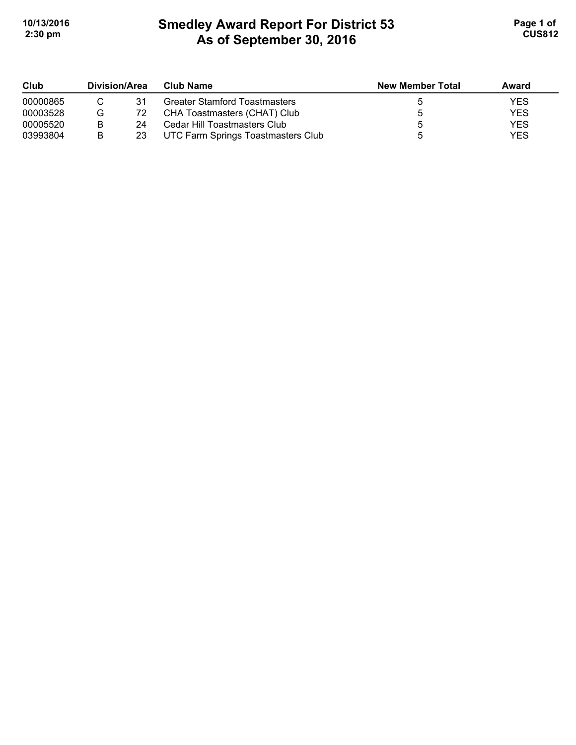## **Smedley Award Report For District 53 As of September 30, 2016 10/13/2016 Page 1 of Smedley Award Report For District 53 <b>Page 1 of** Page 1 of **2:30 pm CUS812**

| Club     | Division/Area |    | Club Name                            | <b>New Member Total</b> | Award |
|----------|---------------|----|--------------------------------------|-------------------------|-------|
| 00000865 |               | 31 | <b>Greater Stamford Toastmasters</b> |                         | YES   |
| 00003528 | G             | 72 | CHA Toastmasters (CHAT) Club         |                         | YES   |
| 00005520 | в             | 24 | Cedar Hill Toastmasters Club         |                         | YES   |
| 03993804 | в             | 23 | UTC Farm Springs Toastmasters Club   |                         | YES   |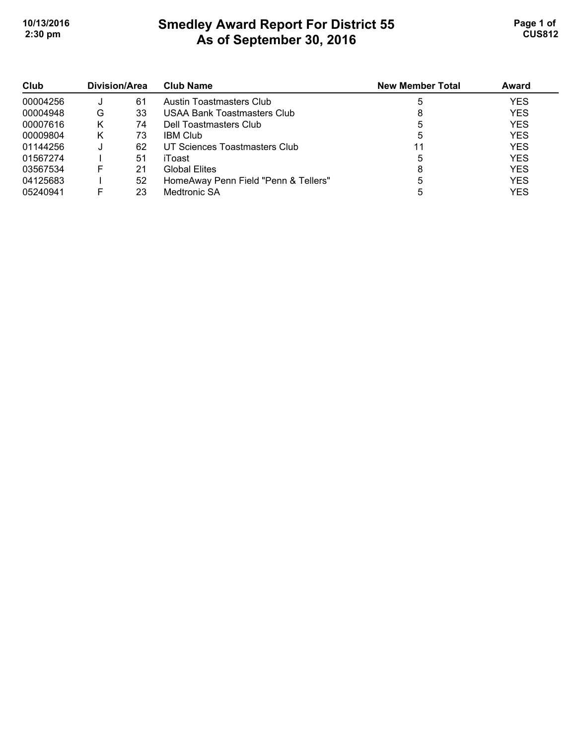# **Smedley Award Report For District 55 As of September 30, 2016 10/13/2016 Page 1 of Smedley Award Report For District 55 <b>Page 1 of** Page 1 of **2:30 pm CUS812**

| Club<br>00004256 | Division/Area |    | <b>Club Name</b>                     | <b>New Member Total</b> | Award      |
|------------------|---------------|----|--------------------------------------|-------------------------|------------|
|                  |               | 61 | Austin Toastmasters Club             | 5                       | <b>YES</b> |
| 00004948         | G             | 33 | USAA Bank Toastmasters Club          |                         | <b>YES</b> |
| 00007616         | κ             | 74 | Dell Toastmasters Club               | 5                       | <b>YES</b> |
| 00009804         | κ             | 73 | <b>IBM Club</b>                      |                         | <b>YES</b> |
| 01144256         |               | 62 | UT Sciences Toastmasters Club        |                         | <b>YES</b> |
| 01567274         |               | 51 | iToast                               |                         | <b>YES</b> |
| 03567534         | F             | 21 | <b>Global Elites</b>                 |                         | <b>YES</b> |
| 04125683         |               | 52 | HomeAway Penn Field "Penn & Tellers" |                         | <b>YES</b> |
| 05240941         |               | 23 | Medtronic SA                         |                         | YES        |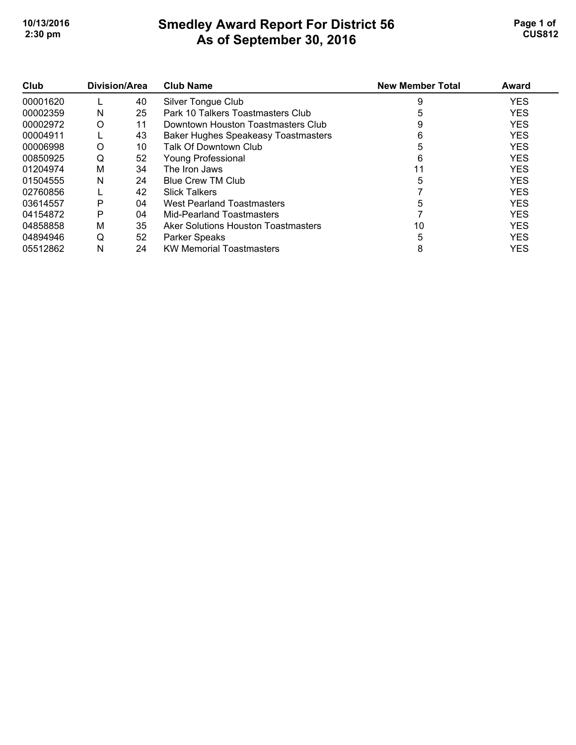# **Smedley Award Report For District 56 As of September 30, 2016 10/13/2016 Page 1 of Smedley Award Report For District 56 <b>Page 1 of** Page 1 of **2:30 pm CUS812**

| Club     | Division/Area |    | <b>Club Name</b>                           | <b>New Member Total</b> | Award      |
|----------|---------------|----|--------------------------------------------|-------------------------|------------|
| 00001620 |               | 40 | Silver Tongue Club                         | 9                       | <b>YES</b> |
| 00002359 | N             | 25 | Park 10 Talkers Toastmasters Club          |                         | <b>YES</b> |
| 00002972 | O             | 11 | Downtown Houston Toastmasters Club         |                         | <b>YES</b> |
| 00004911 |               | 43 | <b>Baker Hughes Speakeasy Toastmasters</b> | 6                       | <b>YES</b> |
| 00006998 | O             | 10 | Talk Of Downtown Club                      | 5                       | <b>YES</b> |
| 00850925 | Q             | 52 | <b>Young Professional</b>                  | 6                       | <b>YES</b> |
| 01204974 | M             | 34 | The Iron Jaws                              |                         | <b>YES</b> |
| 01504555 | N             | 24 | <b>Blue Crew TM Club</b>                   | 5                       | <b>YES</b> |
| 02760856 |               | 42 | <b>Slick Talkers</b>                       |                         | <b>YES</b> |
| 03614557 | P             | 04 | West Pearland Toastmasters                 | 5                       | <b>YES</b> |
| 04154872 | P             | 04 | Mid-Pearland Toastmasters                  |                         | <b>YES</b> |
| 04858858 | М             | 35 | Aker Solutions Houston Toastmasters        | 10                      | <b>YES</b> |
| 04894946 | Q             | 52 | Parker Speaks                              | 5                       | <b>YES</b> |
| 05512862 | N             | 24 | <b>KW Memorial Toastmasters</b>            | 8                       | <b>YES</b> |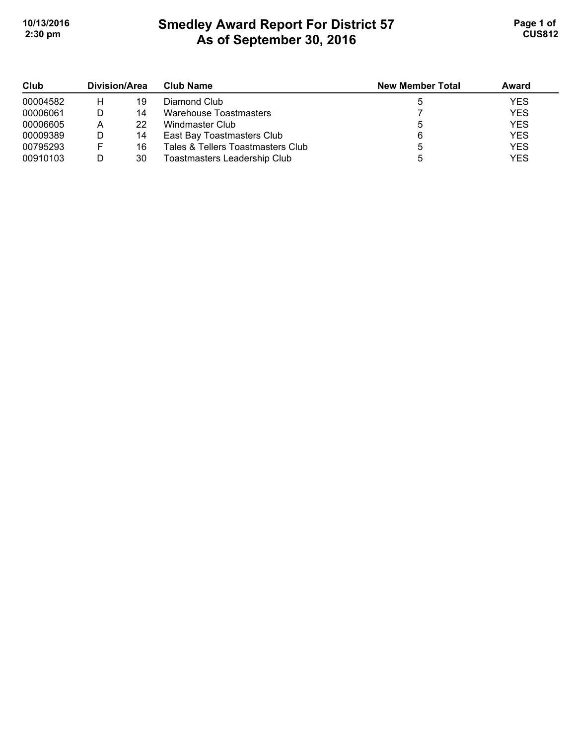# **Smedley Award Report For District 57 As of September 30, 2016 10/13/2016 Page 1 of Smedley Award Report For District 57 <b>Page 1 of** Page 1 of **2:30 pm CUS812**

| Club<br>00004582 | Division/Area |    | <b>Club Name</b>                  | <b>New Member Total</b> | Award      |
|------------------|---------------|----|-----------------------------------|-------------------------|------------|
|                  | н             | 19 | Diamond Club                      |                         | <b>YES</b> |
| 00006061         |               | 14 | Warehouse Toastmasters            |                         | <b>YES</b> |
| 00006605         | А             | 22 | Windmaster Club                   |                         | <b>YES</b> |
| 00009389         |               | 14 | East Bay Toastmasters Club        |                         | <b>YES</b> |
| 00795293         |               | 16 | Tales & Tellers Toastmasters Club |                         | <b>YES</b> |
| 00910103         |               | 30 | Toastmasters Leadership Club      |                         | <b>YES</b> |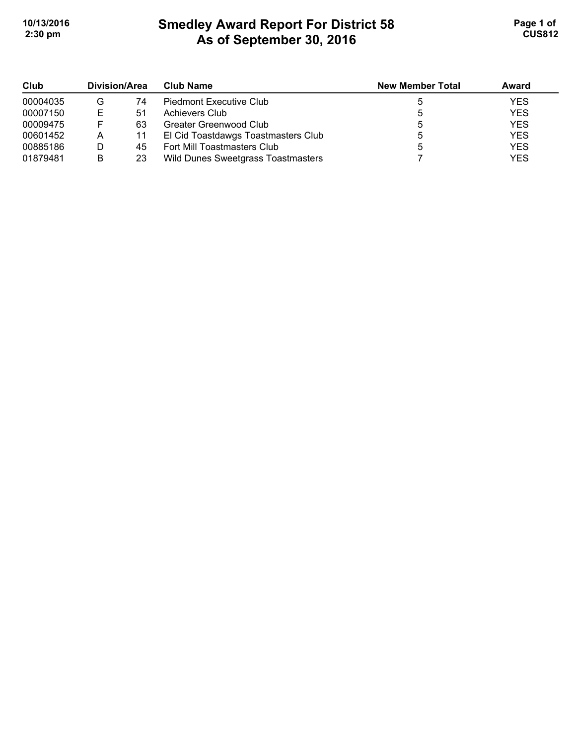# **Smedley Award Report For District 58 As of September 30, 2016 10/13/2016 Page 1 of Smedley Award Report For District 58 <b>Page 1 of** Page 1 of **2:30 pm CUS812**

| Club<br>00004035 | Division/Area |    | <b>Club Name</b>                    | <b>New Member Total</b> | Award      |
|------------------|---------------|----|-------------------------------------|-------------------------|------------|
|                  | G             | 74 | Piedmont Executive Club             |                         | <b>YES</b> |
| 00007150         | Е             | 51 | Achievers Club                      |                         | <b>YES</b> |
| 00009475         | F             | 63 | Greater Greenwood Club              |                         | <b>YES</b> |
| 00601452         | Α             | 11 | El Cid Toastdawgs Toastmasters Club |                         | <b>YES</b> |
| 00885186         |               | 45 | Fort Mill Toastmasters Club         |                         | <b>YES</b> |
| 01879481         | B             | 23 | Wild Dunes Sweetgrass Toastmasters  |                         | <b>YES</b> |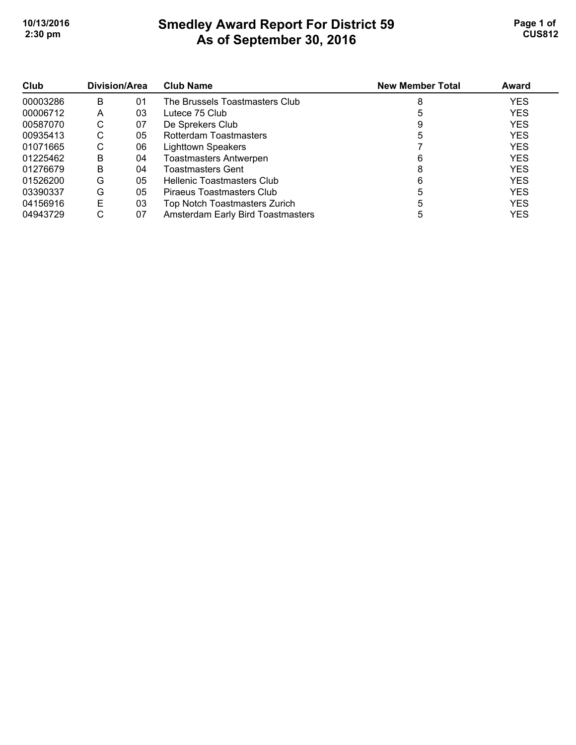# **Smedley Award Report For District 59 As of September 30, 2016 10/13/2016 Page 1 of Smedley Award Report For District 59 <b>Page 1 of** Page 1 of **2:30 pm CUS812**

| Club     | Division/Area |    | <b>Club Name</b>                  | <b>New Member Total</b> | Award      |
|----------|---------------|----|-----------------------------------|-------------------------|------------|
| 00003286 | в             | 01 | The Brussels Toastmasters Club    |                         | <b>YES</b> |
| 00006712 | Α             | 03 | Lutece 75 Club                    |                         | <b>YES</b> |
| 00587070 | С             | 07 | De Sprekers Club                  |                         | <b>YES</b> |
| 00935413 | С             | 05 | Rotterdam Toastmasters            |                         | <b>YES</b> |
| 01071665 | С             | 06 | <b>Lighttown Speakers</b>         |                         | <b>YES</b> |
| 01225462 | B             | 04 | <b>Toastmasters Antwerpen</b>     | 6                       | <b>YES</b> |
| 01276679 | B             | 04 | <b>Toastmasters Gent</b>          |                         | <b>YES</b> |
| 01526200 | G             | 05 | Hellenic Toastmasters Club        | 6                       | <b>YES</b> |
| 03390337 | G             | 05 | Piraeus Toastmasters Club         |                         | <b>YES</b> |
| 04156916 | E             | 03 | Top Notch Toastmasters Zurich     |                         | <b>YES</b> |
| 04943729 | С             | 07 | Amsterdam Early Bird Toastmasters |                         | <b>YES</b> |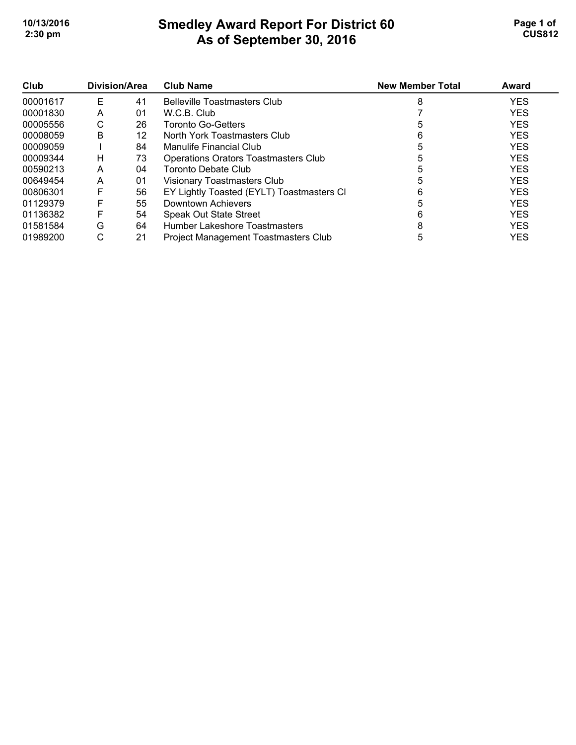## **Smedley Award Report For District 60 As of September 30, 2016 10/13/2016 Page 1 of Smedley Award Report For District 60 Page 1 of Page 1 of 2:30 pm CUS812**

| Club     | Division/Area |    | <b>Club Name</b>                            | <b>New Member Total</b> | Award      |
|----------|---------------|----|---------------------------------------------|-------------------------|------------|
| 00001617 | Е             | 41 | <b>Belleville Toastmasters Club</b>         | 8                       | <b>YES</b> |
| 00001830 | A             | 01 | W.C.B. Club                                 |                         | <b>YES</b> |
| 00005556 | С             | 26 | <b>Toronto Go-Getters</b>                   | 5                       | <b>YES</b> |
| 00008059 | B             | 12 | North York Toastmasters Club                | 6                       | <b>YES</b> |
| 00009059 |               | 84 | Manulife Financial Club                     |                         | <b>YES</b> |
| 00009344 | н             | 73 | <b>Operations Orators Toastmasters Club</b> |                         | <b>YES</b> |
| 00590213 | A             | 04 | Toronto Debate Club                         |                         | <b>YES</b> |
| 00649454 | Α             | 01 | Visionary Toastmasters Club                 |                         | <b>YES</b> |
| 00806301 | F             | 56 | EY Lightly Toasted (EYLT) Toastmasters CI   |                         | <b>YES</b> |
| 01129379 | F             | 55 | Downtown Achievers                          |                         | <b>YES</b> |
| 01136382 | F             | 54 | Speak Out State Street                      |                         | <b>YES</b> |
| 01581584 | G             | 64 | Humber Lakeshore Toastmasters               | 8                       | <b>YES</b> |
| 01989200 | С             | 21 | Project Management Toastmasters Club        | 5                       | <b>YES</b> |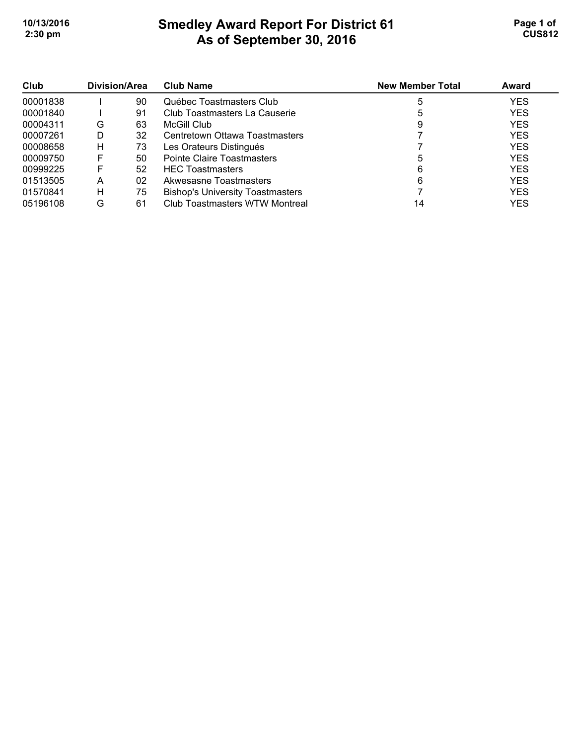# **Smedley Award Report For District 61 As of September 30, 2016 10/13/2016 Page 1 of Smedley Award Report For District 61 Page 1 of Page 1 of 2:30 pm CUS812**

| Club<br>00001838 | Division/Area |    | <b>Club Name</b>                        | <b>New Member Total</b> | Award      |
|------------------|---------------|----|-----------------------------------------|-------------------------|------------|
|                  |               | 90 | Québec Toastmasters Club                |                         | <b>YES</b> |
| 00001840         |               | 91 | Club Toastmasters La Causerie           |                         | <b>YES</b> |
| 00004311         | G             | 63 | McGill Club                             | 9                       | <b>YES</b> |
| 00007261         | D             | 32 | Centretown Ottawa Toastmasters          |                         | <b>YES</b> |
| 00008658         | H             | 73 | Les Orateurs Distingués                 |                         | <b>YES</b> |
| 00009750         | F             | 50 | Pointe Claire Toastmasters              |                         | <b>YES</b> |
| 00999225         | F             | 52 | <b>HEC Toastmasters</b>                 |                         | <b>YES</b> |
| 01513505         | А             | 02 | Akwesasne Toastmasters                  | 6                       | <b>YES</b> |
| 01570841         | н             | 75 | <b>Bishop's University Toastmasters</b> |                         | <b>YES</b> |
| 05196108         | G             | 61 | Club Toastmasters WTW Montreal          | 14                      | <b>YES</b> |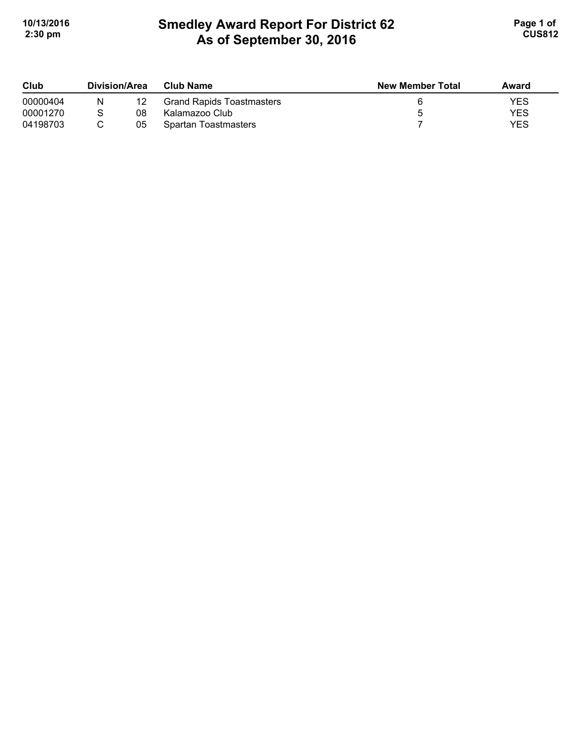# **Smedley Award Report For District 62 As of September 30, 2016 10/13/2016 Page 1 of Smedley Award Report For District 62 Page 1 of Page 1 of 2:30 pm CUS812**

| Club<br>00000404 | Division/Area |    | Club Name                        | <b>New Member Total</b> | Award      |
|------------------|---------------|----|----------------------------------|-------------------------|------------|
|                  | N             |    | <b>Grand Rapids Toastmasters</b> |                         | YES        |
| 00001270         |               | 08 | Kalamazoo Club                   |                         | <b>YES</b> |
| 04198703         |               | 05 | Spartan Toastmasters             |                         | YES        |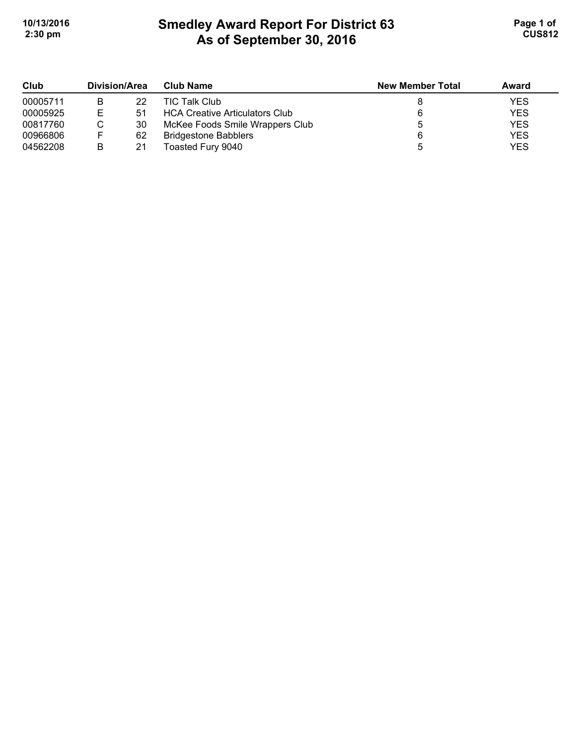## **Smedley Award Report For District 63 As of September 30, 2016 10/13/2016 Page 1 of Smedley Award Report For District 63 Page 1 of Page 1 of 2:30 pm CUS812**

| Club     | Division/Area |    | <b>Club Name</b>                      | <b>New Member Total</b> | Award      |
|----------|---------------|----|---------------------------------------|-------------------------|------------|
| 00005711 | в             | 22 | <b>TIC Talk Club</b>                  |                         | <b>YES</b> |
| 00005925 | F             | 51 | <b>HCA Creative Articulators Club</b> |                         | <b>YES</b> |
| 00817760 |               | 30 | McKee Foods Smile Wrappers Club       |                         | <b>YES</b> |
| 00966806 |               | 62 | <b>Bridgestone Babblers</b>           |                         | <b>YES</b> |
| 04562208 | B             | 21 | Toasted Fury 9040                     |                         | <b>YES</b> |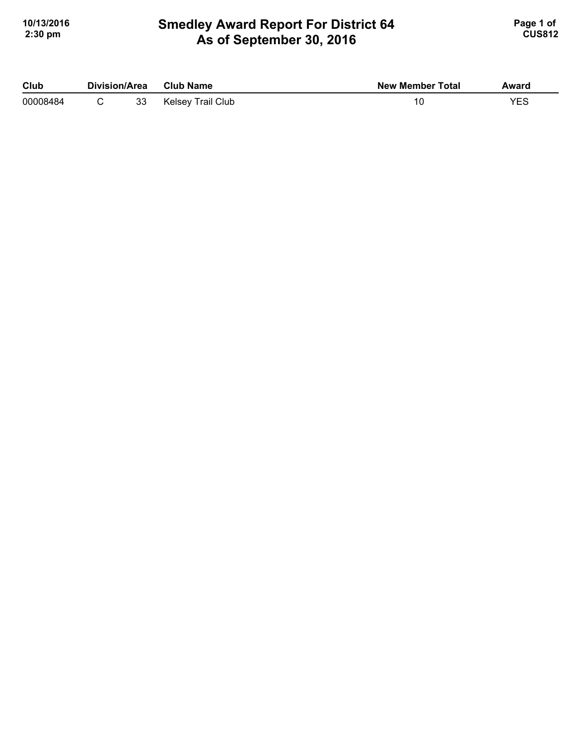### **Smedley Award Report For District 64 As of September 30, 2016 10/13/2016 Page 1 of Smedley Award Report For District 64 Page 1 of Page 1 of 2:30 pm CUS812**

| Club     | <b>Division/Area</b> |    | <b>Club Name</b>  | <b>New Member Total</b> | Award |
|----------|----------------------|----|-------------------|-------------------------|-------|
| 00008484 |                      | 33 | Kelsey Trail Club |                         | YES   |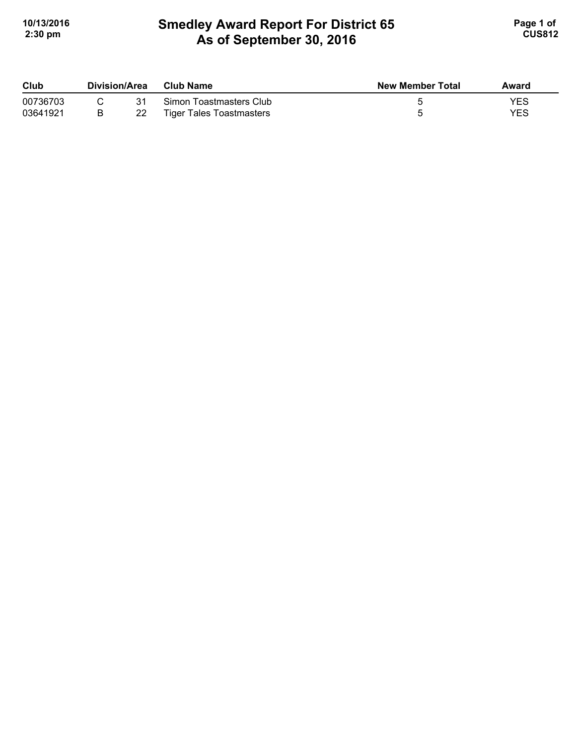# **Smedley Award Report For District 65 As of September 30, 2016 10/13/2016 Page 1 of Smedley Award Report For District 65 <b>Page 1 of** Page 1 of **2:30 pm CUS812**

| Club     | Division/Area |    | <b>Club Name</b>                | New Member Total | Award |
|----------|---------------|----|---------------------------------|------------------|-------|
| 00736703 |               | 31 | Simon Toastmasters Club         |                  | YES   |
| 03641921 |               | 22 | <b>Tiger Tales Toastmasters</b> |                  | YES   |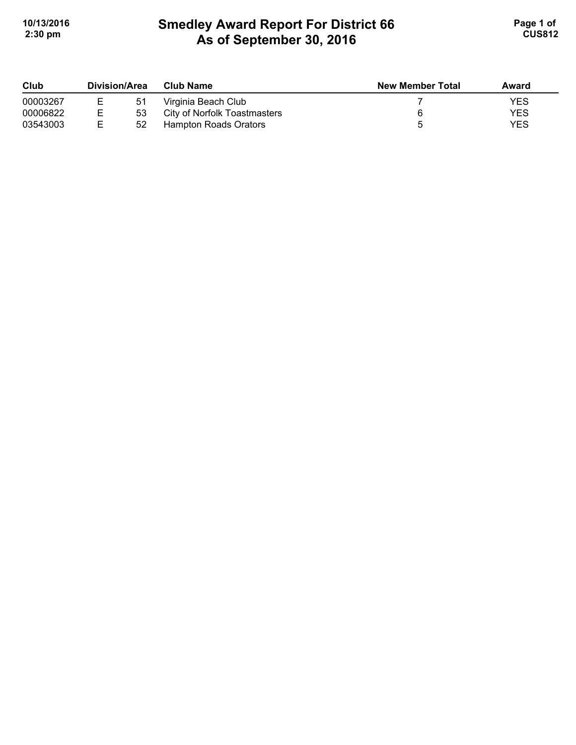# **Smedley Award Report For District 66 As of September 30, 2016 10/13/2016 Page 1 of Smedley Award Report For District 66 <b>Page 1 of** Page 1 of **2:30 pm CUS812**

| Club<br>00003267 | Division/Area |    | <b>Club Name</b>             | <b>New Member Total</b> | Award |
|------------------|---------------|----|------------------------------|-------------------------|-------|
|                  |               | 51 | Virginia Beach Club          |                         | YES   |
| 00006822         |               | 53 | City of Norfolk Toastmasters |                         | YES   |
| 03543003         |               | 52 | Hampton Roads Orators        |                         | YES   |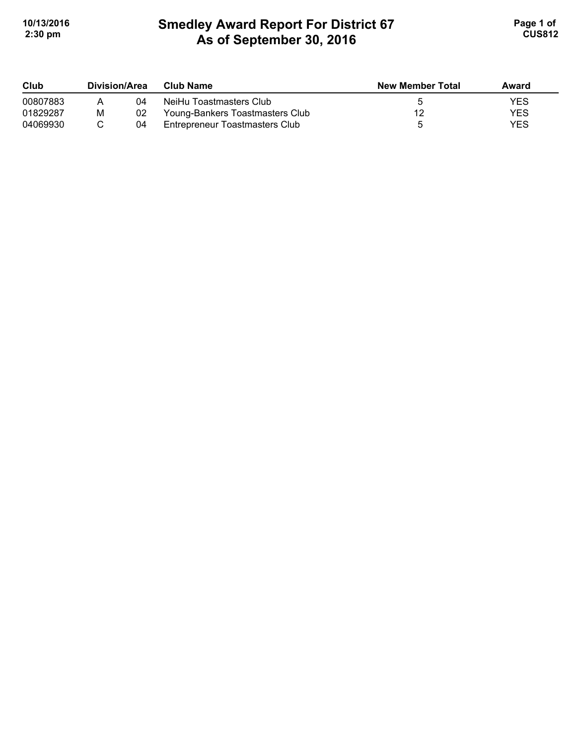# **Smedley Award Report For District 67 As of September 30, 2016 10/13/2016 Page 1 of Smedley Award Report For District 67 <b>Page 1 of** Page 1 of **2:30 pm CUS812**

| Club     | Division/Area |    | <b>Club Name</b>                | <b>New Member Total</b> | Award      |
|----------|---------------|----|---------------------------------|-------------------------|------------|
| 00807883 |               | 04 | NeiHu Toastmasters Club         |                         | <b>YES</b> |
| 01829287 | M             | 02 | Young-Bankers Toastmasters Club |                         | <b>YES</b> |
| 04069930 |               | 04 | Entrepreneur Toastmasters Club  |                         | <b>YES</b> |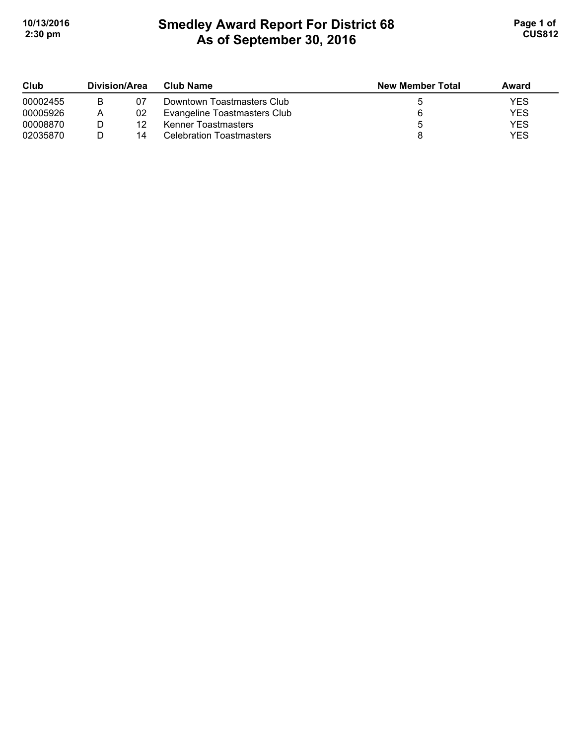# **Smedley Award Report For District 68 As of September 30, 2016 10/13/2016 Page 1 of 1 2:30 pm CUS812**

| Club     | Division/Area |    | Club Name                       | <b>New Member Total</b> | Award |
|----------|---------------|----|---------------------------------|-------------------------|-------|
| 00002455 |               | 07 | Downtown Toastmasters Club      |                         | YES   |
| 00005926 |               | 02 | Evangeline Toastmasters Club    |                         | YES   |
| 00008870 |               | 12 | Kenner Toastmasters             |                         | YES   |
| 02035870 |               | 14 | <b>Celebration Toastmasters</b> |                         | YES   |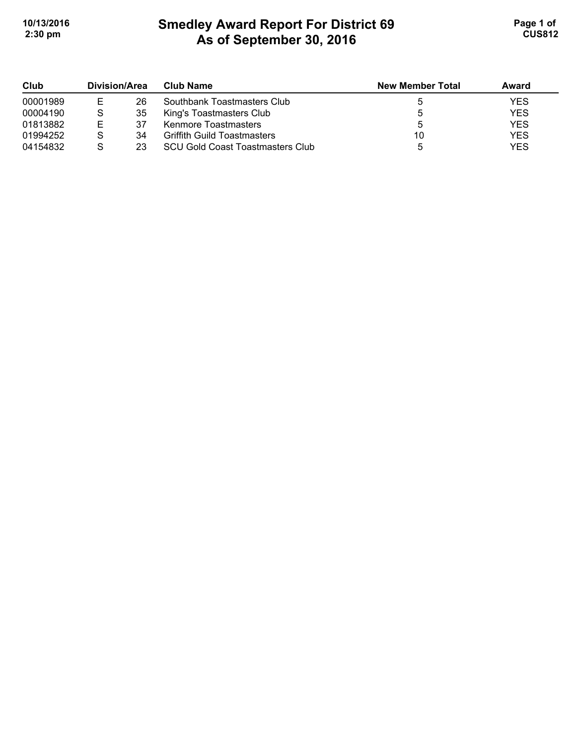# **Smedley Award Report For District 69 As of September 30, 2016 10/13/2016 Page 1 of Smedley Award Report For District 69 <b>Page 1 of** Page 1 of **2:30 pm CUS812**

| Club     | Division/Area |    | Club Name                               | <b>New Member Total</b> | Award      |
|----------|---------------|----|-----------------------------------------|-------------------------|------------|
| 00001989 | E             | 26 | Southbank Toastmasters Club             |                         | <b>YES</b> |
| 00004190 |               | 35 | King's Toastmasters Club                |                         | <b>YES</b> |
| 01813882 | Е             | 37 | Kenmore Toastmasters                    |                         | <b>YES</b> |
| 01994252 |               | 34 | <b>Griffith Guild Toastmasters</b>      | 10                      | <b>YES</b> |
| 04154832 |               | 23 | <b>SCU Gold Coast Toastmasters Club</b> |                         | <b>YES</b> |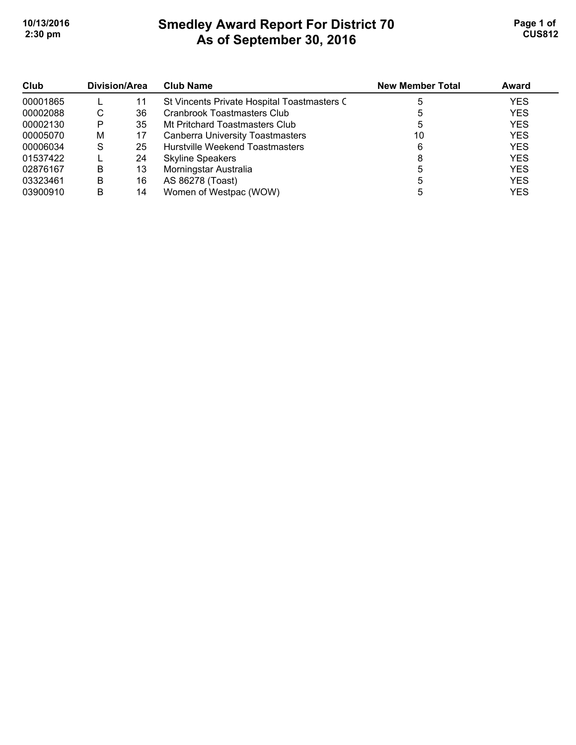# **Smedley Award Report For District 70 As of September 30, 2016**  10/13/2016 **Page 1 of Smedley Award Report For District 70 Page 1 of Page 1 of 2:30 pm CUS812**

| Club     | Division/Area |    | <b>Club Name</b>                            | <b>New Member Total</b> | Award      |
|----------|---------------|----|---------------------------------------------|-------------------------|------------|
| 00001865 |               | 11 | St Vincents Private Hospital Toastmasters C |                         | <b>YES</b> |
| 00002088 | С             | 36 | Cranbrook Toastmasters Club                 |                         | <b>YES</b> |
| 00002130 | P             | 35 | Mt Pritchard Toastmasters Club              |                         | <b>YES</b> |
| 00005070 | м             | 17 | <b>Canberra University Toastmasters</b>     | 10                      | <b>YES</b> |
| 00006034 | S             | 25 | <b>Hurstville Weekend Toastmasters</b>      | 6                       | <b>YES</b> |
| 01537422 |               | 24 | <b>Skyline Speakers</b>                     |                         | <b>YES</b> |
| 02876167 | В             | 13 | Morningstar Australia                       |                         | <b>YES</b> |
| 03323461 | В             | 16 | AS 86278 (Toast)                            |                         | <b>YES</b> |
| 03900910 | В             | 14 | Women of Westpac (WOW)                      |                         | <b>YES</b> |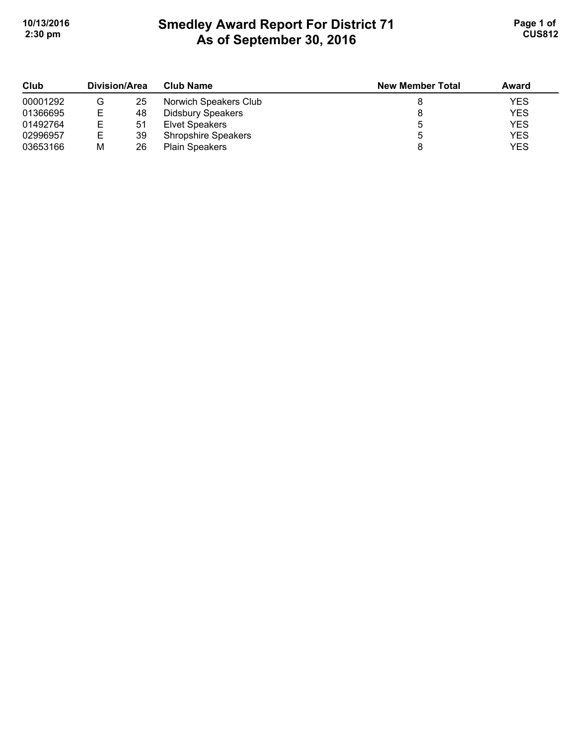# **Smedley Award Report For District 71 As of September 30, 2016**  10/13/2016 **Page 1 of Smedley Award Report For District 71 Page 1 of Page 1 of 2:30 pm CUS812**

| Club     | Division/Area |    | <b>Club Name</b>           | <b>New Member Total</b> | Award      |
|----------|---------------|----|----------------------------|-------------------------|------------|
| 00001292 | G             | 25 | Norwich Speakers Club      |                         | <b>YES</b> |
| 01366695 | ╘             | 48 | <b>Didsbury Speakers</b>   |                         | <b>YES</b> |
| 01492764 |               | 51 | Elvet Speakers             |                         | <b>YES</b> |
| 02996957 | Е             | 39 | <b>Shropshire Speakers</b> |                         | <b>YES</b> |
| 03653166 | M             | 26 | <b>Plain Speakers</b>      |                         | <b>YES</b> |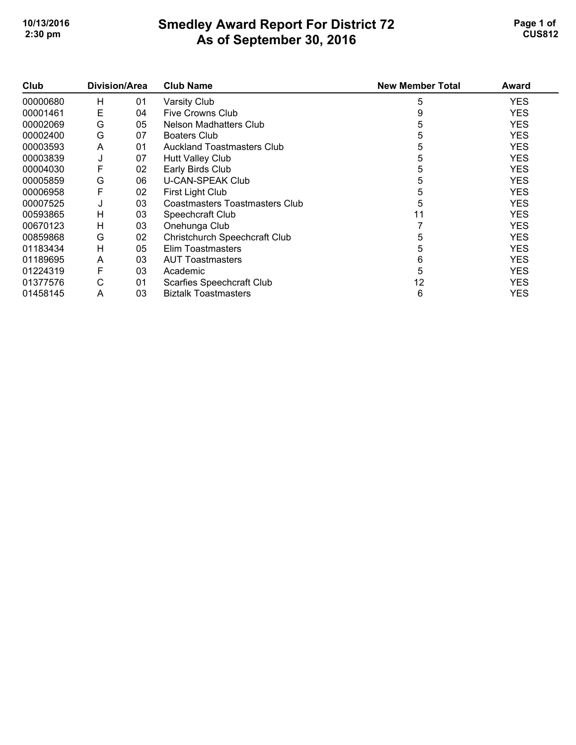#### **Smedley Award Report For District 72 As of September 30, 2016**  10/13/2016 **Page 1 of Smedley Award Report For District 72 Page 1 of Page 1 of 2:30 pm CUS812**

| Club     | Division/Area |    | <b>Club Name</b>                     | <b>New Member Total</b> | <b>Award</b> |
|----------|---------------|----|--------------------------------------|-------------------------|--------------|
| 00000680 | H             | 01 | Varsity Club                         | 5                       | YES          |
| 00001461 | E             | 04 | Five Crowns Club                     | 9                       | <b>YES</b>   |
| 00002069 | G             | 05 | Nelson Madhatters Club               | b                       | <b>YES</b>   |
| 00002400 | G             | 07 | <b>Boaters Club</b>                  |                         | <b>YES</b>   |
| 00003593 | A             | 01 | <b>Auckland Toastmasters Club</b>    | 5                       | <b>YES</b>   |
| 00003839 | J             | 07 | Hutt Valley Club                     | 5                       | <b>YES</b>   |
| 00004030 | F             | 02 | Early Birds Club                     | 5                       | <b>YES</b>   |
| 00005859 | G             | 06 | <b>U-CAN-SPEAK Club</b>              | 5                       | <b>YES</b>   |
| 00006958 | F             | 02 | First Light Club                     |                         | <b>YES</b>   |
| 00007525 | J             | 03 | Coastmasters Toastmasters Club       | 5                       | <b>YES</b>   |
| 00593865 | H             | 03 | Speechcraft Club                     | 11                      | <b>YES</b>   |
| 00670123 | H             | 03 | Onehunga Club                        |                         | <b>YES</b>   |
| 00859868 | G             | 02 | <b>Christchurch Speechcraft Club</b> | 5                       | <b>YES</b>   |
| 01183434 | H             | 05 | Elim Toastmasters                    | 5                       | <b>YES</b>   |
| 01189695 | A             | 03 | <b>AUT Toastmasters</b>              | 6                       | <b>YES</b>   |
| 01224319 | F             | 03 | Academic                             | 5                       | <b>YES</b>   |
| 01377576 | $\mathsf{C}$  | 01 | Scarfies Speechcraft Club            | 12                      | <b>YES</b>   |
| 01458145 | A             | 03 | <b>Biztalk Toastmasters</b>          | 6                       | <b>YES</b>   |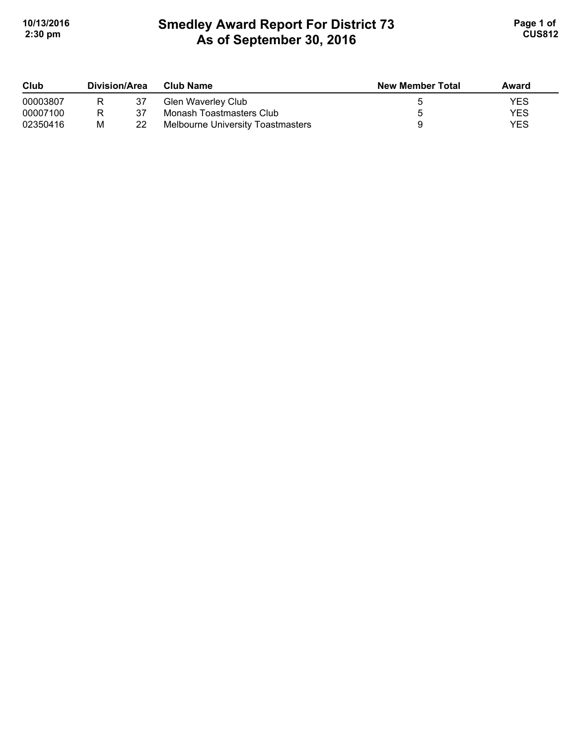# **Smedley Award Report For District 73 As of September 30, 2016**  10/13/2016 **Page 1 of Smedley Award Report For District 73 Page 1 of Page 1 of 2:30 pm CUS812**

| Club     | Division/Area |    | <b>Club Name</b>                         | <b>New Member Total</b> | Award |
|----------|---------------|----|------------------------------------------|-------------------------|-------|
| 00003807 | R             |    | Glen Waverley Club                       |                         | YES   |
| 00007100 | R             | 37 | Monash Toastmasters Club                 |                         | YES   |
| 02350416 | М             | 22 | <b>Melbourne University Toastmasters</b> |                         | YES   |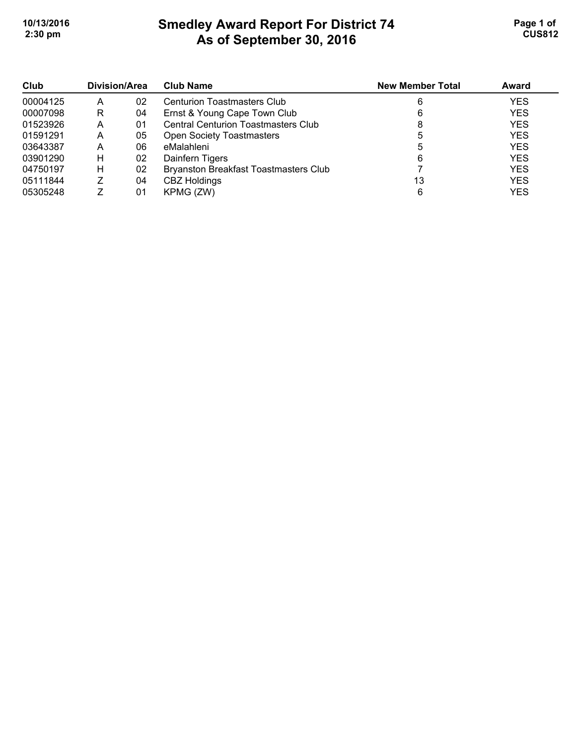# **Smedley Award Report For District 74 As of September 30, 2016 10/13/2016 Page 1 of Smedley Award Report For District 74 Page 1 of Page 1 of 2:30 pm CUS812**

| Club     | Division/Area |    | <b>Club Name</b>                             | <b>New Member Total</b> | Award      |
|----------|---------------|----|----------------------------------------------|-------------------------|------------|
| 00004125 | А             | 02 | <b>Centurion Toastmasters Club</b>           |                         | <b>YES</b> |
| 00007098 | R             | 04 | Ernst & Young Cape Town Club                 |                         | <b>YES</b> |
| 01523926 | А             | 01 | <b>Central Centurion Toastmasters Club</b>   |                         | <b>YES</b> |
| 01591291 | А             | 05 | <b>Open Society Toastmasters</b>             |                         | <b>YES</b> |
| 03643387 | А             | 06 | eMalahleni                                   | G                       | <b>YES</b> |
| 03901290 | н             | 02 | Dainfern Tigers                              | 6                       | <b>YES</b> |
| 04750197 | н             | 02 | <b>Bryanston Breakfast Toastmasters Club</b> |                         | <b>YES</b> |
| 05111844 |               | 04 | <b>CBZ Holdings</b>                          | 13                      | <b>YES</b> |
| 05305248 |               | 01 | KPMG (ZW)                                    | 6                       | <b>YES</b> |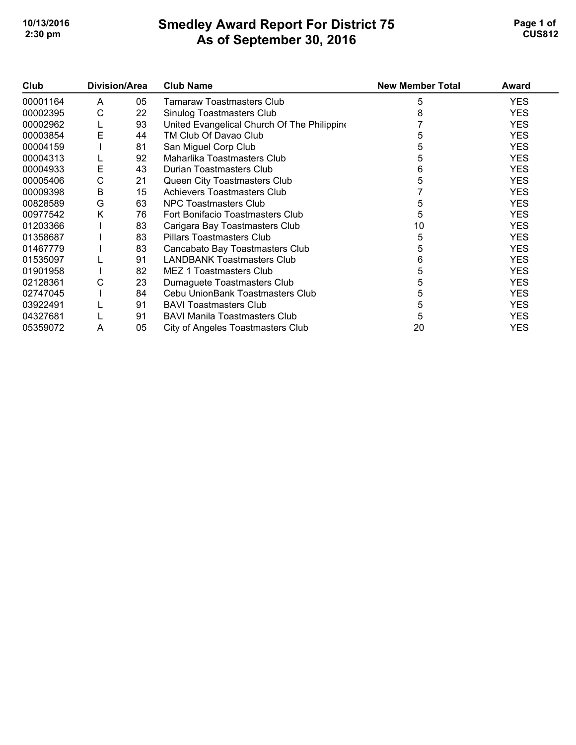## **Smedley Award Report For District 75 As of September 30, 2016 10/13/2016 Page 1 of Smedley Award Report For District 75 <b>Page 1 of** Page 1 of **2:30 pm CUS812**

| Club     | Division/Area |    | <b>Club Name</b>                            | <b>New Member Total</b> | Award      |
|----------|---------------|----|---------------------------------------------|-------------------------|------------|
| 00001164 | A             | 05 | <b>Tamaraw Toastmasters Club</b>            | 5                       | <b>YES</b> |
| 00002395 | С             | 22 | Sinulog Toastmasters Club                   |                         | <b>YES</b> |
| 00002962 | ц             | 93 | United Evangelical Church Of The Philippine |                         | <b>YES</b> |
| 00003854 | E             | 44 | TM Club Of Davao Club                       |                         | <b>YES</b> |
| 00004159 |               | 81 | San Miguel Corp Club                        |                         | <b>YES</b> |
| 00004313 |               | 92 | Maharlika Toastmasters Club                 | 5                       | <b>YES</b> |
| 00004933 | E             | 43 | Durian Toastmasters Club                    | 6                       | <b>YES</b> |
| 00005406 | С             | 21 | Queen City Toastmasters Club                | 5                       | <b>YES</b> |
| 00009398 | В             | 15 | <b>Achievers Toastmasters Club</b>          |                         | <b>YES</b> |
| 00828589 | G             | 63 | <b>NPC Toastmasters Club</b>                | 5                       | <b>YES</b> |
| 00977542 | Κ             | 76 | Fort Bonifacio Toastmasters Club            | 5                       | <b>YES</b> |
| 01203366 |               | 83 | Carigara Bay Toastmasters Club              | 10                      | <b>YES</b> |
| 01358687 |               | 83 | <b>Pillars Toastmasters Club</b>            | 5                       | <b>YES</b> |
| 01467779 |               | 83 | Cancabato Bay Toastmasters Club             | 5                       | <b>YES</b> |
| 01535097 |               | 91 | <b>LANDBANK Toastmasters Club</b>           | 6                       | <b>YES</b> |
| 01901958 |               | 82 | MEZ 1 Toastmasters Club                     | 5                       | <b>YES</b> |
| 02128361 | С             | 23 | Dumaguete Toastmasters Club                 | 5                       | <b>YES</b> |
| 02747045 |               | 84 | Cebu UnionBank Toastmasters Club            | 5                       | <b>YES</b> |
| 03922491 |               | 91 | <b>BAVI Toastmasters Club</b>               | 5                       | <b>YES</b> |
| 04327681 |               | 91 | <b>BAVI Manila Toastmasters Club</b>        | 5                       | <b>YES</b> |
| 05359072 | Α             | 05 | City of Angeles Toastmasters Club           | 20                      | <b>YES</b> |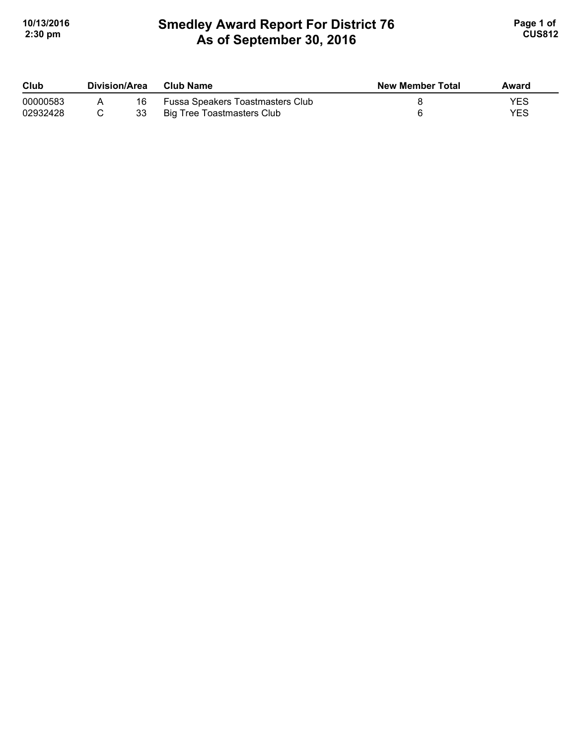# **Smedley Award Report For District 76 As of September 30, 2016 10/13/2016 Page 1 of Smedley Award Report For District 76 <b>Page 1 of** Page 1 of **2:30 pm CUS812**

| Club     | Division/Area |    | Club Name                        | <b>New Member Total</b> | Award |
|----------|---------------|----|----------------------------------|-------------------------|-------|
| 00000583 |               | 16 | Fussa Speakers Toastmasters Club |                         | YES   |
| 02932428 |               | 33 | Big Tree Toastmasters Club       |                         | YES   |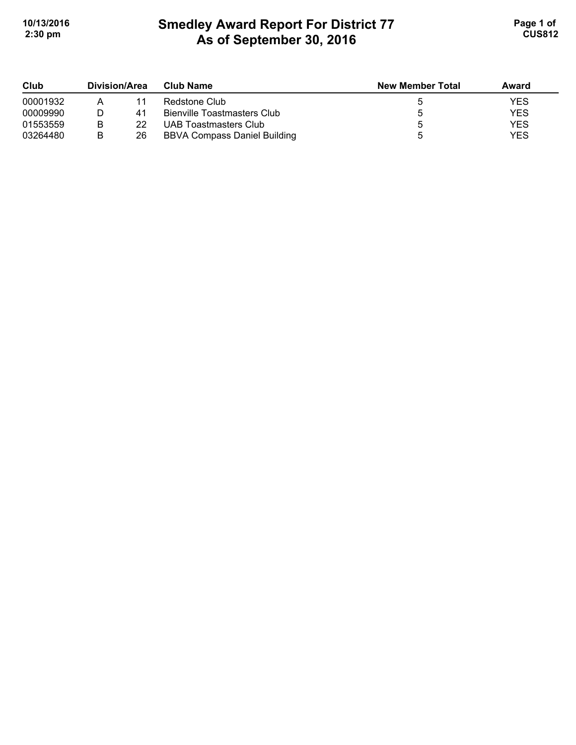## **Smedley Award Report For District 77 As of September 30, 2016 10/13/2016 Page 1 of Smedley Award Report For District 77 Page 1 of Page 1 of 2:30 pm CUS812**

| Club     | Division/Area |    | Club Name                           | <b>New Member Total</b> | Award      |
|----------|---------------|----|-------------------------------------|-------------------------|------------|
| 00001932 |               | 11 | Redstone Club                       |                         | YES        |
| 00009990 |               | 41 | <b>Bienville Toastmasters Club</b>  |                         | <b>YES</b> |
| 01553559 |               | 22 | UAB Toastmasters Club               |                         | <b>YES</b> |
| 03264480 |               | 26 | <b>BBVA Compass Daniel Building</b> |                         | <b>YES</b> |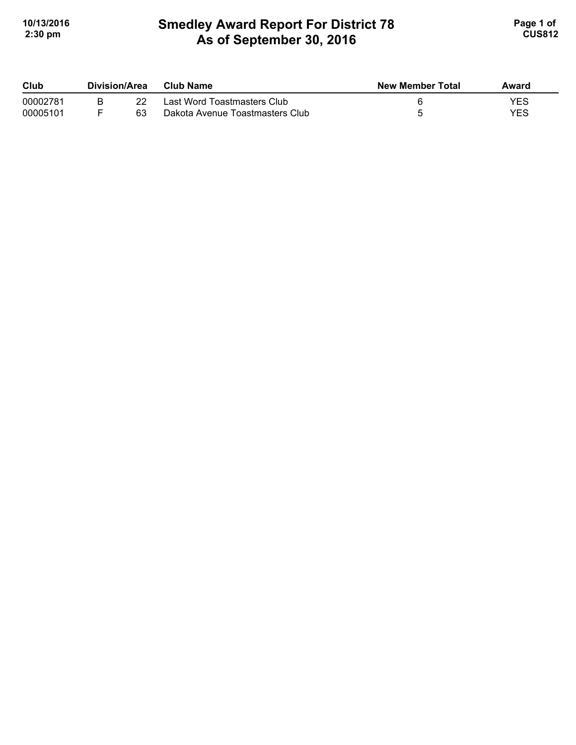# **Smedley Award Report For District 78 As of September 30, 2016**  10/13/2016 **Page 1 of Smedley Award Report For District 78 Page 1 of Page 1 of 2:30 pm CUS812**

| Club     | Division/Area |    | Club Name                       | <b>New Member Total</b> | Award |
|----------|---------------|----|---------------------------------|-------------------------|-------|
| 00002781 |               |    | Last Word Toastmasters Club     |                         | YES   |
| 00005101 |               | 63 | Dakota Avenue Toastmasters Club |                         | YES   |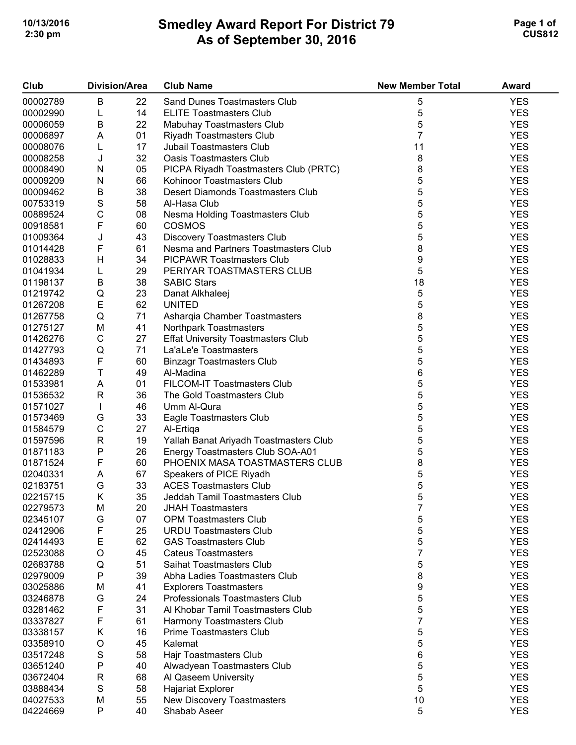## **Smedley Award Report For District 79 As of September 30, 2016 10/13/2016 Page 1 of 2 2:30 pm CUS812**

| Club     |               | <b>Division/Area</b> | <b>Club Name</b>                                                 | <b>New Member Total</b> | Award      |
|----------|---------------|----------------------|------------------------------------------------------------------|-------------------------|------------|
| 00002789 | B             | 22                   | Sand Dunes Toastmasters Club                                     | 5                       | <b>YES</b> |
| 00002990 | L             | 14                   | <b>ELITE Toastmasters Club</b>                                   | 5                       | <b>YES</b> |
| 00006059 | B             | 22                   | Mabuhay Toastmasters Club                                        | 5                       | <b>YES</b> |
| 00006897 | A             | 01                   | Riyadh Toastmasters Club                                         | $\overline{7}$          | <b>YES</b> |
| 00008076 | L             | 17                   | <b>Jubail Toastmasters Club</b>                                  | 11                      | <b>YES</b> |
| 00008258 | J             | 32                   | <b>Oasis Toastmasters Club</b>                                   | 8                       | <b>YES</b> |
| 00008490 | ${\sf N}$     | 05                   | PICPA Riyadh Toastmasters Club (PRTC)                            | 8                       | <b>YES</b> |
| 00009209 | ${\sf N}$     | 66                   | Kohinoor Toastmasters Club                                       | 5                       | <b>YES</b> |
| 00009462 | $\sf B$       | 38                   | Desert Diamonds Toastmasters Club                                | 5                       | <b>YES</b> |
| 00753319 | $\mathbf S$   | 58                   | Al-Hasa Club                                                     |                         | <b>YES</b> |
|          |               |                      |                                                                  | 5                       | <b>YES</b> |
| 00889524 | $\mathsf C$   | 08                   | Nesma Holding Toastmasters Club                                  | 5                       |            |
| 00918581 | $\mathsf F$   | 60                   | <b>COSMOS</b>                                                    | 5                       | <b>YES</b> |
| 01009364 | J             | 43                   | <b>Discovery Toastmasters Club</b>                               | 5                       | <b>YES</b> |
| 01014428 | F             | 61                   | Nesma and Partners Toastmasters Club                             | 8                       | <b>YES</b> |
| 01028833 | Н             | 34                   | <b>PICPAWR Toastmasters Club</b>                                 | 9                       | <b>YES</b> |
| 01041934 | L             | 29                   | PERIYAR TOASTMASTERS CLUB                                        | 5                       | <b>YES</b> |
| 01198137 | B             | 38                   | <b>SABIC Stars</b>                                               | 18                      | <b>YES</b> |
| 01219742 | Q             | 23                   | Danat Alkhaleej                                                  | 5                       | <b>YES</b> |
| 01267208 | E             | 62                   | <b>UNITED</b>                                                    | 5                       | <b>YES</b> |
| 01267758 | Q             | 71                   | Asharqia Chamber Toastmasters                                    | 8                       | <b>YES</b> |
| 01275127 | M             | 41                   | Northpark Toastmasters                                           | 5                       | <b>YES</b> |
| 01426276 | $\mathsf C$   | 27                   | <b>Effat University Toastmasters Club</b>                        | 5                       | <b>YES</b> |
| 01427793 | Q             | 71                   | La'aLe'e Toastmasters                                            | 5                       | <b>YES</b> |
| 01434893 | F             | 60                   | <b>Binzagr Toastmasters Club</b>                                 | 5                       | <b>YES</b> |
| 01462289 | T             | 49                   | Al-Madina                                                        | 6                       | <b>YES</b> |
| 01533981 | A             | 01                   | FILCOM-IT Toastmasters Club                                      | 5                       | <b>YES</b> |
| 01536532 | ${\sf R}$     | 36                   | The Gold Toastmasters Club                                       | 5                       | <b>YES</b> |
| 01571027 | $\mathbf{I}$  | 46                   | Umm Al-Qura                                                      | 5                       | <b>YES</b> |
| 01573469 | G             | 33                   | Eagle Toastmasters Club                                          | 5                       | <b>YES</b> |
| 01584579 | $\mathsf C$   | 27                   | Al-Ertiga                                                        | 5                       | <b>YES</b> |
| 01597596 | ${\sf R}$     | 19                   | Yallah Banat Ariyadh Toastmasters Club                           | 5                       | <b>YES</b> |
| 01871183 | ${\sf P}$     | 26                   | Energy Toastmasters Club SOA-A01                                 | 5                       | <b>YES</b> |
| 01871524 | F             | 60                   | PHOENIX MASA TOASTMASTERS CLUB                                   | 8                       | <b>YES</b> |
| 02040331 | A             | 67                   | Speakers of PICE Riyadh                                          | 5                       | <b>YES</b> |
| 02183751 | G             | 33                   | <b>ACES Toastmasters Club</b>                                    | 5                       | <b>YES</b> |
| 02215715 | Κ             | 35                   | Jeddah Tamil Toastmasters Club                                   | 5                       | <b>YES</b> |
| 02279573 | M             | 20                   | <b>JHAH Toastmasters</b>                                         | 7                       | <b>YES</b> |
| 02345107 | G             | 07                   | <b>OPM Toastmasters Club</b>                                     | 5                       | <b>YES</b> |
| 02412906 | F             | 25                   | <b>URDU Toastmasters Club</b>                                    | 5                       | <b>YES</b> |
| 02414493 | E             | 62                   | <b>GAS Toastmasters Club</b>                                     | 5                       | <b>YES</b> |
| 02523088 | O             | 45                   | <b>Cateus Toastmasters</b>                                       | 7                       | <b>YES</b> |
| 02683788 | Q             | 51                   | Saihat Toastmasters Club                                         | 5                       | <b>YES</b> |
| 02979009 | P             | 39                   | Abha Ladies Toastmasters Club                                    | 8                       | <b>YES</b> |
| 03025886 | Μ             | 41                   |                                                                  | 9                       | <b>YES</b> |
|          |               |                      | <b>Explorers Toastmasters</b><br>Professionals Toastmasters Club |                         | <b>YES</b> |
| 03246878 | G             | 24                   |                                                                  | 5                       |            |
| 03281462 | F             | 31                   | Al Khobar Tamil Toastmasters Club                                | 5<br>$\overline{7}$     | <b>YES</b> |
| 03337827 | F             | 61                   | Harmony Toastmasters Club                                        |                         | <b>YES</b> |
| 03338157 | Κ             | 16                   | Prime Toastmasters Club                                          | 5                       | <b>YES</b> |
| 03358910 | O             | 45                   | Kalemat                                                          | 5                       | <b>YES</b> |
| 03517248 | ${\mathsf S}$ | 58                   | Hajr Toastmasters Club                                           | 6                       | <b>YES</b> |
| 03651240 | ${\sf P}$     | 40                   | Alwadyean Toastmasters Club                                      | 5                       | <b>YES</b> |
| 03672404 | $\mathsf{R}$  | 68                   | Al Qaseem University                                             | 5                       | <b>YES</b> |
| 03888434 | ${\mathsf S}$ | 58                   | <b>Hajariat Explorer</b>                                         | 5                       | <b>YES</b> |
| 04027533 | M             | 55                   | New Discovery Toastmasters                                       | 10                      | <b>YES</b> |
| 04224669 | $\mathsf{P}$  | 40                   | Shabab Aseer                                                     | 5                       | <b>YES</b> |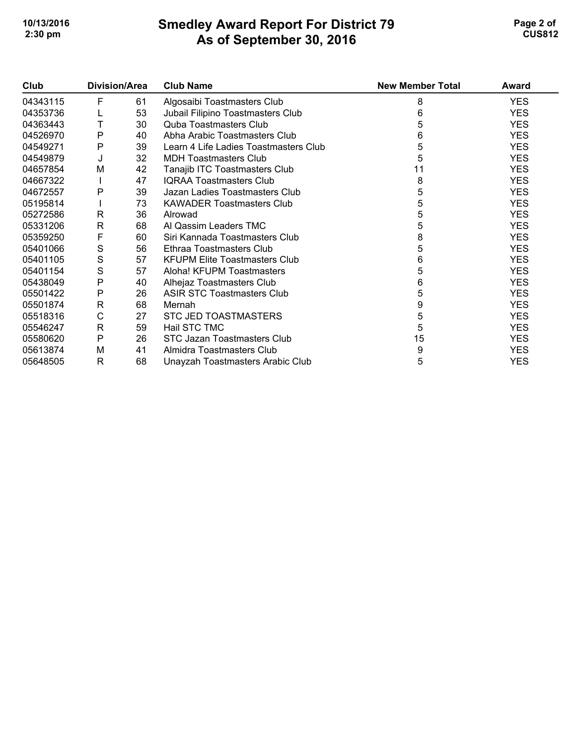## **Smedley Award Report For District 79 As of September 30, 2016 10/13/2016 Page 2 of 2 2:30 pm CUS812**

| Club     | Division/Area |    | <b>Club Name</b>                      | <b>New Member Total</b> | Award      |
|----------|---------------|----|---------------------------------------|-------------------------|------------|
| 04343115 | F             | 61 | Algosaibi Toastmasters Club           | 8                       | <b>YES</b> |
| 04353736 |               | 53 | Jubail Filipino Toastmasters Club     | 6                       | <b>YES</b> |
| 04363443 | Т             | 30 | <b>Quba Toastmasters Club</b>         | 5                       | <b>YES</b> |
| 04526970 | P             | 40 | Abha Arabic Toastmasters Club         | 6                       | <b>YES</b> |
| 04549271 | P             | 39 | Learn 4 Life Ladies Toastmasters Club | 5                       | <b>YES</b> |
| 04549879 | J             | 32 | <b>MDH Toastmasters Club</b>          | 5                       | <b>YES</b> |
| 04657854 | M             | 42 | Tanajib ITC Toastmasters Club         | 11                      | <b>YES</b> |
| 04667322 |               | 47 | <b>IQRAA Toastmasters Club</b>        | 8                       | <b>YES</b> |
| 04672557 | P             | 39 | Jazan Ladies Toastmasters Club        | 5                       | <b>YES</b> |
| 05195814 |               | 73 | <b>KAWADER Toastmasters Club</b>      | 5                       | <b>YES</b> |
| 05272586 | R             | 36 | Alrowad                               | 5                       | <b>YES</b> |
| 05331206 | $\mathsf{R}$  | 68 | Al Qassim Leaders TMC                 | 5                       | <b>YES</b> |
| 05359250 | F             | 60 | Siri Kannada Toastmasters Club        | 8                       | <b>YES</b> |
| 05401066 | S             | 56 | Ethraa Toastmasters Club              | 5                       | <b>YES</b> |
| 05401105 | S             | 57 | <b>KFUPM Elite Toastmasters Club</b>  | 6                       | <b>YES</b> |
| 05401154 | S             | 57 | Aloha! KFUPM Toastmasters             | 5                       | <b>YES</b> |
| 05438049 | $\mathsf{P}$  | 40 | Alhejaz Toastmasters Club             | 6                       | <b>YES</b> |
| 05501422 | $\mathsf{P}$  | 26 | <b>ASIR STC Toastmasters Club</b>     | 5                       | <b>YES</b> |
| 05501874 | $\mathsf{R}$  | 68 | Mernah                                | 9                       | <b>YES</b> |
| 05518316 | $\mathsf C$   | 27 | <b>STC JED TOASTMASTERS</b>           | 5                       | <b>YES</b> |
| 05546247 | $\mathsf{R}$  | 59 | Hail STC TMC                          | 5                       | <b>YES</b> |
| 05580620 | $\mathsf{P}$  | 26 | STC Jazan Toastmasters Club           | 15                      | <b>YES</b> |
| 05613874 | M             | 41 | Almidra Toastmasters Club             | 9                       | <b>YES</b> |
| 05648505 | R             | 68 | Unayzah Toastmasters Arabic Club      | 5                       | <b>YES</b> |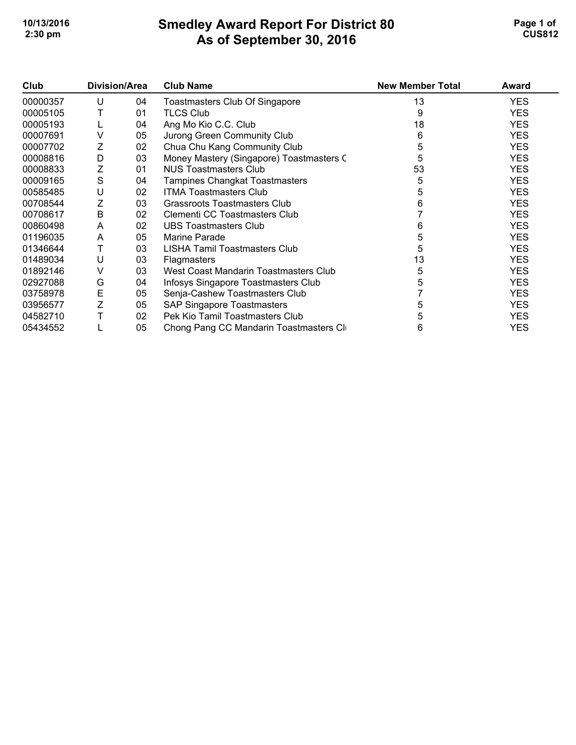## **Smedley Award Report For District 80 As of September 30, 2016 10/13/2016 Page 1 of 1 2:30 pm CUS812**

| Club     | <b>Division/Area</b> |    | <b>Club Name</b>                         | <b>New Member Total</b> | Award      |
|----------|----------------------|----|------------------------------------------|-------------------------|------------|
| 00000357 | U                    | 04 | <b>Toastmasters Club Of Singapore</b>    | 13                      | <b>YES</b> |
| 00005105 |                      | 01 | <b>TLCS Club</b>                         | 9                       | <b>YES</b> |
| 00005193 |                      | 04 | Ang Mo Kio C.C. Club                     | 18                      | <b>YES</b> |
| 00007691 | V                    | 05 | Jurong Green Community Club              | 6                       | <b>YES</b> |
| 00007702 | Ζ                    | 02 | Chua Chu Kang Community Club             | 5                       | <b>YES</b> |
| 00008816 | D                    | 03 | Money Mastery (Singapore) Toastmasters C | 5                       | <b>YES</b> |
| 00008833 | Z                    | 01 | NUS Toastmasters Club                    | 53                      | <b>YES</b> |
| 00009165 | $\mathsf S$          | 04 | Tampines Changkat Toastmasters           | 5                       | <b>YES</b> |
| 00585485 | U                    | 02 | <b>ITMA Toastmasters Club</b>            | 5                       | <b>YES</b> |
| 00708544 | Ζ                    | 03 | <b>Grassroots Toastmasters Club</b>      | 6                       | <b>YES</b> |
| 00708617 | B                    | 02 | Clementi CC Toastmasters Club            |                         | <b>YES</b> |
| 00860498 | A                    | 02 | <b>UBS Toastmasters Club</b>             | 6                       | <b>YES</b> |
| 01196035 | A                    | 05 | Marine Parade                            | 5                       | <b>YES</b> |
| 01346644 | Τ                    | 03 | LISHA Tamil Toastmasters Club            | 5                       | <b>YES</b> |
| 01489034 | U                    | 03 | <b>Flagmasters</b>                       | 13                      | <b>YES</b> |
| 01892146 | V                    | 03 | West Coast Mandarin Toastmasters Club    | 5                       | <b>YES</b> |
| 02927088 | G                    | 04 | Infosys Singapore Toastmasters Club      |                         | <b>YES</b> |
| 03758978 | E                    | 05 | Senja-Cashew Toastmasters Club           |                         | <b>YES</b> |
| 03956577 | Z                    | 05 | <b>SAP Singapore Toastmasters</b>        | 5                       | <b>YES</b> |
| 04582710 |                      | 02 | Pek Kio Tamil Toastmasters Club          |                         | <b>YES</b> |
| 05434552 |                      | 05 | Chong Pang CC Mandarin Toastmasters Cl   | 6                       | <b>YES</b> |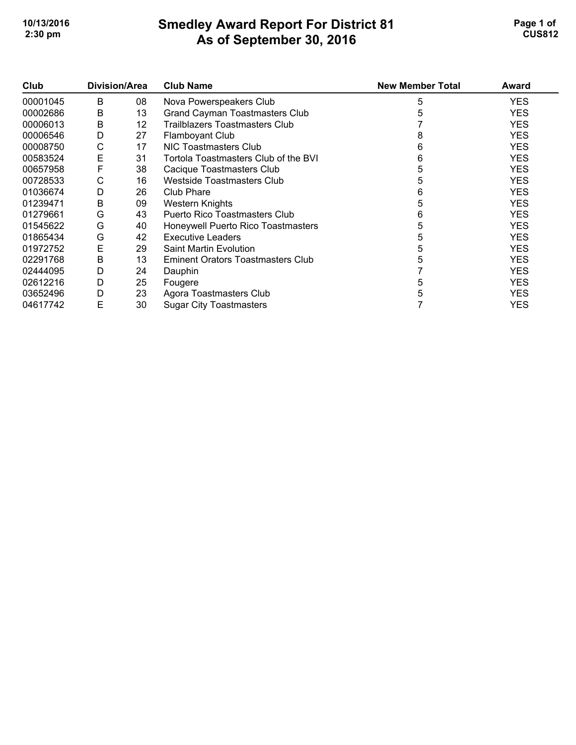## **Smedley Award Report For District 81 As of September 30, 2016**  10/13/2016 **Page 1 of Smedley Award Report For District 81 Page 1 of Page 1 of 2:30 pm CUS812**

| Club     | Division/Area |    | <b>Club Name</b>                      | <b>New Member Total</b> | Award      |
|----------|---------------|----|---------------------------------------|-------------------------|------------|
| 00001045 | B             | 08 | Nova Powerspeakers Club               | 5                       | <b>YES</b> |
| 00002686 | B             | 13 | <b>Grand Cayman Toastmasters Club</b> |                         | <b>YES</b> |
| 00006013 | B             | 12 | Trailblazers Toastmasters Club        |                         | <b>YES</b> |
| 00006546 | D             | 27 | <b>Flamboyant Club</b>                | 8                       | <b>YES</b> |
| 00008750 | С             | 17 | NIC Toastmasters Club                 | 6                       | <b>YES</b> |
| 00583524 | Ε             | 31 | Tortola Toastmasters Club of the BVI  | 6                       | <b>YES</b> |
| 00657958 | F             | 38 | Cacique Toastmasters Club             |                         | <b>YES</b> |
| 00728533 | С             | 16 | Westside Toastmasters Club            | 5                       | <b>YES</b> |
| 01036674 | D             | 26 | Club Phare                            | 6                       | <b>YES</b> |
| 01239471 | В             | 09 | Western Knights                       | 5                       | <b>YES</b> |
| 01279661 | G             | 43 | <b>Puerto Rico Toastmasters Club</b>  | 6                       | <b>YES</b> |
| 01545622 | G             | 40 | Honeywell Puerto Rico Toastmasters    | 5                       | <b>YES</b> |
| 01865434 | G             | 42 | Executive Leaders                     |                         | <b>YES</b> |
| 01972752 | Ε             | 29 | <b>Saint Martin Evolution</b>         |                         | <b>YES</b> |
| 02291768 | В             | 13 | Eminent Orators Toastmasters Club     |                         | <b>YES</b> |
| 02444095 | D             | 24 | Dauphin                               |                         | <b>YES</b> |
| 02612216 | D             | 25 | Fougere                               | h.                      | <b>YES</b> |
| 03652496 | D             | 23 | Agora Toastmasters Club               |                         | <b>YES</b> |
| 04617742 | E             | 30 | <b>Sugar City Toastmasters</b>        |                         | <b>YES</b> |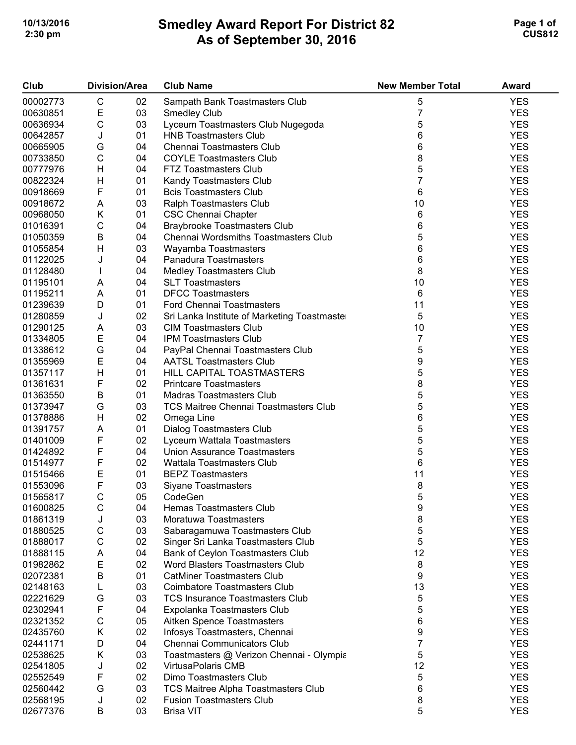## **Smedley Award Report For District 82 As of September 30, 2016 10/13/2016 Page 1 of 2 2:30 pm CUS812**

| Club     | <b>Division/Area</b> |    | <b>Club Name</b>                             | <b>New Member Total</b> | <b>Award</b> |
|----------|----------------------|----|----------------------------------------------|-------------------------|--------------|
| 00002773 | С                    | 02 | Sampath Bank Toastmasters Club               | 5                       | <b>YES</b>   |
| 00630851 | E                    | 03 | <b>Smedley Club</b>                          | 7                       | <b>YES</b>   |
| 00636934 | C                    | 03 | Lyceum Toastmasters Club Nugegoda            | 5                       | <b>YES</b>   |
| 00642857 | J                    | 01 | <b>HNB Toastmasters Club</b>                 | 6                       | <b>YES</b>   |
| 00665905 | G                    | 04 | Chennai Toastmasters Club                    | 6                       | <b>YES</b>   |
| 00733850 | C                    | 04 | <b>COYLE Toastmasters Club</b>               | 8                       | <b>YES</b>   |
| 00777976 | H                    | 04 | FTZ Toastmasters Club                        | 5                       | <b>YES</b>   |
| 00822324 | H                    | 01 | Kandy Toastmasters Club                      | 7                       | <b>YES</b>   |
| 00918669 | F                    | 01 | <b>Bcis Toastmasters Club</b>                | 6                       | <b>YES</b>   |
|          |                      |    |                                              |                         |              |
| 00918672 | A                    | 03 | Ralph Toastmasters Club                      | 10                      | <b>YES</b>   |
| 00968050 | Κ                    | 01 | <b>CSC Chennai Chapter</b>                   | 6                       | <b>YES</b>   |
| 01016391 | C                    | 04 | <b>Braybrooke Toastmasters Club</b>          | 6                       | <b>YES</b>   |
| 01050359 | B                    | 04 | Chennai Wordsmiths Toastmasters Club         | 5                       | <b>YES</b>   |
| 01055854 | H                    | 03 | Wayamba Toastmasters                         | 6                       | <b>YES</b>   |
| 01122025 | J                    | 04 | Panadura Toastmasters                        | 6                       | <b>YES</b>   |
| 01128480 |                      | 04 | <b>Medley Toastmasters Club</b>              | 8                       | <b>YES</b>   |
| 01195101 | Α                    | 04 | <b>SLT Toastmasters</b>                      | 10                      | <b>YES</b>   |
| 01195211 | A                    | 01 | <b>DFCC Toastmasters</b>                     | 6                       | <b>YES</b>   |
| 01239639 | D                    | 01 | Ford Chennai Toastmasters                    | 11                      | <b>YES</b>   |
| 01280859 | J                    | 02 | Sri Lanka Institute of Marketing Toastmaste  | 5                       | <b>YES</b>   |
| 01290125 | A                    | 03 | <b>CIM Toastmasters Club</b>                 | 10                      | <b>YES</b>   |
| 01334805 | E                    | 04 | <b>IPM Toastmasters Club</b>                 | 7                       | <b>YES</b>   |
| 01338612 | G                    | 04 | PayPal Chennai Toastmasters Club             | 5                       | <b>YES</b>   |
| 01355969 | E                    | 04 | <b>AATSL Toastmasters Club</b>               | 9                       | <b>YES</b>   |
| 01357117 | H                    | 01 | HILL CAPITAL TOASTMASTERS                    | 5                       | <b>YES</b>   |
| 01361631 | F                    | 02 | <b>Printcare Toastmasters</b>                | 8                       | <b>YES</b>   |
| 01363550 | B                    | 01 | <b>Madras Toastmasters Club</b>              | 5                       | <b>YES</b>   |
| 01373947 | G                    | 03 | <b>TCS Maitree Chennai Toastmasters Club</b> | 5                       | <b>YES</b>   |
| 01378886 | H                    | 02 | Omega Line                                   | 6                       | <b>YES</b>   |
| 01391757 | A                    | 01 | Dialog Toastmasters Club                     | 5                       | <b>YES</b>   |
| 01401009 | F                    | 02 | Lyceum Wattala Toastmasters                  | 5                       | <b>YES</b>   |
| 01424892 | F                    | 04 | <b>Union Assurance Toastmasters</b>          | 5                       | <b>YES</b>   |
| 01514977 | F                    | 02 | Wattala Toastmasters Club                    | 6                       | <b>YES</b>   |
| 01515466 | Ε                    | 01 | <b>BEPZ Toastmasters</b>                     | 11                      | <b>YES</b>   |
| 01553096 | F                    | 03 | Siyane Toastmasters                          | 8                       | <b>YES</b>   |
| 01565817 | C                    | 05 | CodeGen                                      | 5                       | <b>YES</b>   |
| 01600825 | С                    | 04 | Hemas Toastmasters Club                      | 9                       | <b>YES</b>   |
| 01861319 |                      | 03 | Moratuwa Toastmasters                        | 8                       | <b>YES</b>   |
| 01880525 | J<br>C               | 03 | Sabaragamuwa Toastmasters Club               | 5                       | <b>YES</b>   |
| 01888017 | С                    | 02 |                                              | 5                       | <b>YES</b>   |
|          |                      |    | Singer Sri Lanka Toastmasters Club           | 12                      | <b>YES</b>   |
| 01888115 | Α                    | 04 | Bank of Ceylon Toastmasters Club             |                         |              |
| 01982862 | E                    | 02 | <b>Word Blasters Toastmasters Club</b>       | 8                       | <b>YES</b>   |
| 02072381 | B                    | 01 | <b>CatMiner Toastmasters Club</b>            | 9                       | <b>YES</b>   |
| 02148163 | L                    | 03 | <b>Coimbatore Toastmasters Club</b>          | 13                      | <b>YES</b>   |
| 02221629 | G                    | 03 | <b>TCS Insurance Toastmasters Club</b>       | 5                       | <b>YES</b>   |
| 02302941 | F                    | 04 | Expolanka Toastmasters Club                  | 5                       | <b>YES</b>   |
| 02321352 | C                    | 05 | Aitken Spence Toastmasters                   | 6                       | <b>YES</b>   |
| 02435760 | Κ                    | 02 | Infosys Toastmasters, Chennai                | 9                       | <b>YES</b>   |
| 02441171 | D                    | 04 | Chennai Communicators Club                   | 7                       | <b>YES</b>   |
| 02538625 | Κ                    | 03 | Toastmasters @ Verizon Chennai - Olympia     | 5                       | <b>YES</b>   |
| 02541805 | J                    | 02 | VirtusaPolaris CMB                           | 12                      | <b>YES</b>   |
| 02552549 | F                    | 02 | Dimo Toastmasters Club                       | 5                       | <b>YES</b>   |
| 02560442 | G                    | 03 | TCS Maitree Alpha Toastmasters Club          | 6                       | <b>YES</b>   |
| 02568195 | J                    | 02 | <b>Fusion Toastmasters Club</b>              | 8                       | <b>YES</b>   |
| 02677376 | B                    | 03 | <b>Brisa VIT</b>                             | 5                       | <b>YES</b>   |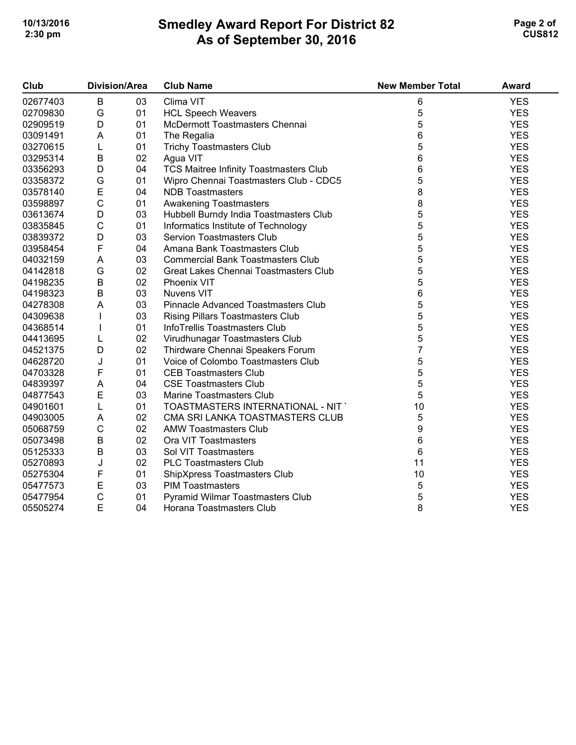## **Smedley Award Report For District 82 As of September 30, 2016 10/13/2016 Page 2 of 2 2:30 pm CUS812**

| Club     | <b>Division/Area</b> |    | <b>Club Name</b>                         | <b>New Member Total</b> | <b>Award</b> |
|----------|----------------------|----|------------------------------------------|-------------------------|--------------|
| 02677403 | B                    | 03 | Clima VIT                                | 6                       | <b>YES</b>   |
| 02709830 | G                    | 01 | <b>HCL Speech Weavers</b>                | 5                       | <b>YES</b>   |
| 02909519 | $\mathsf D$          | 01 | McDermott Toastmasters Chennai           | 5                       | <b>YES</b>   |
| 03091491 | A                    | 01 | The Regalia                              | 6                       | <b>YES</b>   |
| 03270615 | L                    | 01 | <b>Trichy Toastmasters Club</b>          | 5                       | <b>YES</b>   |
| 03295314 | B                    | 02 | Agua VIT                                 | 6                       | <b>YES</b>   |
| 03356293 | $\mathsf D$          | 04 | TCS Maitree Infinity Toastmasters Club   | 6                       | <b>YES</b>   |
| 03358372 | G                    | 01 | Wipro Chennai Toastmasters Club - CDC5   | 5                       | <b>YES</b>   |
| 03578140 | E                    | 04 | <b>NDB Toastmasters</b>                  | 8                       | <b>YES</b>   |
| 03598897 | $\mathsf C$          | 01 | Awakening Toastmasters                   | 8                       | <b>YES</b>   |
| 03613674 | $\mathsf D$          | 03 | Hubbell Burndy India Toastmasters Club   | 5                       | <b>YES</b>   |
| 03835845 | $\mathsf C$          | 01 | Informatics Institute of Technology      | 5                       | <b>YES</b>   |
| 03839372 | $\mathsf D$          | 03 | <b>Servion Toastmasters Club</b>         | 5                       | <b>YES</b>   |
| 03958454 | F                    | 04 | Amana Bank Toastmasters Club             | 5                       | <b>YES</b>   |
| 04032159 | A                    | 03 | <b>Commercial Bank Toastmasters Club</b> | 5                       | <b>YES</b>   |
| 04142818 | G                    | 02 | Great Lakes Chennai Toastmasters Club    | 5                       | <b>YES</b>   |
| 04198235 | $\sf B$              | 02 | <b>Phoenix VIT</b>                       | 5                       | <b>YES</b>   |
| 04198323 | $\sf B$              | 03 | <b>Nuvens VIT</b>                        | 6                       | <b>YES</b>   |
| 04278308 | A                    | 03 | Pinnacle Advanced Toastmasters Club      | 5                       | <b>YES</b>   |
| 04309638 |                      | 03 | <b>Rising Pillars Toastmasters Club</b>  | 5                       | <b>YES</b>   |
| 04368514 |                      | 01 | InfoTrellis Toastmasters Club            | 5                       | <b>YES</b>   |
| 04413695 | L                    | 02 | Virudhunagar Toastmasters Club           | 5                       | <b>YES</b>   |
| 04521375 | D                    | 02 | Thirdware Chennai Speakers Forum         | $\overline{7}$          | <b>YES</b>   |
| 04628720 | J                    | 01 | Voice of Colombo Toastmasters Club       | 5                       | <b>YES</b>   |
| 04703328 | F                    | 01 | <b>CEB Toastmasters Club</b>             | 5                       | <b>YES</b>   |
| 04839397 | A                    | 04 | <b>CSE Toastmasters Club</b>             | 5                       | <b>YES</b>   |
| 04877543 | E                    | 03 | <b>Marine Toastmasters Club</b>          | 5                       | <b>YES</b>   |
| 04901601 | L                    | 01 | TOASTMASTERS INTERNATIONAL - NIT         | 10                      | <b>YES</b>   |
| 04903005 | A                    | 02 | CMA SRI LANKA TOASTMASTERS CLUB          | 5                       | <b>YES</b>   |
| 05068759 | $\mathsf C$          | 02 | <b>AMW Toastmasters Club</b>             | 9                       | <b>YES</b>   |
| 05073498 | $\sf B$              | 02 | Ora VIT Toastmasters                     | 6                       | <b>YES</b>   |
| 05125333 | $\sf B$              | 03 | Sol VIT Toastmasters                     | 6                       | <b>YES</b>   |
| 05270893 | J                    | 02 | <b>PLC Toastmasters Club</b>             | 11                      | <b>YES</b>   |
| 05275304 | F                    | 01 | ShipXpress Toastmasters Club             | 10                      | <b>YES</b>   |
| 05477573 | E                    | 03 | <b>PIM Toastmasters</b>                  | 5                       | <b>YES</b>   |
| 05477954 | $\mathsf C$          | 01 | Pyramid Wilmar Toastmasters Club         | 5                       | <b>YES</b>   |
| 05505274 | E                    | 04 | Horana Toastmasters Club                 | 8                       | <b>YES</b>   |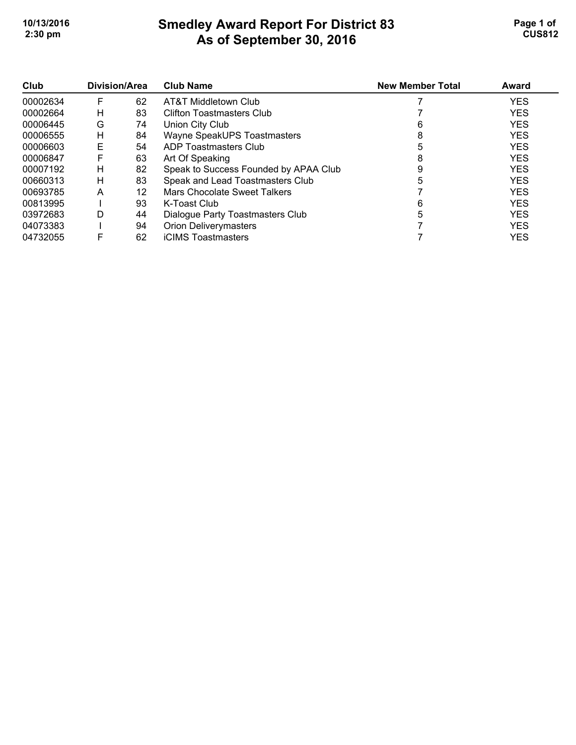## **Smedley Award Report For District 83 As of September 30, 2016 10/13/2016 Page 1 of Smedley Award Report For District 83 Page 1 of Page 1 of 2:30 pm CUS812**

| Club     | Division/Area |    | <b>Club Name</b>                      | <b>New Member Total</b> | Award      |
|----------|---------------|----|---------------------------------------|-------------------------|------------|
| 00002634 | F             | 62 | AT&T Middletown Club                  |                         | <b>YES</b> |
| 00002664 | н             | 83 | Clifton Toastmasters Club             |                         | <b>YES</b> |
| 00006445 | G             | 74 | Union City Club                       |                         | <b>YES</b> |
| 00006555 | н             | 84 | Wayne SpeakUPS Toastmasters           | 8                       | <b>YES</b> |
| 00006603 | Е             | 54 | ADP Toastmasters Club                 |                         | <b>YES</b> |
| 00006847 | F             | 63 | Art Of Speaking                       | 8                       | <b>YES</b> |
| 00007192 | н             | 82 | Speak to Success Founded by APAA Club |                         | <b>YES</b> |
| 00660313 | н             | 83 | Speak and Lead Toastmasters Club      |                         | <b>YES</b> |
| 00693785 | A             | 12 | Mars Chocolate Sweet Talkers          |                         | <b>YES</b> |
| 00813995 |               | 93 | K-Toast Club                          | 6                       | <b>YES</b> |
| 03972683 | D             | 44 | Dialogue Party Toastmasters Club      | 5                       | <b>YES</b> |
| 04073383 |               | 94 | <b>Orion Deliverymasters</b>          |                         | <b>YES</b> |
| 04732055 | F             | 62 | <b>iCIMS Toastmasters</b>             |                         | <b>YES</b> |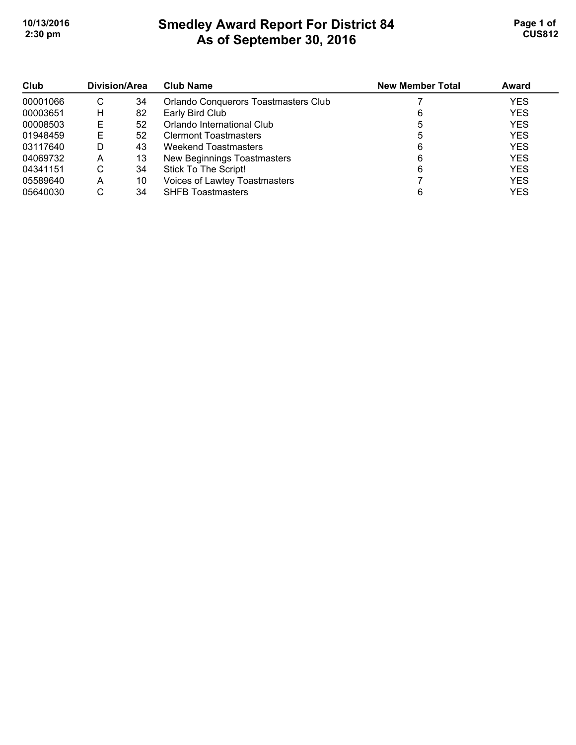# **Smedley Award Report For District 84 As of September 30, 2016 10/13/2016 Page 1 of Smedley Award Report For District 84 Page 1 of 1 2:30 pm CUS812**

| Club     | Division/Area |    | <b>Club Name</b>                     | <b>New Member Total</b> | Award      |
|----------|---------------|----|--------------------------------------|-------------------------|------------|
| 00001066 | С             | 34 | Orlando Conquerors Toastmasters Club |                         | <b>YES</b> |
| 00003651 | н             | 82 | Early Bird Club                      |                         | <b>YES</b> |
| 00008503 | Е             | 52 | Orlando International Club           | ხ                       | <b>YES</b> |
| 01948459 | Е             | 52 | <b>Clermont Toastmasters</b>         |                         | <b>YES</b> |
| 03117640 | D             | 43 | Weekend Toastmasters                 | 6                       | <b>YES</b> |
| 04069732 | Α             | 13 | New Beginnings Toastmasters          | 6                       | <b>YES</b> |
| 04341151 | С             | 34 | Stick To The Script!                 | 6                       | <b>YES</b> |
| 05589640 | Α             | 10 | Voices of Lawtey Toastmasters        |                         | <b>YES</b> |
| 05640030 | ⌒<br>U        | 34 | <b>SHFB Toastmasters</b>             |                         | <b>YES</b> |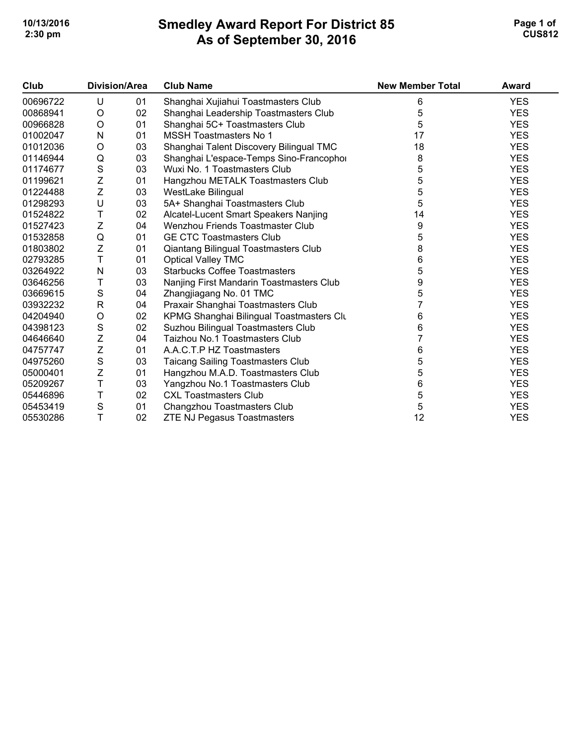## **Smedley Award Report For District 85 As of September 30, 2016 10/13/2016 Page 1 of Smedley Award Report For District 85 Page 1 of Page 1 of 2:30 pm CUS812**

| Club     | Division/Area                                                                                                 |    | <b>Club Name</b>                         | <b>New Member Total</b> | Award      |
|----------|---------------------------------------------------------------------------------------------------------------|----|------------------------------------------|-------------------------|------------|
| 00696722 | U                                                                                                             | 01 | Shanghai Xujiahui Toastmasters Club      | 6                       | <b>YES</b> |
| 00868941 | O                                                                                                             | 02 | Shanghai Leadership Toastmasters Club    | 5                       | <b>YES</b> |
| 00966828 | O                                                                                                             | 01 | Shanghai 5C+ Toastmasters Club           | 5                       | <b>YES</b> |
| 01002047 | N                                                                                                             | 01 | <b>MSSH Toastmasters No 1</b>            | 17                      | <b>YES</b> |
| 01012036 | O                                                                                                             | 03 | Shanghai Talent Discovery Bilingual TMC  | 18                      | <b>YES</b> |
| 01146944 | Q                                                                                                             | 03 | Shanghai L'espace-Temps Sino-Francopho   | 8                       | <b>YES</b> |
| 01174677 | $\mathbf S$                                                                                                   | 03 | Wuxi No. 1 Toastmasters Club             | 5                       | <b>YES</b> |
| 01199621 | Z                                                                                                             | 01 | Hangzhou METALK Toastmasters Club        | 5                       | <b>YES</b> |
| 01224488 | Z                                                                                                             | 03 | WestLake Bilingual                       | 5                       | <b>YES</b> |
| 01298293 | U                                                                                                             | 03 | 5A+ Shanghai Toastmasters Club           | 5                       | <b>YES</b> |
| 01524822 | T                                                                                                             | 02 | Alcatel-Lucent Smart Speakers Nanjing    | 14                      | <b>YES</b> |
| 01527423 | $\mathsf{Z}% _{M_{1},M_{2}}^{\alpha,\beta}(\varepsilon)=\mathsf{Z}_{M_{1},M_{2}}^{\alpha,\beta}(\varepsilon)$ | 04 | Wenzhou Friends Toastmaster Club         | 9                       | <b>YES</b> |
| 01532858 | Q                                                                                                             | 01 | <b>GE CTC Toastmasters Club</b>          | 5                       | <b>YES</b> |
| 01803802 | $\mathsf{Z}$                                                                                                  | 01 | Qiantang Bilingual Toastmasters Club     | 8                       | <b>YES</b> |
| 02793285 | T                                                                                                             | 01 | <b>Optical Valley TMC</b>                | 6                       | <b>YES</b> |
| 03264922 | N                                                                                                             | 03 | <b>Starbucks Coffee Toastmasters</b>     | 5                       | <b>YES</b> |
| 03646256 | Τ                                                                                                             | 03 | Nanjing First Mandarin Toastmasters Club | 9                       | <b>YES</b> |
| 03669615 | $\mathbf S$                                                                                                   | 04 | Zhangjiagang No. 01 TMC                  | 5                       | <b>YES</b> |
| 03932232 | R                                                                                                             | 04 | Praxair Shanghai Toastmasters Club       |                         | <b>YES</b> |
| 04204940 | O                                                                                                             | 02 | KPMG Shanghai Bilingual Toastmasters Clu | 6                       | <b>YES</b> |
| 04398123 | $\mathbf S$                                                                                                   | 02 | Suzhou Bilingual Toastmasters Club       | 6                       | <b>YES</b> |
| 04646640 | Z                                                                                                             | 04 | Taizhou No.1 Toastmasters Club           |                         | <b>YES</b> |
| 04757747 | $\mathsf Z$                                                                                                   | 01 | A.A.C.T.P HZ Toastmasters                | 6                       | <b>YES</b> |
| 04975260 | $\mathbf S$                                                                                                   | 03 | <b>Taicang Sailing Toastmasters Club</b> | 5                       | <b>YES</b> |
| 05000401 | Ζ                                                                                                             | 01 | Hangzhou M.A.D. Toastmasters Club        | 5                       | <b>YES</b> |
| 05209267 | T                                                                                                             | 03 | Yangzhou No.1 Toastmasters Club          | 6                       | <b>YES</b> |
| 05446896 | T                                                                                                             | 02 | <b>CXL Toastmasters Club</b>             | 5                       | <b>YES</b> |
| 05453419 | ${\mathsf S}$                                                                                                 | 01 | Changzhou Toastmasters Club              | 5                       | <b>YES</b> |
| 05530286 | T                                                                                                             | 02 | <b>ZTE NJ Pegasus Toastmasters</b>       | 12                      | <b>YES</b> |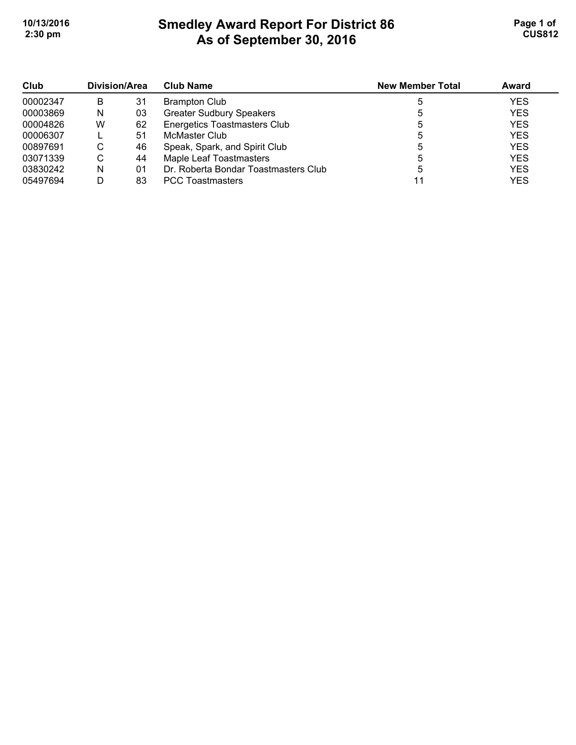## **Smedley Award Report For District 86 As of September 30, 2016 10/13/2016 Page 1 of 1 2:30 pm CUS812**

| Club<br>00002347 | Division/Area |    | <b>Club Name</b>                     | <b>New Member Total</b> | Award      |
|------------------|---------------|----|--------------------------------------|-------------------------|------------|
|                  | B             | 31 | <b>Brampton Club</b>                 |                         | <b>YES</b> |
| 00003869         | N             | 03 | <b>Greater Sudbury Speakers</b>      |                         | <b>YES</b> |
| 00004826         | w             | 62 | <b>Energetics Toastmasters Club</b>  | 5                       | <b>YES</b> |
| 00006307         |               | 51 | McMaster Club                        |                         | <b>YES</b> |
| 00897691         | C             | 46 | Speak, Spark, and Spirit Club        | 5                       | <b>YES</b> |
| 03071339         | C             | 44 | Maple Leaf Toastmasters              | 5                       | <b>YES</b> |
| 03830242         | N             | 01 | Dr. Roberta Bondar Toastmasters Club |                         | <b>YES</b> |
| 05497694         |               | 83 | <b>PCC Toastmasters</b>              |                         | <b>YES</b> |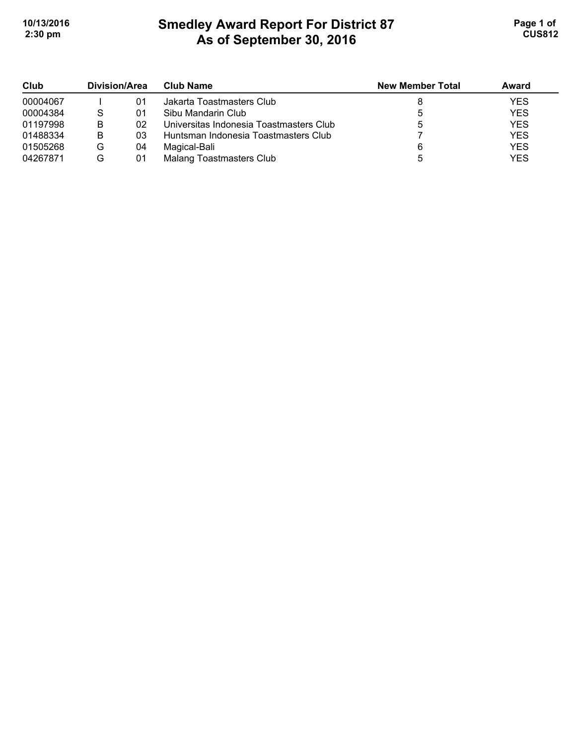# **Smedley Award Report For District 87 As of September 30, 2016**  10/13/2016 **Page 1 of Smedley Award Report For District 87 Page 1 of Page 1 of 2:30 pm CUS812**

| Club     | Division/Area |    | <b>Club Name</b>                        | <b>New Member Total</b> | Award      |
|----------|---------------|----|-----------------------------------------|-------------------------|------------|
| 00004067 |               | 01 | Jakarta Toastmasters Club               |                         | <b>YES</b> |
| 00004384 | S             | 01 | Sibu Mandarin Club                      |                         | <b>YES</b> |
| 01197998 | в             | 02 | Universitas Indonesia Toastmasters Club |                         | <b>YES</b> |
| 01488334 | в             | 03 | Huntsman Indonesia Toastmasters Club    |                         | <b>YES</b> |
| 01505268 | G             | 04 | Magical-Bali                            |                         | <b>YES</b> |
| 04267871 | G             | 01 | Malang Toastmasters Club                |                         | <b>YES</b> |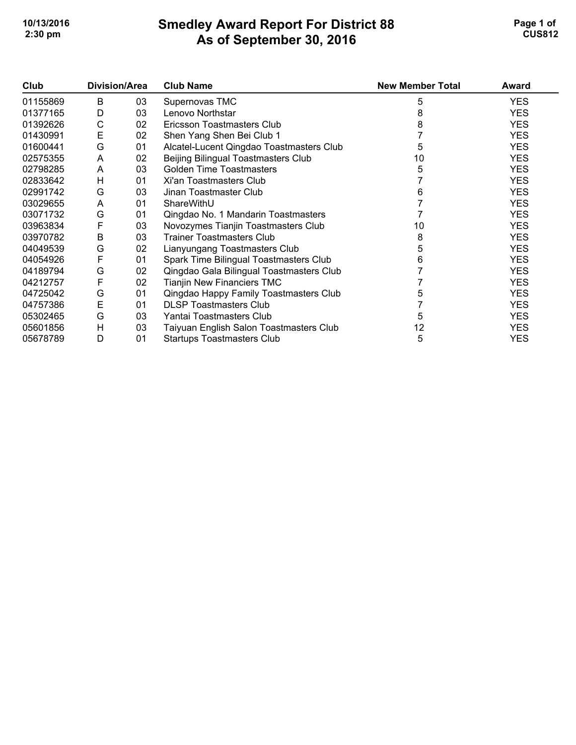## **Smedley Award Report For District 88 As of September 30, 2016 10/13/2016 Page 1 of 1 2:30 pm CUS812**

| Club     | Division/Area |    | <b>Club Name</b>                         | <b>New Member Total</b> | Award      |
|----------|---------------|----|------------------------------------------|-------------------------|------------|
| 01155869 | B             | 03 | Supernovas TMC                           | 5                       | <b>YES</b> |
| 01377165 | D             | 03 | Lenovo Northstar                         |                         | <b>YES</b> |
| 01392626 | C             | 02 | Ericsson Toastmasters Club               |                         | <b>YES</b> |
| 01430991 | E             | 02 | Shen Yang Shen Bei Club 1                |                         | <b>YES</b> |
| 01600441 | G             | 01 | Alcatel-Lucent Qingdao Toastmasters Club | 5                       | <b>YES</b> |
| 02575355 | A             | 02 | Beijing Bilingual Toastmasters Club      | 10                      | <b>YES</b> |
| 02798285 | A             | 03 | <b>Golden Time Toastmasters</b>          | 5                       | <b>YES</b> |
| 02833642 | Н             | 01 | Xi'an Toastmasters Club                  |                         | <b>YES</b> |
| 02991742 | G             | 03 | Jinan Toastmaster Club                   | 6                       | <b>YES</b> |
| 03029655 | A             | 01 | ShareWithU                               |                         | <b>YES</b> |
| 03071732 | G             | 01 | Qingdao No. 1 Mandarin Toastmasters      |                         | <b>YES</b> |
| 03963834 | F             | 03 | Novozymes Tianjin Toastmasters Club      | 10                      | <b>YES</b> |
| 03970782 | B             | 03 | <b>Trainer Toastmasters Club</b>         | 8                       | <b>YES</b> |
| 04049539 | G             | 02 | Lianyungang Toastmasters Club            | 5                       | <b>YES</b> |
| 04054926 | F             | 01 | Spark Time Bilingual Toastmasters Club   | 6                       | <b>YES</b> |
| 04189794 | G             | 02 | Qingdao Gala Bilingual Toastmasters Club |                         | <b>YES</b> |
| 04212757 | F             | 02 | Tianjin New Financiers TMC               |                         | <b>YES</b> |
| 04725042 | G             | 01 | Qingdao Happy Family Toastmasters Club   | 5                       | <b>YES</b> |
| 04757386 | E             | 01 | <b>DLSP Toastmasters Club</b>            |                         | <b>YES</b> |
| 05302465 | G             | 03 | Yantai Toastmasters Club                 | 5                       | <b>YES</b> |
| 05601856 | H             | 03 | Taiyuan English Salon Toastmasters Club  | 12                      | <b>YES</b> |
| 05678789 | D             | 01 | <b>Startups Toastmasters Club</b>        | 5                       | <b>YES</b> |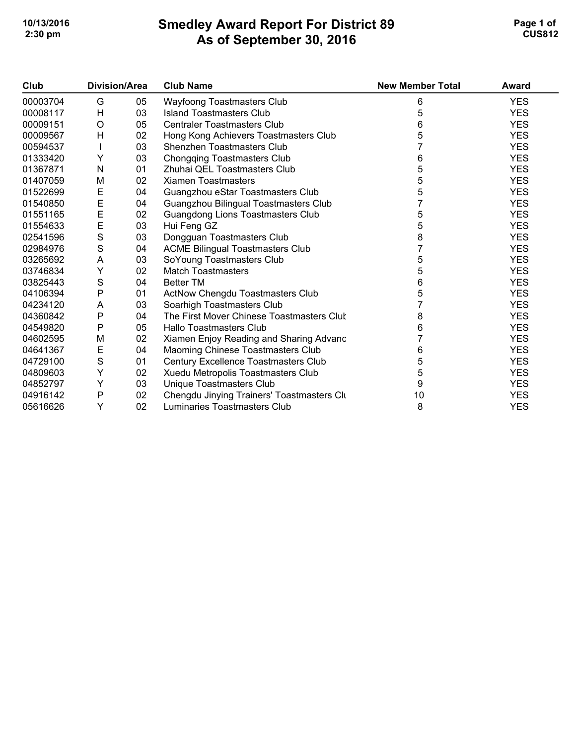## **Smedley Award Report For District 89 As of September 30, 2016**  10/13/2016 **Page 1 of Smedley Award Report For District 89 Page 1 of Page 1 of 2:30 pm CUS812**

| Club     | Division/Area |    | <b>Club Name</b>                           | <b>New Member Total</b> | <b>Award</b> |
|----------|---------------|----|--------------------------------------------|-------------------------|--------------|
| 00003704 | G             | 05 | Wayfoong Toastmasters Club                 | 6                       | <b>YES</b>   |
| 00008117 | H             | 03 | <b>Island Toastmasters Club</b>            | 5                       | <b>YES</b>   |
| 00009151 | O             | 05 | <b>Centraler Toastmasters Club</b>         | 6                       | <b>YES</b>   |
| 00009567 | Н             | 02 | Hong Kong Achievers Toastmasters Club      | 5                       | <b>YES</b>   |
| 00594537 |               | 03 | Shenzhen Toastmasters Club                 |                         | <b>YES</b>   |
| 01333420 | Υ             | 03 | Chongqing Toastmasters Club                | 6                       | <b>YES</b>   |
| 01367871 | N             | 01 | Zhuhai QEL Toastmasters Club               | 5                       | <b>YES</b>   |
| 01407059 | M             | 02 | <b>Xiamen Toastmasters</b>                 | 5                       | <b>YES</b>   |
| 01522699 | E             | 04 | Guangzhou eStar Toastmasters Club          | 5                       | <b>YES</b>   |
| 01540850 | E             | 04 | Guangzhou Bilingual Toastmasters Club      |                         | <b>YES</b>   |
| 01551165 | E             | 02 | Guangdong Lions Toastmasters Club          | 5                       | <b>YES</b>   |
| 01554633 | E             | 03 | Hui Feng GZ                                | 5                       | <b>YES</b>   |
| 02541596 | $\mathbf S$   | 03 | Dongguan Toastmasters Club                 | 8                       | <b>YES</b>   |
| 02984976 | $\mathbf S$   | 04 | <b>ACME Bilingual Toastmasters Club</b>    |                         | <b>YES</b>   |
| 03265692 | A             | 03 | SoYoung Toastmasters Club                  | 5                       | <b>YES</b>   |
| 03746834 | Υ             | 02 | <b>Match Toastmasters</b>                  | 5                       | <b>YES</b>   |
| 03825443 | $\mathbf S$   | 04 | <b>Better TM</b>                           | 6                       | <b>YES</b>   |
| 04106394 | $\mathsf{P}$  | 01 | ActNow Chengdu Toastmasters Club           | 5                       | <b>YES</b>   |
| 04234120 | Α             | 03 | Soarhigh Toastmasters Club                 |                         | <b>YES</b>   |
| 04360842 | P             | 04 | The First Mover Chinese Toastmasters Clut  | 8                       | <b>YES</b>   |
| 04549820 | $\mathsf{P}$  | 05 | Hallo Toastmasters Club                    | 6                       | <b>YES</b>   |
| 04602595 | M             | 02 | Xiamen Enjoy Reading and Sharing Advanc    |                         | <b>YES</b>   |
| 04641367 | Ε             | 04 | Maoming Chinese Toastmasters Club          | 6                       | <b>YES</b>   |
| 04729100 | $\mathbf S$   | 01 | Century Excellence Toastmasters Club       | 5                       | <b>YES</b>   |
| 04809603 | Υ             | 02 | Xuedu Metropolis Toastmasters Club         | 5                       | <b>YES</b>   |
| 04852797 | Υ             | 03 | Unique Toastmasters Club                   | 9                       | <b>YES</b>   |
| 04916142 | P             | 02 | Chengdu Jinying Trainers' Toastmasters Clu | 10                      | <b>YES</b>   |
| 05616626 | Y             | 02 | Luminaries Toastmasters Club               | 8                       | <b>YES</b>   |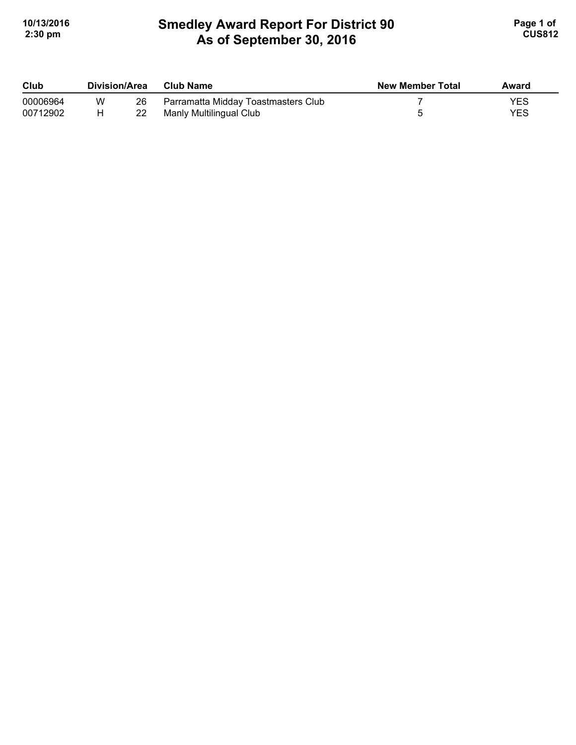# **Smedley Award Report For District 90 As of September 30, 2016**  10/13/2016 **Page 1 of Smedley Award Report For District 90 Page 1 of 1 2:30 pm CUS812**

| Club     | Division/Area |    | Club Name                           | <b>New Member Total</b> | Award |
|----------|---------------|----|-------------------------------------|-------------------------|-------|
| 00006964 | W             | 26 | Parramatta Midday Toastmasters Club |                         | YES   |
| 00712902 |               |    | Manly Multilingual Club             |                         | YES   |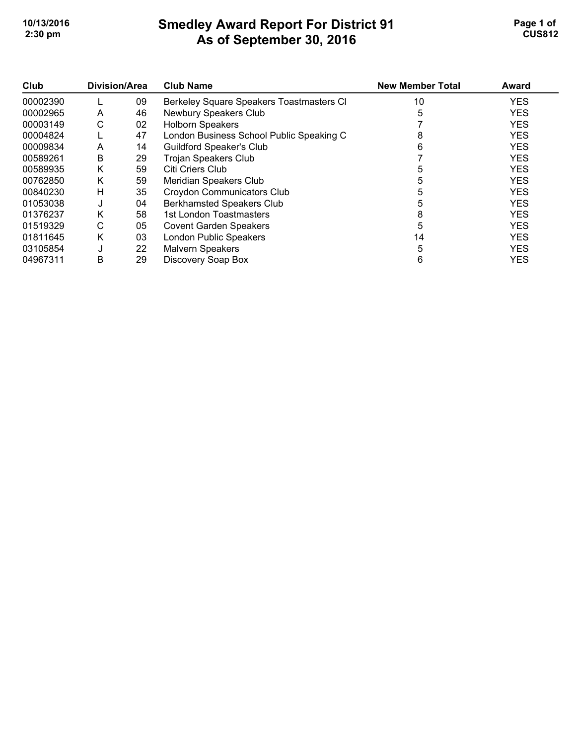### **Smedley Award Report For District 91 As of September 30, 2016**  10/13/2016 **Page 1 of Smedley Award Report For District 91 Page 1 of Page 1 of 2:30 pm CUS812**

| Club     | Division/Area |    | <b>Club Name</b>                         | <b>New Member Total</b> | Award      |
|----------|---------------|----|------------------------------------------|-------------------------|------------|
| 00002390 |               | 09 | Berkeley Square Speakers Toastmasters CI | 10                      | <b>YES</b> |
| 00002965 | A             | 46 | Newbury Speakers Club                    | 5                       | <b>YES</b> |
| 00003149 | C             | 02 | <b>Holborn Speakers</b>                  |                         | <b>YES</b> |
| 00004824 |               | 47 | London Business School Public Speaking C | 8                       | <b>YES</b> |
| 00009834 | A             | 14 | <b>Guildford Speaker's Club</b>          | 6                       | <b>YES</b> |
| 00589261 | B             | 29 | <b>Trojan Speakers Club</b>              |                         | <b>YES</b> |
| 00589935 | Κ             | 59 | Citi Criers Club                         |                         | <b>YES</b> |
| 00762850 | Κ             | 59 | Meridian Speakers Club                   |                         | <b>YES</b> |
| 00840230 | н             | 35 | <b>Croydon Communicators Club</b>        | 5                       | <b>YES</b> |
| 01053038 | J             | 04 | <b>Berkhamsted Speakers Club</b>         | 5                       | <b>YES</b> |
| 01376237 | Κ             | 58 | 1st London Toastmasters                  | 8                       | <b>YES</b> |
| 01519329 | С             | 05 | <b>Covent Garden Speakers</b>            | 5                       | <b>YES</b> |
| 01811645 | Κ             | 03 | <b>London Public Speakers</b>            | 14                      | <b>YES</b> |
| 03105854 | J             | 22 | <b>Malvern Speakers</b>                  | 5                       | <b>YES</b> |
| 04967311 | B             | 29 | Discovery Soap Box                       | 6                       | <b>YES</b> |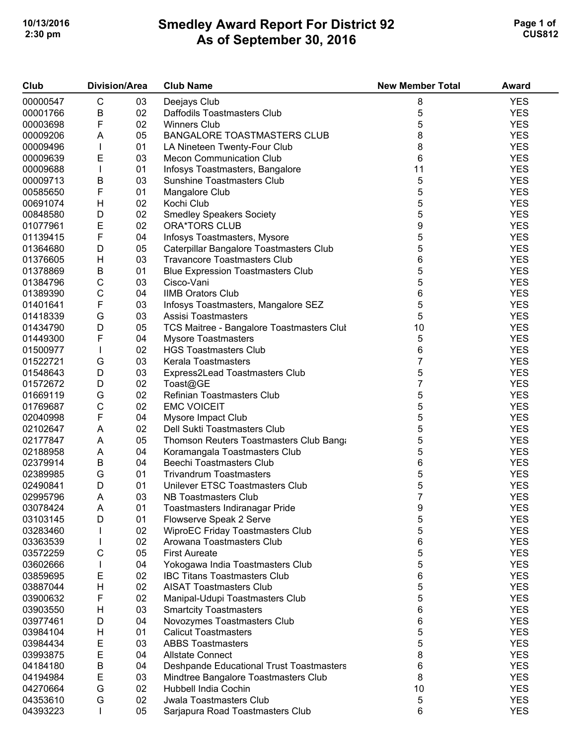## **Smedley Award Report For District 92 As of September 30, 2016 10/13/2016 Page 1 of 2 2:30 pm CUS812**

| Club     | <b>Division/Area</b> |    | <b>Club Name</b>                          | <b>New Member Total</b> | <b>Award</b> |
|----------|----------------------|----|-------------------------------------------|-------------------------|--------------|
| 00000547 | C                    | 03 | Deejays Club                              | 8                       | <b>YES</b>   |
| 00001766 | B                    | 02 | Daffodils Toastmasters Club               | 5                       | <b>YES</b>   |
| 00003698 | F                    | 02 | <b>Winners Club</b>                       | 5                       | <b>YES</b>   |
| 00009206 | A                    | 05 | <b>BANGALORE TOASTMASTERS CLUB</b>        | 8                       | <b>YES</b>   |
| 00009496 | $\mathbf{I}$         | 01 | LA Nineteen Twenty-Four Club              | 8                       | <b>YES</b>   |
| 00009639 | E                    | 03 | <b>Mecon Communication Club</b>           | 6                       | <b>YES</b>   |
| 00009688 | T                    | 01 | Infosys Toastmasters, Bangalore           | 11                      | <b>YES</b>   |
| 00009713 | B                    | 03 | <b>Sunshine Toastmasters Club</b>         | 5                       | <b>YES</b>   |
| 00585650 | F                    | 01 | Mangalore Club                            | 5                       | <b>YES</b>   |
| 00691074 | H                    | 02 | Kochi Club                                | 5                       | <b>YES</b>   |
| 00848580 | D                    | 02 | <b>Smedley Speakers Society</b>           | 5                       | <b>YES</b>   |
| 01077961 | E                    | 02 | <b>ORA*TORS CLUB</b>                      | 9                       | <b>YES</b>   |
| 01139415 | F                    | 04 | Infosys Toastmasters, Mysore              | 5                       | <b>YES</b>   |
| 01364680 | D                    | 05 | Caterpillar Bangalore Toastmasters Club   | 5                       | <b>YES</b>   |
| 01376605 |                      | 03 | <b>Travancore Toastmasters Club</b>       | 6                       | <b>YES</b>   |
|          | H<br>B               | 01 |                                           | 5                       | <b>YES</b>   |
| 01378869 |                      |    | <b>Blue Expression Toastmasters Club</b>  | 5                       |              |
| 01384796 | $\mathsf C$          | 03 | Cisco-Vani                                |                         | <b>YES</b>   |
| 01389390 | $\mathsf C$          | 04 | <b>IIMB Orators Club</b>                  | 6                       | <b>YES</b>   |
| 01401641 | F                    | 03 | Infosys Toastmasters, Mangalore SEZ       | 5                       | <b>YES</b>   |
| 01418339 | G                    | 03 | Assisi Toastmasters                       | 5                       | <b>YES</b>   |
| 01434790 | D                    | 05 | TCS Maitree - Bangalore Toastmasters Clul | 10                      | <b>YES</b>   |
| 01449300 | F                    | 04 | <b>Mysore Toastmasters</b>                | 5                       | <b>YES</b>   |
| 01500977 | $\mathbf{I}$         | 02 | <b>HGS Toastmasters Club</b>              | 6                       | <b>YES</b>   |
| 01522721 | G                    | 03 | Kerala Toastmasters                       | 7                       | <b>YES</b>   |
| 01548643 | D                    | 03 | Express2Lead Toastmasters Club            | 5                       | <b>YES</b>   |
| 01572672 | D                    | 02 | Toast@GE                                  | 7                       | <b>YES</b>   |
| 01669119 | G                    | 02 | Refinian Toastmasters Club                | 5                       | <b>YES</b>   |
| 01769687 | $\mathsf C$          | 02 | <b>EMC VOICEIT</b>                        | 5                       | <b>YES</b>   |
| 02040998 | F                    | 04 | Mysore Impact Club                        | 5                       | <b>YES</b>   |
| 02102647 | Α                    | 02 | Dell Sukti Toastmasters Club              | 5                       | <b>YES</b>   |
| 02177847 | A                    | 05 | Thomson Reuters Toastmasters Club Bang    | 5                       | <b>YES</b>   |
| 02188958 | A                    | 04 | Koramangala Toastmasters Club             | 5                       | <b>YES</b>   |
| 02379914 | B                    | 04 | Beechi Toastmasters Club                  | 6                       | <b>YES</b>   |
| 02389985 | G                    | 01 | <b>Trivandrum Toastmasters</b>            | 5                       | <b>YES</b>   |
| 02490841 | D                    | 01 | Unilever ETSC Toastmasters Club           | 5                       | <b>YES</b>   |
| 02995796 | A                    | 03 | NB Toastmasters Club                      | 7                       | <b>YES</b>   |
| 03078424 | Α                    | 01 | Toastmasters Indiranagar Pride            | 9                       | YES          |
| 03103145 | D                    | 01 | Flowserve Speak 2 Serve                   | 5                       | <b>YES</b>   |
| 03283460 |                      | 02 | <b>WiproEC Friday Toastmasters Club</b>   | 5                       | <b>YES</b>   |
| 03363539 |                      | 02 | Arowana Toastmasters Club                 | 6                       | <b>YES</b>   |
| 03572259 | С                    | 05 | <b>First Aureate</b>                      | 5                       | <b>YES</b>   |
| 03602666 |                      | 04 | Yokogawa India Toastmasters Club          | 5                       | <b>YES</b>   |
| 03859695 | E                    | 02 | <b>IBC Titans Toastmasters Club</b>       | 6                       | <b>YES</b>   |
| 03887044 | Н                    | 02 | <b>AISAT Toastmasters Club</b>            | 5                       | <b>YES</b>   |
| 03900632 | F                    | 02 | Manipal-Udupi Toastmasters Club           | 5                       | <b>YES</b>   |
| 03903550 | н                    | 03 | <b>Smartcity Toastmasters</b>             | 6                       | <b>YES</b>   |
| 03977461 | D                    | 04 | Novozymes Toastmasters Club               | 6                       | <b>YES</b>   |
| 03984104 | н                    | 01 | <b>Calicut Toastmasters</b>               | 5                       | <b>YES</b>   |
| 03984434 | E                    | 03 | <b>ABBS Toastmasters</b>                  | 5                       | <b>YES</b>   |
| 03993875 | E                    | 04 | <b>Allstate Connect</b>                   | 8                       | <b>YES</b>   |
| 04184180 | B                    | 04 | Deshpande Educational Trust Toastmasters  | 6                       | <b>YES</b>   |
| 04194984 | E                    | 03 | Mindtree Bangalore Toastmasters Club      | 8                       | <b>YES</b>   |
| 04270664 | G                    | 02 | Hubbell India Cochin                      | 10                      | <b>YES</b>   |
| 04353610 | G                    | 02 | <b>Jwala Toastmasters Club</b>            | 5                       | <b>YES</b>   |
| 04393223 |                      | 05 | Sarjapura Road Toastmasters Club          | 6                       | <b>YES</b>   |
|          |                      |    |                                           |                         |              |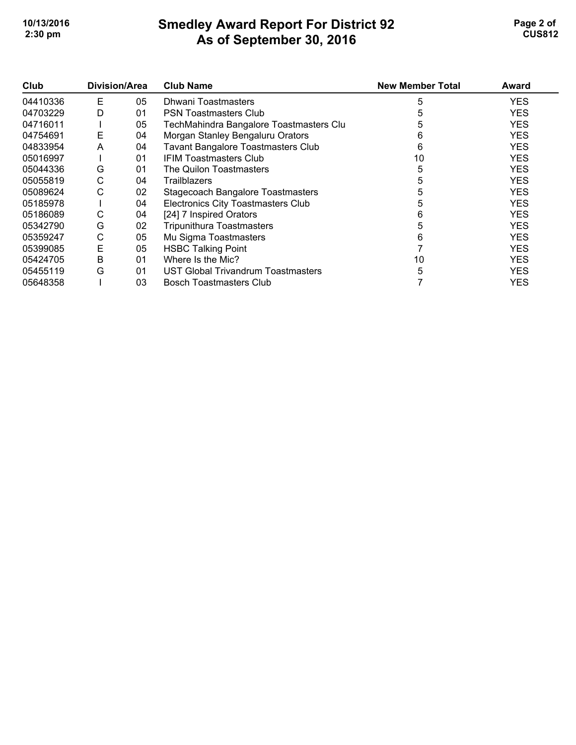## **Smedley Award Report For District 92 As of September 30, 2016 10/13/2016 Page 2 of 2 2:30 pm CUS812**

| Club     | Division/Area |    | <b>Club Name</b>                          | <b>New Member Total</b> | Award      |
|----------|---------------|----|-------------------------------------------|-------------------------|------------|
| 04410336 | Е             | 05 | Dhwani Toastmasters                       | 5                       | <b>YES</b> |
| 04703229 | D             | 01 | <b>PSN Toastmasters Club</b>              |                         | <b>YES</b> |
| 04716011 |               | 05 | TechMahindra Bangalore Toastmasters Clu   | 5                       | <b>YES</b> |
| 04754691 | Е             | 04 | Morgan Stanley Bengaluru Orators          | 6                       | <b>YES</b> |
| 04833954 | A             | 04 | <b>Tavant Bangalore Toastmasters Club</b> | 6                       | <b>YES</b> |
| 05016997 |               | 01 | <b>IFIM Toastmasters Club</b>             | 10                      | <b>YES</b> |
| 05044336 | G             | 01 | The Quilon Toastmasters                   | 5                       | <b>YES</b> |
| 05055819 | С             | 04 | <b>Trailblazers</b>                       |                         | <b>YES</b> |
| 05089624 | С             | 02 | Stagecoach Bangalore Toastmasters         |                         | <b>YES</b> |
| 05185978 |               | 04 | Electronics City Toastmasters Club        |                         | <b>YES</b> |
| 05186089 | С             | 04 | [24] 7 Inspired Orators                   | 6                       | <b>YES</b> |
| 05342790 | G             | 02 | <b>Tripunithura Toastmasters</b>          |                         | <b>YES</b> |
| 05359247 | С             | 05 | Mu Sigma Toastmasters                     | 6                       | <b>YES</b> |
| 05399085 | E             | 05 | <b>HSBC Talking Point</b>                 |                         | <b>YES</b> |
| 05424705 | Β             | 01 | Where Is the Mic?                         | 10                      | <b>YES</b> |
| 05455119 | G             | 01 | UST Global Trivandrum Toastmasters        |                         | <b>YES</b> |
| 05648358 |               | 03 | <b>Bosch Toastmasters Club</b>            |                         | <b>YES</b> |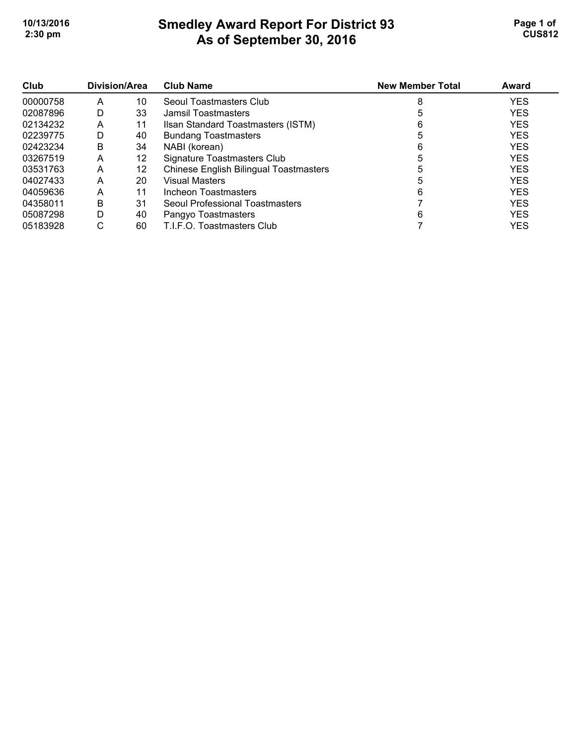## **Smedley Award Report For District 93 As of September 30, 2016**  10/13/2016 **Page 1 of Smedley Award Report For District 93 Page 1 of Page 1 of 2:30 pm CUS812**

| Club     | Division/Area |    | <b>Club Name</b>                              | <b>New Member Total</b> | Award      |
|----------|---------------|----|-----------------------------------------------|-------------------------|------------|
| 00000758 | Α             | 10 | Seoul Toastmasters Club                       | 8                       | <b>YES</b> |
| 02087896 | D             | 33 | Jamsil Toastmasters                           |                         | <b>YES</b> |
| 02134232 | Α             | 11 | Ilsan Standard Toastmasters (ISTM)            | 6                       | <b>YES</b> |
| 02239775 | D             | 40 | <b>Bundang Toastmasters</b>                   | 5                       | <b>YES</b> |
| 02423234 | B             | 34 | NABI (korean)                                 | 6                       | <b>YES</b> |
| 03267519 | А             | 12 | Signature Toastmasters Club                   |                         | <b>YES</b> |
| 03531763 | А             | 12 | <b>Chinese English Bilingual Toastmasters</b> |                         | <b>YES</b> |
| 04027433 | Α             | 20 | <b>Visual Masters</b>                         |                         | <b>YES</b> |
| 04059636 | Α             | 11 | Incheon Toastmasters                          | 6                       | <b>YES</b> |
| 04358011 | B             | 31 | Seoul Professional Toastmasters               |                         | <b>YES</b> |
| 05087298 | D             | 40 | Pangyo Toastmasters                           | 6                       | <b>YES</b> |
| 05183928 | С             | 60 | T.I.F.O. Toastmasters Club                    |                         | <b>YES</b> |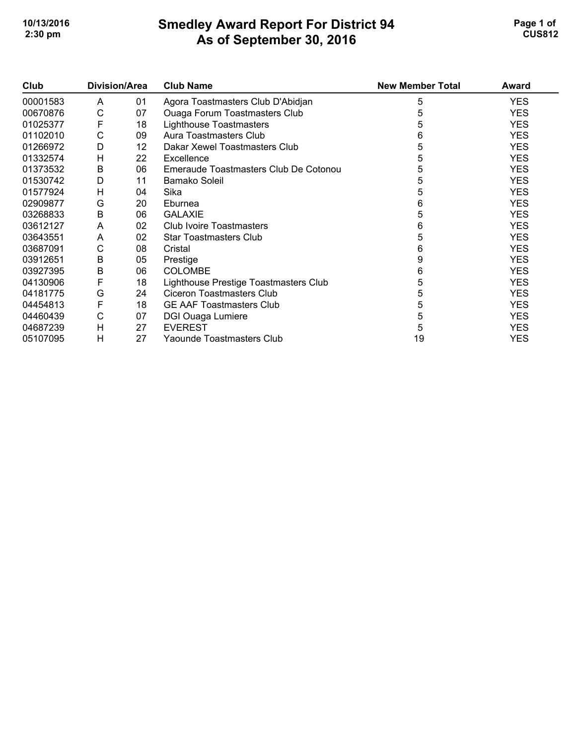## **Smedley Award Report For District 94 As of September 30, 2016 10/13/2016 Page 1 of Smedley Award Report For District 94 Page 1 of Page 1 of 2:30 pm CUS812**

| Club     | Division/Area |    | <b>Club Name</b>                      | <b>New Member Total</b> | Award      |
|----------|---------------|----|---------------------------------------|-------------------------|------------|
| 00001583 | A             | 01 | Agora Toastmasters Club D'Abidjan     | 5                       | <b>YES</b> |
| 00670876 | C             | 07 | <b>Ouaga Forum Toastmasters Club</b>  | 5                       | <b>YES</b> |
| 01025377 | F             | 18 | Lighthouse Toastmasters               | 5                       | <b>YES</b> |
| 01102010 | C             | 09 | Aura Toastmasters Club                | 6                       | <b>YES</b> |
| 01266972 | D             | 12 | Dakar Xewel Toastmasters Club         | 5                       | <b>YES</b> |
| 01332574 | Н             | 22 | Excellence                            | 5                       | <b>YES</b> |
| 01373532 | B             | 06 | Emeraude Toastmasters Club De Cotonou | 5                       | <b>YES</b> |
| 01530742 | D             | 11 | <b>Bamako Soleil</b>                  | 5                       | <b>YES</b> |
| 01577924 | H             | 04 | Sika                                  | 5                       | <b>YES</b> |
| 02909877 | G             | 20 | Eburnea                               | 6                       | <b>YES</b> |
| 03268833 | B             | 06 | <b>GALAXIE</b>                        | 5                       | <b>YES</b> |
| 03612127 | A             | 02 | Club Ivoire Toastmasters              | 6                       | <b>YES</b> |
| 03643551 | A             | 02 | <b>Star Toastmasters Club</b>         | 5                       | <b>YES</b> |
| 03687091 | C             | 08 | Cristal                               | 6                       | <b>YES</b> |
| 03912651 | B             | 05 | Prestige                              | 9                       | <b>YES</b> |
| 03927395 | B             | 06 | <b>COLOMBE</b>                        | 6                       | <b>YES</b> |
| 04130906 | F             | 18 | Lighthouse Prestige Toastmasters Club | 5                       | <b>YES</b> |
| 04181775 | G             | 24 | <b>Ciceron Toastmasters Club</b>      | 5                       | <b>YES</b> |
| 04454813 | F             | 18 | <b>GE AAF Toastmasters Club</b>       | 5                       | <b>YES</b> |
| 04460439 | C             | 07 | DGI Ouaga Lumiere                     | 5                       | <b>YES</b> |
| 04687239 | Н             | 27 | <b>EVEREST</b>                        | 5                       | <b>YES</b> |
| 05107095 | н             | 27 | Yaounde Toastmasters Club             | 19                      | <b>YES</b> |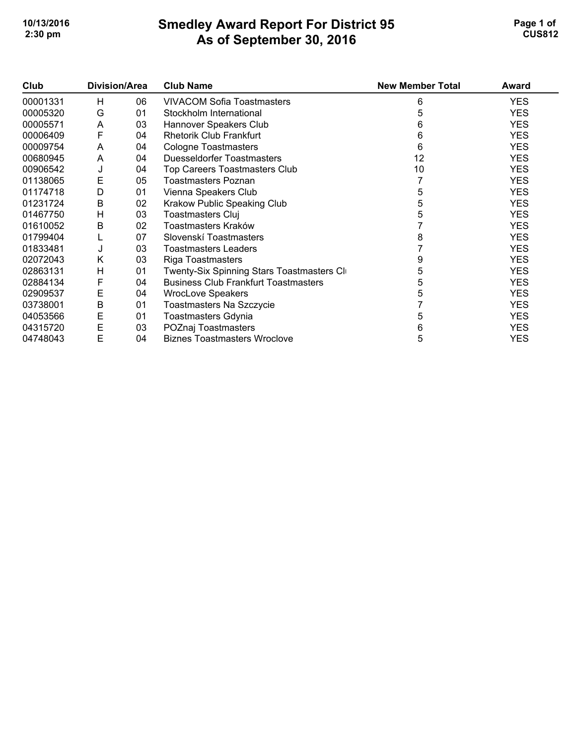## **Smedley Award Report For District 95 As of September 30, 2016 10/13/2016 Page 1 of Smedley Award Report For District 95 <b>Page 1 of** Page 1 of **2:30 pm CUS812**

| Club     | Division/Area |    | <b>Club Name</b>                            | <b>New Member Total</b> | Award      |
|----------|---------------|----|---------------------------------------------|-------------------------|------------|
| 00001331 | н             | 06 | <b>VIVACOM Sofia Toastmasters</b>           | 6                       | <b>YES</b> |
| 00005320 | G             | 01 | Stockholm International                     | 5                       | <b>YES</b> |
| 00005571 | A             | 03 | Hannover Speakers Club                      | 6                       | <b>YES</b> |
| 00006409 | F             | 04 | <b>Rhetorik Club Frankfurt</b>              | 6                       | <b>YES</b> |
| 00009754 | A             | 04 | <b>Cologne Toastmasters</b>                 | 6                       | <b>YES</b> |
| 00680945 | A             | 04 | <b>Duesseldorfer Toastmasters</b>           | 12                      | <b>YES</b> |
| 00906542 | J             | 04 | Top Careers Toastmasters Club               | 10                      | <b>YES</b> |
| 01138065 | E             | 05 | <b>Toastmasters Poznan</b>                  |                         | <b>YES</b> |
| 01174718 | D             | 01 | Vienna Speakers Club                        | 5                       | <b>YES</b> |
| 01231724 | B             | 02 | Krakow Public Speaking Club                 | 5                       | <b>YES</b> |
| 01467750 | Н             | 03 | <b>Toastmasters Cluj</b>                    | 5                       | <b>YES</b> |
| 01610052 | В             | 02 | Toastmasters Kraków                         |                         | <b>YES</b> |
| 01799404 |               | 07 | Slovenskí Toastmasters                      | 8                       | <b>YES</b> |
| 01833481 | J             | 03 | <b>Toastmasters Leaders</b>                 |                         | <b>YES</b> |
| 02072043 | K             | 03 | Riga Toastmasters                           | 9                       | <b>YES</b> |
| 02863131 | H             | 01 | Twenty-Six Spinning Stars Toastmasters Cl   | 5                       | <b>YES</b> |
| 02884134 | F             | 04 | <b>Business Club Frankfurt Toastmasters</b> | 5                       | <b>YES</b> |
| 02909537 | Е             | 04 | <b>WrocLove Speakers</b>                    | 5                       | <b>YES</b> |
| 03738001 | B             | 01 | Toastmasters Na Szczycie                    |                         | <b>YES</b> |
| 04053566 | Е             | 01 | <b>Toastmasters Gdynia</b>                  | 5                       | <b>YES</b> |
| 04315720 | Е             | 03 | POZnaj Toastmasters                         | 6                       | <b>YES</b> |
| 04748043 | E             | 04 | <b>Biznes Toastmasters Wroclove</b>         | 5                       | <b>YES</b> |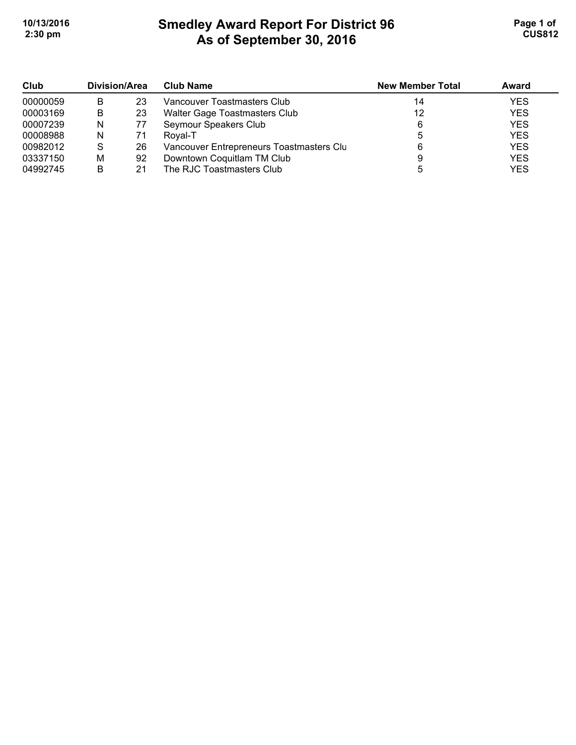# **Smedley Award Report For District 96 As of September 30, 2016 10/13/2016 Page 1 of 1 2:30 pm CUS812**

| Club     | Division/Area |    | <b>Club Name</b>                         | <b>New Member Total</b> | Award      |
|----------|---------------|----|------------------------------------------|-------------------------|------------|
| 00000059 | B             | 23 | Vancouver Toastmasters Club              | 14                      | <b>YES</b> |
| 00003169 | B             | 23 | Walter Gage Toastmasters Club            | 12                      | <b>YES</b> |
| 00007239 | N             | 77 | Seymour Speakers Club                    | 6                       | <b>YES</b> |
| 00008988 | N             | 71 | Royal-T                                  |                         | <b>YES</b> |
| 00982012 | S             | 26 | Vancouver Entrepreneurs Toastmasters Clu | 6                       | <b>YES</b> |
| 03337150 | M             | 92 | Downtown Coquitlam TM Club               |                         | <b>YES</b> |
| 04992745 | B             | 21 | The RJC Toastmasters Club                |                         | <b>YES</b> |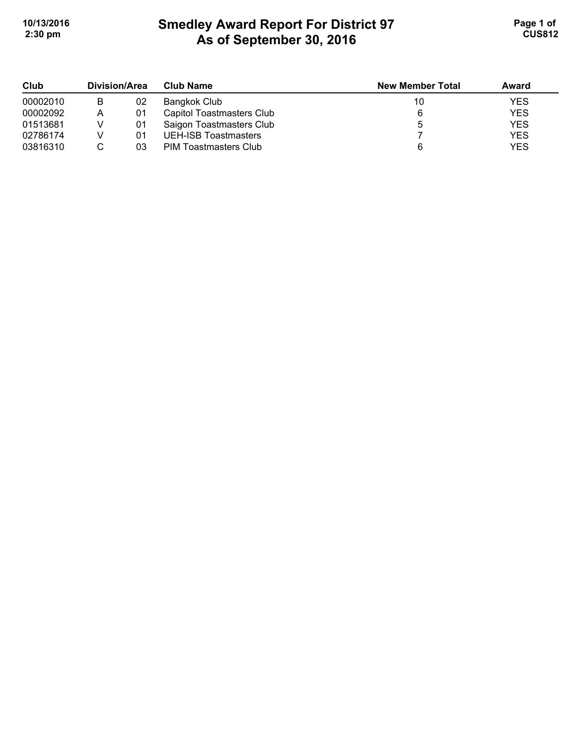## **Smedley Award Report For District 97 As of September 30, 2016 10/13/2016 Page 1 of Smedley Award Report For District 97 Page 1 of 1 2:30 pm CUS812**

| Club     | Division/Area |    | <b>Club Name</b>          | <b>New Member Total</b> | Award      |
|----------|---------------|----|---------------------------|-------------------------|------------|
| 00002010 | B             | 02 | Bangkok Club              | 10                      | <b>YES</b> |
| 00002092 | Α             | 01 | Capitol Toastmasters Club |                         | <b>YES</b> |
| 01513681 |               | 01 | Saigon Toastmasters Club  |                         | <b>YES</b> |
| 02786174 |               | 01 | UEH-ISB Toastmasters      |                         | <b>YES</b> |
| 03816310 |               | 03 | PIM Toastmasters Club     |                         | <b>YES</b> |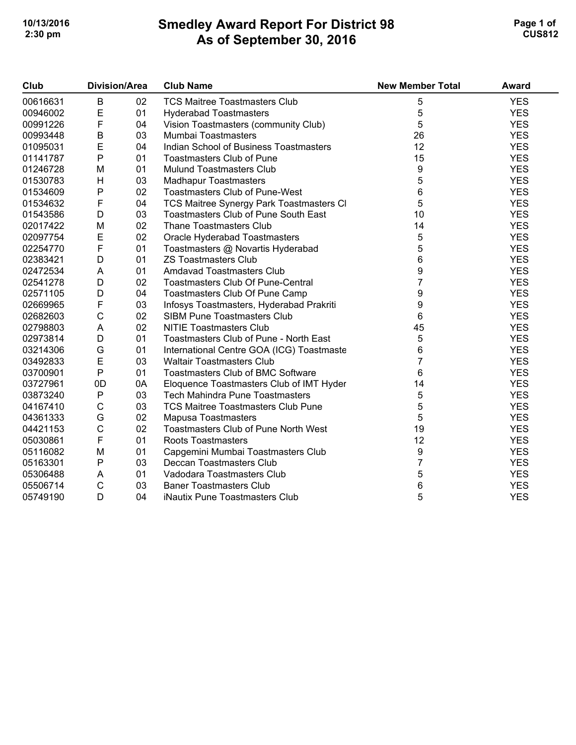## **Smedley Award Report For District 98 As of September 30, 2016**  10/13/2016 **Page 1 of Smedley Award Report For District 98 Page 1 of Page 1 of 2:30 pm CUS812**

| Club     | <b>Division/Area</b> |    | <b>Club Name</b>                            | <b>New Member Total</b> | <b>Award</b> |
|----------|----------------------|----|---------------------------------------------|-------------------------|--------------|
| 00616631 | B                    | 02 | <b>TCS Maitree Toastmasters Club</b>        | 5                       | <b>YES</b>   |
| 00946002 | E                    | 01 | <b>Hyderabad Toastmasters</b>               | 5                       | <b>YES</b>   |
| 00991226 | F                    | 04 | Vision Toastmasters (community Club)        | 5                       | <b>YES</b>   |
| 00993448 | $\sf B$              | 03 | Mumbai Toastmasters                         | 26                      | <b>YES</b>   |
| 01095031 | E                    | 04 | Indian School of Business Toastmasters      | 12                      | <b>YES</b>   |
| 01141787 | $\mathsf{P}$         | 01 | <b>Toastmasters Club of Pune</b>            | 15                      | <b>YES</b>   |
| 01246728 | M                    | 01 | <b>Mulund Toastmasters Club</b>             | 9                       | <b>YES</b>   |
| 01530783 | H                    | 03 | <b>Madhapur Toastmasters</b>                | 5                       | <b>YES</b>   |
| 01534609 | $\mathsf{P}$         | 02 | <b>Toastmasters Club of Pune-West</b>       | 6                       | <b>YES</b>   |
| 01534632 | $\mathsf F$          | 04 | TCS Maitree Synergy Park Toastmasters Cl    | 5                       | <b>YES</b>   |
| 01543586 | D                    | 03 | Toastmasters Club of Pune South East        | 10                      | <b>YES</b>   |
| 02017422 | M                    | 02 | <b>Thane Toastmasters Club</b>              | 14                      | <b>YES</b>   |
| 02097754 | E                    | 02 | Oracle Hyderabad Toastmasters               | 5                       | <b>YES</b>   |
| 02254770 | F                    | 01 | Toastmasters @ Novartis Hyderabad           | 5                       | <b>YES</b>   |
| 02383421 | D                    | 01 | <b>ZS Toastmasters Club</b>                 | 6                       | <b>YES</b>   |
| 02472534 | A                    | 01 | Amdavad Toastmasters Club                   | 9                       | <b>YES</b>   |
| 02541278 | D                    | 02 | <b>Toastmasters Club Of Pune-Central</b>    | $\overline{7}$          | <b>YES</b>   |
| 02571105 | D                    | 04 | Toastmasters Club Of Pune Camp              | 9                       | <b>YES</b>   |
| 02669965 | F                    | 03 | Infosys Toastmasters, Hyderabad Prakriti    | 9                       | <b>YES</b>   |
| 02682603 | $\mathsf C$          | 02 | <b>SIBM Pune Toastmasters Club</b>          | 6                       | <b>YES</b>   |
| 02798803 | A                    | 02 | <b>NITIE Toastmasters Club</b>              | 45                      | <b>YES</b>   |
| 02973814 | D                    | 01 | Toastmasters Club of Pune - North East      | 5                       | <b>YES</b>   |
| 03214306 | G                    | 01 | International Centre GOA (ICG) Toastmaste   | 6                       | <b>YES</b>   |
| 03492833 | E                    | 03 | <b>Waltair Toastmasters Club</b>            | $\overline{7}$          | <b>YES</b>   |
| 03700901 | $\mathsf{P}$         | 01 | <b>Toastmasters Club of BMC Software</b>    | 6                       | <b>YES</b>   |
| 03727961 | 0D                   | 0A | Eloquence Toastmasters Club of IMT Hyder    | 14                      | <b>YES</b>   |
| 03873240 | ${\sf P}$            | 03 | Tech Mahindra Pune Toastmasters             | 5                       | <b>YES</b>   |
| 04167410 | C                    | 03 | <b>TCS Maitree Toastmasters Club Pune</b>   | 5                       | <b>YES</b>   |
| 04361333 | G                    | 02 | Mapusa Toastmasters                         | 5                       | <b>YES</b>   |
| 04421153 | $\mathsf C$          | 02 | <b>Toastmasters Club of Pune North West</b> | 19                      | <b>YES</b>   |
| 05030861 | F                    | 01 | <b>Roots Toastmasters</b>                   | 12                      | <b>YES</b>   |
| 05116082 | M                    | 01 | Capgemini Mumbai Toastmasters Club          | 9                       | <b>YES</b>   |
| 05163301 | $\mathsf{P}$         | 03 | Deccan Toastmasters Club                    | 7                       | <b>YES</b>   |
| 05306488 | A                    | 01 | Vadodara Toastmasters Club                  | 5                       | <b>YES</b>   |
| 05506714 | $\mathsf C$          | 03 | <b>Baner Toastmasters Club</b>              | 6                       | <b>YES</b>   |
| 05749190 | D                    | 04 | iNautix Pune Toastmasters Club              | 5                       | <b>YES</b>   |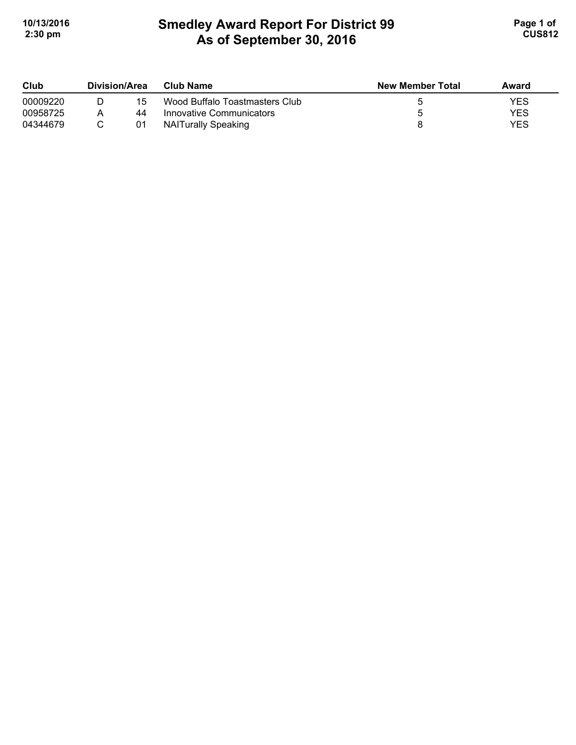# **Smedley Award Report For District 99 As of September 30, 2016**  10/13/2016 **Page 1 of Smedley Award Report For District 99 Page 1 of Page 1 of 2:30 pm CUS812**

| Club     | Division/Area |    | Club Name                      | <b>New Member Total</b> | Award |  |
|----------|---------------|----|--------------------------------|-------------------------|-------|--|
| 00009220 |               | 15 | Wood Buffalo Toastmasters Club |                         | YES   |  |
| 00958725 |               | 44 | Innovative Communicators       |                         | YES   |  |
| 04344679 |               | 01 | NAITurally Speaking            |                         | YES   |  |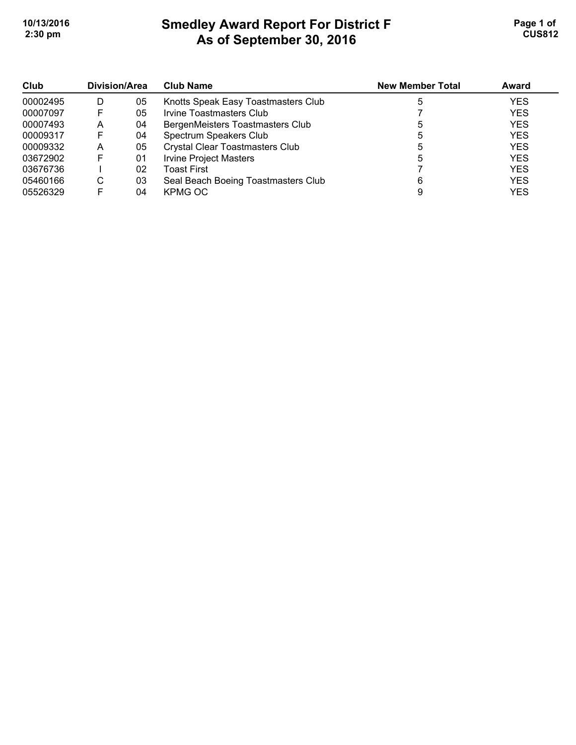# **Smedley Award Report For District F As of September 30, 2016**  10/13/2016 **Page 1 of Smedley Award Report For District F Page 1 of Page 1 of 2:30 pm CUS812**

| Club<br>00002495<br>00007097 | Division/Area |    | <b>Club Name</b>                       | <b>New Member Total</b> | Award      |
|------------------------------|---------------|----|----------------------------------------|-------------------------|------------|
|                              | D             | 05 | Knotts Speak Easy Toastmasters Club    |                         | <b>YES</b> |
|                              |               | 05 | Irvine Toastmasters Club               |                         | <b>YES</b> |
| 00007493                     | A             | 04 | BergenMeisters Toastmasters Club       |                         | <b>YES</b> |
| 00009317                     |               | 04 | Spectrum Speakers Club                 |                         | <b>YES</b> |
| 00009332                     | A             | 05 | <b>Crystal Clear Toastmasters Club</b> |                         | <b>YES</b> |
| 03672902                     |               | 01 | <b>Irvine Project Masters</b>          |                         | <b>YES</b> |
| 03676736                     |               | 02 | Toast First                            |                         | <b>YES</b> |
| 05460166                     | С             | 03 | Seal Beach Boeing Toastmasters Club    |                         | <b>YES</b> |
| 05526329                     |               | 04 | KPMG OC                                |                         | <b>YES</b> |